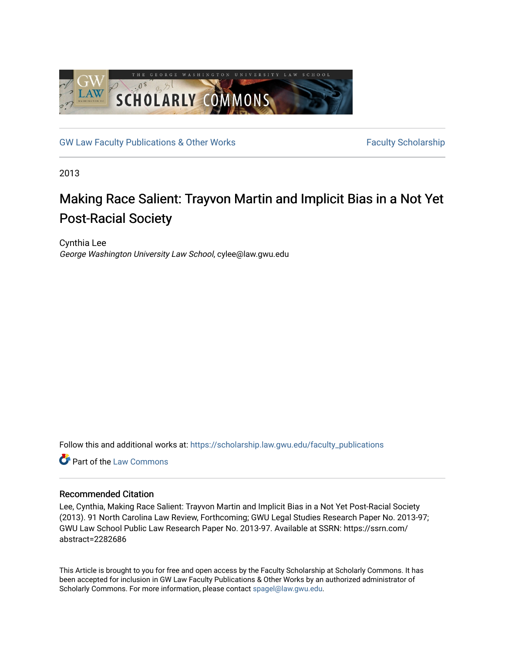

[GW Law Faculty Publications & Other Works](https://scholarship.law.gwu.edu/faculty_publications) Faculty Scholarship

2013

# Making Race Salient: Trayvon Martin and Implicit Bias in a Not Yet Post-Racial Society

Cynthia Lee George Washington University Law School, cylee@law.gwu.edu

Follow this and additional works at: [https://scholarship.law.gwu.edu/faculty\\_publications](https://scholarship.law.gwu.edu/faculty_publications?utm_source=scholarship.law.gwu.edu%2Ffaculty_publications%2F728&utm_medium=PDF&utm_campaign=PDFCoverPages) 

**C** Part of the [Law Commons](http://network.bepress.com/hgg/discipline/578?utm_source=scholarship.law.gwu.edu%2Ffaculty_publications%2F728&utm_medium=PDF&utm_campaign=PDFCoverPages)

### Recommended Citation

Lee, Cynthia, Making Race Salient: Trayvon Martin and Implicit Bias in a Not Yet Post-Racial Society (2013). 91 North Carolina Law Review, Forthcoming; GWU Legal Studies Research Paper No. 2013-97; GWU Law School Public Law Research Paper No. 2013-97. Available at SSRN: https://ssrn.com/ abstract=2282686

This Article is brought to you for free and open access by the Faculty Scholarship at Scholarly Commons. It has been accepted for inclusion in GW Law Faculty Publications & Other Works by an authorized administrator of Scholarly Commons. For more information, please contact [spagel@law.gwu.edu](mailto:spagel@law.gwu.edu).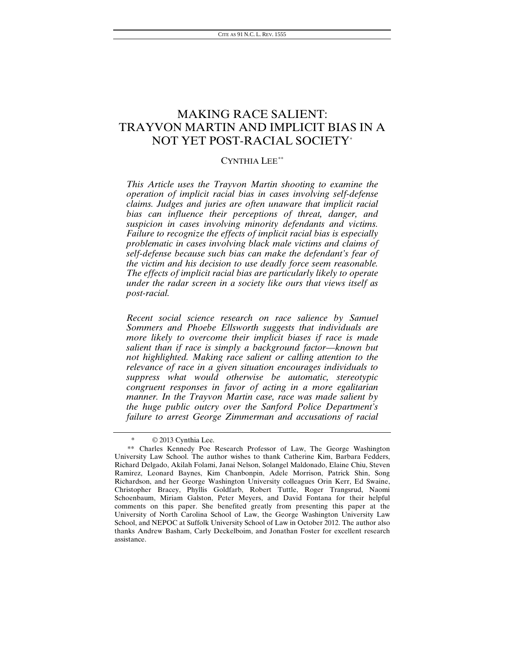## MAKING RACE SALIENT: TRAYVON MARTIN AND IMPLICIT BIAS IN A NOT YET POST-RACIAL SOCIETY[\\*](#page-1-0)

### CYNTHIA LEE[\\*\\*](#page-1-1)

*This Article uses the Trayvon Martin shooting to examine the operation of implicit racial bias in cases involving self-defense claims. Judges and juries are often unaware that implicit racial bias can influence their perceptions of threat, danger, and suspicion in cases involving minority defendants and victims. Failure to recognize the effects of implicit racial bias is especially problematic in cases involving black male victims and claims of self-defense because such bias can make the defendant's fear of the victim and his decision to use deadly force seem reasonable. The effects of implicit racial bias are particularly likely to operate under the radar screen in a society like ours that views itself as post-racial.* 

*Recent social science research on race salience by Samuel Sommers and Phoebe Ellsworth suggests that individuals are more likely to overcome their implicit biases if race is made salient than if race is simply a background factor—known but not highlighted. Making race salient or calling attention to the relevance of race in a given situation encourages individuals to suppress what would otherwise be automatic, stereotypic congruent responses in favor of acting in a more egalitarian manner. In the Trayvon Martin case, race was made salient by the huge public outcry over the Sanford Police Department's failure to arrest George Zimmerman and accusations of racial* 

 $@$  2013 Cynthia Lee.

<span id="page-1-1"></span><span id="page-1-0"></span><sup>\*\*</sup> Charles Kennedy Poe Research Professor of Law, The George Washington University Law School. The author wishes to thank Catherine Kim, Barbara Fedders, Richard Delgado, Akilah Folami, Janai Nelson, Solangel Maldonado, Elaine Chiu, Steven Ramirez, Leonard Baynes, Kim Chanbonpin, Adele Morrison, Patrick Shin, Song Richardson, and her George Washington University colleagues Orin Kerr, Ed Swaine, Christopher Bracey, Phyllis Goldfarb, Robert Tuttle, Roger Trangsrud, Naomi Schoenbaum, Miriam Galston, Peter Meyers, and David Fontana for their helpful comments on this paper. She benefited greatly from presenting this paper at the University of North Carolina School of Law, the George Washington University Law School, and NEPOC at Suffolk University School of Law in October 2012. The author also thanks Andrew Basham, Carly Deckelboim, and Jonathan Foster for excellent research assistance.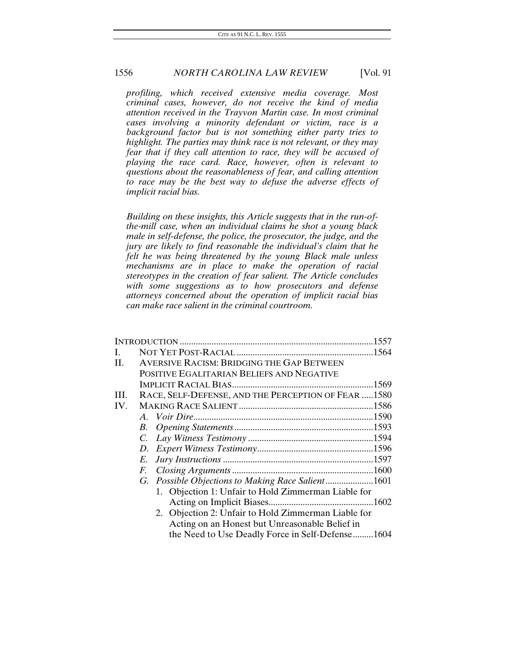*profiling, which received extensive media coverage. Most criminal cases, however, do not receive the kind of media attention received in the Trayvon Martin case. In most criminal cases involving a minority defendant or victim, race is a background factor but is not something either party tries to highlight. The parties may think race is not relevant, or they may fear that if they call attention to race, they will be accused of playing the race card. Race, however, often is relevant to questions about the reasonableness of fear, and calling attention to race may be the best way to defuse the adverse effects of implicit racial bias.*

*Building on these insights, this Article suggests that in the run-ofthe-mill case, when an individual claims he shot a young black male in self-defense, the police, the prosecutor, the judge, and the jury are likely to find reasonable the individual's claim that he felt he was being threatened by the young Black male unless mechanisms are in place to make the operation of racial stereotypes in the creation of fear salient. The Article concludes with some suggestions as to how prosecutors and defense attorneys concerned about the operation of implicit racial bias can make race salient in the criminal courtroom.*

| I.  |                                                     |                                                     |  |
|-----|-----------------------------------------------------|-----------------------------------------------------|--|
| II. |                                                     | AVERSIVE RACISM: BRIDGING THE GAP BETWEEN           |  |
|     |                                                     | POSITIVE EGALITARIAN BELIEFS AND NEGATIVE           |  |
|     |                                                     |                                                     |  |
| HI. | RACE, SELF-DEFENSE, AND THE PERCEPTION OF FEAR 1580 |                                                     |  |
| IV. |                                                     |                                                     |  |
|     |                                                     |                                                     |  |
|     | В.                                                  |                                                     |  |
|     | $C_{\cdot}$                                         |                                                     |  |
|     | D.                                                  |                                                     |  |
|     | E.                                                  |                                                     |  |
|     | F.                                                  |                                                     |  |
|     |                                                     |                                                     |  |
|     |                                                     | 1. Objection 1: Unfair to Hold Zimmerman Liable for |  |
|     |                                                     |                                                     |  |
|     |                                                     | 2. Objection 2: Unfair to Hold Zimmerman Liable for |  |
|     |                                                     | Acting on an Honest but Unreasonable Belief in      |  |
|     |                                                     | the Need to Use Deadly Force in Self-Defense1604    |  |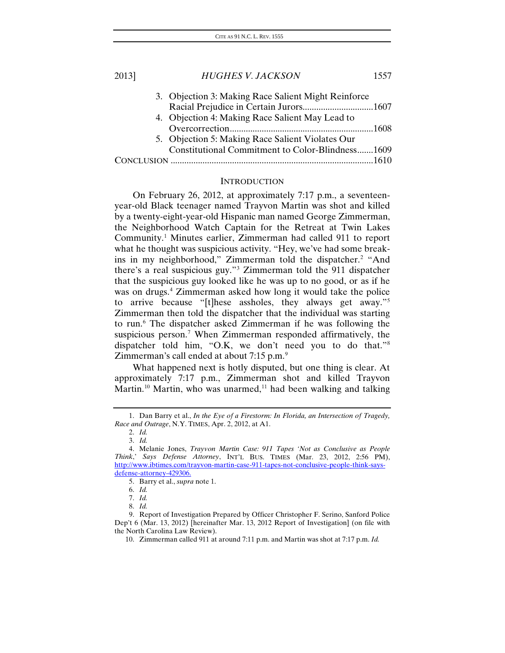| 2013] | <b>HUGHES V. JACKSON</b>                            | 1557 |
|-------|-----------------------------------------------------|------|
|       | 3. Objection 3: Making Race Salient Might Reinforce |      |
|       |                                                     |      |
|       | 4. Objection 4: Making Race Salient May Lead to     |      |
|       |                                                     |      |
|       | 5. Objection 5: Making Race Salient Violates Our    |      |
|       | Constitutional Commitment to Color-Blindness1609    |      |
|       |                                                     |      |
|       |                                                     |      |

#### **INTRODUCTION**

On February 26, 2012, at approximately 7:17 p.m., a seventeenyear-old Black teenager named Trayvon Martin was shot and killed by a twenty-eight-year-old Hispanic man named George Zimmerman, the Neighborhood Watch Captain for the Retreat at Twin Lakes Community.[1](#page-3-0) Minutes earlier, Zimmerman had called 911 to report what he thought was suspicious activity. "Hey, we've had some break-ins in my neighborhood," Zimmerman told the dispatcher.<sup>[2](#page-3-1)</sup> "And there's a real suspicious guy."[3](#page-3-2) Zimmerman told the 911 dispatcher that the suspicious guy looked like he was up to no good, or as if he was on drugs.<sup>[4](#page-3-3)</sup> Zimmerman asked how long it would take the police to arrive because "[t]hese assholes, they always get away."[5](#page-3-4) Zimmerman then told the dispatcher that the individual was starting to run[.6](#page-3-5) The dispatcher asked Zimmerman if he was following the suspicious person.<sup>[7](#page-3-6)</sup> When Zimmerman responded affirmatively, the dispatcher told him, "O.K, we don't need you to do that."<sup>[8](#page-3-7)</sup> Zimmerman's call ended at about 7:15 p.m.<sup>[9](#page-3-8)</sup>

<span id="page-3-10"></span>What happened next is hotly disputed, but one thing is clear. At approximately 7:17 p.m., Zimmerman shot and killed Trayvon Martin.<sup>[10](#page-3-9)</sup> Martin, who was unarmed,<sup>11</sup> had been walking and talking

<span id="page-3-1"></span><span id="page-3-0"></span><sup>1.</sup> Dan Barry et al., *In the Eye of a Firestorm: In Florida, an Intersection of Tragedy, Race and Outrage*, N.Y. TIMES, Apr. 2, 2012, at A1.

<sup>2.</sup> *Id.*

<sup>3.</sup> *Id.*

<span id="page-3-3"></span><span id="page-3-2"></span><sup>4.</sup> Melanie Jones, *Trayvon Martin Case: 911 Tapes 'Not as Conclusive as People Think*,' *Says Defense Attorney*, INT'L BUS. TIMES (Mar. 23, 2012, 2:56 PM), http://www.ibtimes.com/trayvon-martin-case-911-tapes-not-conclusive-people-think-saysdefense-attorney-429306.

<sup>5.</sup> Barry et al., *supra* note 1.

<sup>6.</sup> *Id.*

<sup>7.</sup> *Id.*

<sup>8.</sup> *Id.*

<span id="page-3-9"></span><span id="page-3-8"></span><span id="page-3-7"></span><span id="page-3-6"></span><span id="page-3-5"></span><span id="page-3-4"></span><sup>9.</sup> Report of Investigation Prepared by Officer Christopher F. Serino, Sanford Police Dep't 6 (Mar. 13, 2012) [hereinafter Mar. 13, 2012 Report of Investigation] (on file with the North Carolina Law Review).

<sup>10.</sup> Zimmerman called 911 at around 7:11 p.m. and Martin was shot at 7:17 p.m. *Id.*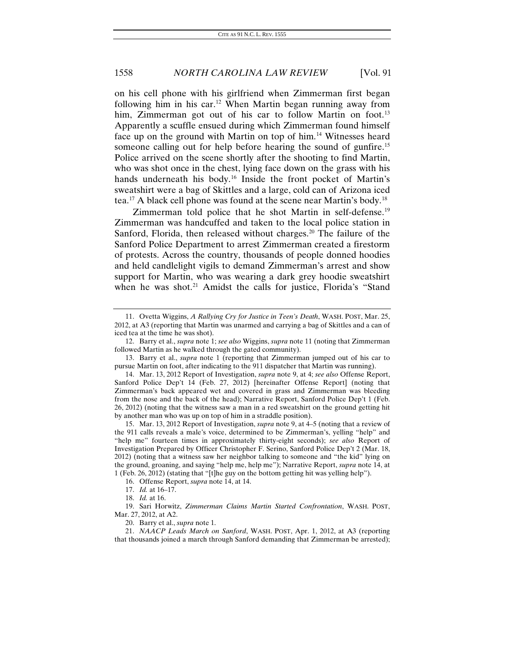on his cell phone with his girlfriend when Zimmerman first began following him in his car.<sup>[12](#page-4-0)</sup> When Martin began running away from him, Zimmerman got out of his car to follow Martin on foot.<sup>[13](#page-4-1)</sup> Apparently a scuffle ensued during which Zimmerman found himself face up on the ground with Martin on top of him.<sup>[14](#page-4-2)</sup> Witnesses heard someone calling out for help before hearing the sound of gunfire.<sup>15</sup> Police arrived on the scene shortly after the shooting to find Martin, who was shot once in the chest, lying face down on the grass with his hands underneath his body.[16](#page-4-4) Inside the front pocket of Martin's sweatshirt were a bag of Skittles and a large, cold can of Arizona iced tea.[17](#page-4-5) A black cell phone was found at the scene near Martin's body.[18](#page-4-6)

Zimmerman told police that he shot Martin in self-defense.<sup>[19](#page-4-7)</sup> Zimmerman was handcuffed and taken to the local police station in Sanford, Florida, then released without charges.<sup>[20](#page-4-8)</sup> The failure of the Sanford Police Department to arrest Zimmerman created a firestorm of protests. Across the country, thousands of people donned hoodies and held candlelight vigils to demand Zimmerman's arrest and show support for Martin, who was wearing a dark grey hoodie sweatshirt when he was shot.<sup>[21](#page-4-9)</sup> Amidst the calls for justice, Florida's "Stand

<sup>11.</sup> Ovetta Wiggins, *A Rallying Cry for Justice in Teen's Death*, WASH. POST, Mar. 25, 2012, at A3 (reporting that Martin was unarmed and carrying a bag of Skittles and a can of iced tea at the time he was shot).

<span id="page-4-0"></span><sup>12.</sup> Barry et al., *supra* note 1; *see also* Wiggins, *supra* note 11 (noting that Zimmerman followed Martin as he walked through the gated community).

<span id="page-4-1"></span><sup>13.</sup> Barry et al., *supra* note 1 (reporting that Zimmerman jumped out of his car to pursue Martin on foot, after indicating to the 911 dispatcher that Martin was running).

<span id="page-4-2"></span><sup>14.</sup> Mar. 13, 2012 Report of Investigation, *supra* note 9, at 4; *see also* Offense Report, Sanford Police Dep't 14 (Feb. 27, 2012) [hereinafter Offense Report] (noting that Zimmerman's back appeared wet and covered in grass and Zimmerman was bleeding from the nose and the back of the head); Narrative Report, Sanford Police Dep't 1 (Feb. 26, 2012) (noting that the witness saw a man in a red sweatshirt on the ground getting hit by another man who was up on top of him in a straddle position).

<span id="page-4-3"></span><sup>15.</sup> Mar. 13, 2012 Report of Investigation, *supra* note 9, at 4–5 (noting that a review of the 911 calls reveals a male's voice, determined to be Zimmerman's, yelling "help" and "help me" fourteen times in approximately thirty-eight seconds); *see also* Report of Investigation Prepared by Officer Christopher F. Serino, Sanford Police Dep't 2 (Mar. 18, 2012) (noting that a witness saw her neighbor talking to someone and "the kid" lying on the ground, groaning, and saying "help me, help me"); Narrative Report, *supra* note 14, at 1 (Feb. 26, 2012) (stating that "[t]he guy on the bottom getting hit was yelling help").

<sup>16.</sup> Offense Report, *supra* note 14, at 14.

<sup>17.</sup> *Id.* at 16–17.

<sup>18.</sup> *Id.* at 16.

<span id="page-4-7"></span><span id="page-4-6"></span><span id="page-4-5"></span><span id="page-4-4"></span><sup>19.</sup> Sari Horwitz, *Zimmerman Claims Martin Started Confrontation*, WASH. POST, Mar. 27, 2012, at A2.

<sup>20.</sup> Barry et al., *supra* note 1.

<span id="page-4-9"></span><span id="page-4-8"></span><sup>21.</sup> *NAACP Leads March on Sanford*, WASH. POST, Apr. 1, 2012, at A3 (reporting that thousands joined a march through Sanford demanding that Zimmerman be arrested);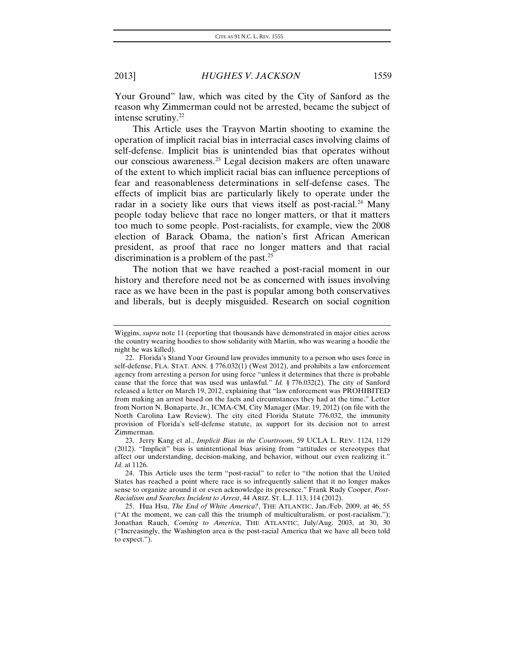Your Ground" law, which was cited by the City of Sanford as the reason why Zimmerman could not be arrested, became the subject of intense scrutiny.<sup>[22](#page-5-0)</sup>

This Article uses the Trayvon Martin shooting to examine the operation of implicit racial bias in interracial cases involving claims of self-defense. Implicit bias is unintended bias that operates without our conscious awareness.[23](#page-5-1) Legal decision makers are often unaware of the extent to which implicit racial bias can influence perceptions of fear and reasonableness determinations in self-defense cases. The effects of implicit bias are particularly likely to operate under the radar in a society like ours that views itself as post-racial.<sup>[24](#page-5-2)</sup> Many people today believe that race no longer matters, or that it matters too much to some people. Post-racialists, for example, view the 2008 election of Barack Obama, the nation's first African American president, as proof that race no longer matters and that racial discrimination is a problem of the past.<sup>[25](#page-5-3)</sup>

The notion that we have reached a post-racial moment in our history and therefore need not be as concerned with issues involving race as we have been in the past is popular among both conservatives and liberals, but is deeply misguided. Research on social cognition

Wiggins, *supra* note 11 (reporting that thousands have demonstrated in major cities across the country wearing hoodies to show solidarity with Martin, who was wearing a hoodie the night he was killed).

<span id="page-5-0"></span><sup>22.</sup> Florida's Stand Your Ground law provides immunity to a person who uses force in self-defense, FLA. STAT. ANN. § 776.032(1) (West 2012), and prohibits a law enforcement agency from arresting a person for using force "unless it determines that there is probable cause that the force that was used was unlawful." *Id.* § 776.032(2). The city of Sanford released a letter on March 19, 2012, explaining that "law enforcement was PROHIBITED from making an arrest based on the facts and circumstances they had at the time." Letter from Norton N. Bonaparte, Jr., ICMA-CM, City Manager (Mar. 19, 2012) (on file with the North Carolina Law Review). The city cited Florida Statute 776.032, the immunity provision of Florida's self-defense statute, as support for its decision not to arrest Zimmerman.

<span id="page-5-1"></span><sup>23.</sup> Jerry Kang et al., *Implicit Bias in the Courtroom*, 59 UCLA L. REV. 1124, 1129 (2012). "Implicit" bias is unintentional bias arising from "attitudes or stereotypes that affect our understanding, decision-making, and behavior, without our even realizing it." *Id*. at 1126.

<span id="page-5-2"></span><sup>24.</sup> This Article uses the term "post-racial" to refer to "the notion that the United States has reached a point where race is so infrequently salient that it no longer makes sense to organize around it or even acknowledge its presence." Frank Rudy Cooper, *Post-Racialism and Searches Incident to Arrest*, 44 ARIZ. ST. L.J. 113, 114 (2012).

<span id="page-5-3"></span><sup>25.</sup> Hua Hsu, *The End of White America?*, THE ATLANTIC, Jan./Feb. 2009, at 46, 55 ("At the moment, we can call this the triumph of multiculturalism, or post-racialism."); Jonathan Rauch, *Coming to America*, THE ATLANTIC, July/Aug. 2003, at 30, 30 ("Increasingly, the Washington area is the post-racial America that we have all been told to expect.").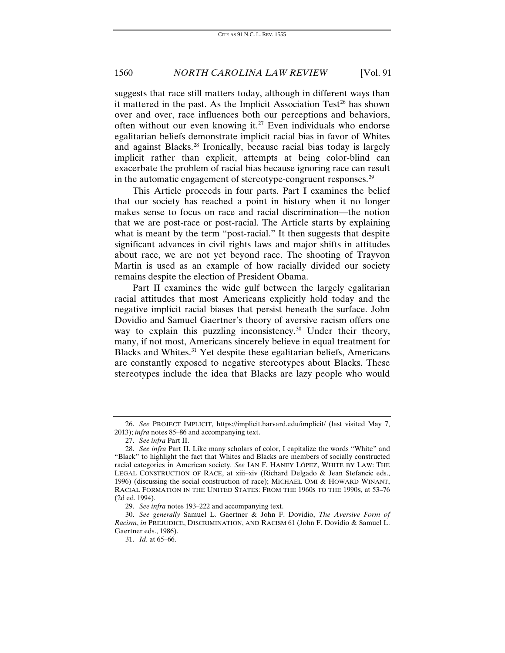suggests that race still matters today, although in different ways than it mattered in the past. As the Implicit Association Test<sup>[26](#page-6-0)</sup> has shown over and over, race influences both our perceptions and behaviors, often without our even knowing it.<sup>[27](#page-6-1)</sup> Even individuals who endorse egalitarian beliefs demonstrate implicit racial bias in favor of Whites and against Blacks.[28](#page-6-2) Ironically, because racial bias today is largely implicit rather than explicit, attempts at being color-blind can exacerbate the problem of racial bias because ignoring race can result in the automatic engagement of stereotype-congruent responses.<sup>[29](#page-6-3)</sup>

This Article proceeds in four parts. Part I examines the belief that our society has reached a point in history when it no longer makes sense to focus on race and racial discrimination—the notion that we are post-race or post-racial. The Article starts by explaining what is meant by the term "post-racial." It then suggests that despite significant advances in civil rights laws and major shifts in attitudes about race, we are not yet beyond race. The shooting of Trayvon Martin is used as an example of how racially divided our society remains despite the election of President Obama.

Part II examines the wide gulf between the largely egalitarian racial attitudes that most Americans explicitly hold today and the negative implicit racial biases that persist beneath the surface. John Dovidio and Samuel Gaertner's theory of aversive racism offers one way to explain this puzzling inconsistency.<sup>[30](#page-6-4)</sup> Under their theory, many, if not most, Americans sincerely believe in equal treatment for Blacks and Whites.<sup>[31](#page-6-5)</sup> Yet despite these egalitarian beliefs, Americans are constantly exposed to negative stereotypes about Blacks. These stereotypes include the idea that Blacks are lazy people who would

<span id="page-6-0"></span><sup>26.</sup> *See* PROJECT IMPLICIT, https://implicit.harvard.edu/implicit/ (last visited May 7, 2013); *infra* notes 85–86 and accompanying text.

<sup>27.</sup> *See infra* Part II.

<span id="page-6-2"></span><span id="page-6-1"></span><sup>28.</sup> *See infra* Part II. Like many scholars of color, I capitalize the words "White" and "Black" to highlight the fact that Whites and Blacks are members of socially constructed racial categories in American society. *See* IAN F. HANEY LÓPEZ, WHITE BY LAW: THE LEGAL CONSTRUCTION OF RACE, at xiii–xiv (Richard Delgado & Jean Stefancic eds., 1996) (discussing the social construction of race); MICHAEL OMI & HOWARD WINANT, RACIAL FORMATION IN THE UNITED STATES: FROM THE 1960S TO THE 1990S, at 53–76 (2d ed. 1994).

<sup>29.</sup> *See infra* notes 193–222 and accompanying text.

<span id="page-6-5"></span><span id="page-6-4"></span><span id="page-6-3"></span><sup>30.</sup> *See generally* Samuel L. Gaertner & John F. Dovidio, *The Aversive Form of Racism*, *in* PREJUDICE, DISCRIMINATION, AND RACISM 61 (John F. Dovidio & Samuel L. Gaertner eds., 1986).

<sup>31.</sup> *Id*. at 65–66.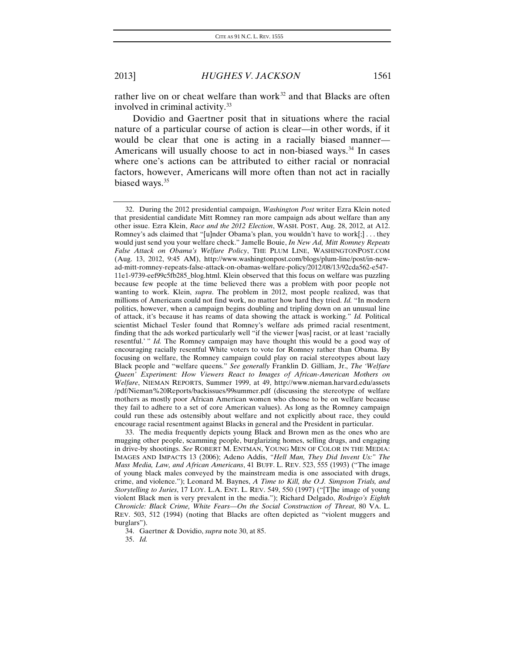rather live on or cheat welfare than work<sup>[32](#page-7-0)</sup> and that Blacks are often involved in criminal activity.[33](#page-7-1)

Dovidio and Gaertner posit that in situations where the racial nature of a particular course of action is clear—in other words, if it would be clear that one is acting in a racially biased manner— Americans will usually choose to act in non-biased ways.<sup>[34](#page-7-2)</sup> In cases where one's actions can be attributed to either racial or nonracial factors, however, Americans will more often than not act in racially biased ways.<sup>[35](#page-7-3)</sup>

<span id="page-7-1"></span>33. The media frequently depicts young Black and Brown men as the ones who are mugging other people, scamming people, burglarizing homes, selling drugs, and engaging in drive-by shootings. *See* ROBERT M. ENTMAN, YOUNG MEN OF COLOR IN THE MEDIA: IMAGES AND IMPACTS 13 (2006); Adeno Addis, *"Hell Man, They Did Invent Us:" The Mass Media, Law, and African Americans*, 41 BUFF. L. REV. 523, 555 (1993) ("The image of young black males conveyed by the mainstream media is one associated with drugs, crime, and violence."); Leonard M. Baynes, *A Time to Kill, the O.J. Simpson Trials, and Storytelling to Juries*, 17 LOY. L.A. ENT. L. REV. 549, 550 (1997) ("[T]he image of young violent Black men is very prevalent in the media."); Richard Delgado, *Rodrigo's Eighth Chronicle: Black Crime, White Fears—On the Social Construction of Threat*, 80 VA. L. REV. 503, 512 (1994) (noting that Blacks are often depicted as "violent muggers and burglars").

<span id="page-7-3"></span><span id="page-7-2"></span>34. Gaertner & Dovidio, *supra* note 30, at 85.

35. *Id.*

<span id="page-7-0"></span><sup>32.</sup> During the 2012 presidential campaign, *Washington Post* writer Ezra Klein noted that presidential candidate Mitt Romney ran more campaign ads about welfare than any other issue. Ezra Klein, *Race and the 2012 Election*, WASH. POST, Aug. 28, 2012, at A12. Romney's ads claimed that "[u]nder Obama's plan, you wouldn't have to work[;] . . . they would just send you your welfare check." Jamelle Bouie, *In New Ad, Mitt Romney Repeats False Attack on Obama's Welfare Policy*, THE PLUM LINE, WASHINGTONPOST.COM (Aug. 13, 2012, 9:45 AM), http://www.washingtonpost.com/blogs/plum-line/post/in-newad-mitt-romney-repeats-false-attack-on-obamas-welfare-policy/2012/08/13/92cda562-e547- 11e1-9739-eef99c5fb285\_blog.html. Klein observed that this focus on welfare was puzzling because few people at the time believed there was a problem with poor people not wanting to work. Klein, *supra*. The problem in 2012, most people realized, was that millions of Americans could not find work, no matter how hard they tried. *Id.* "In modern politics, however, when a campaign begins doubling and tripling down on an unusual line of attack, it's because it has reams of data showing the attack is working." *Id.* Political scientist Michael Tesler found that Romney's welfare ads primed racial resentment, finding that the ads worked particularly well "if the viewer [was] racist, or at least 'racially resentful.'" *Id.* The Romney campaign may have thought this would be a good way of encouraging racially resentful White voters to vote for Romney rather than Obama. By focusing on welfare, the Romney campaign could play on racial stereotypes about lazy Black people and "welfare queens." *See generally* Franklin D. Gilliam, Jr., *The 'Welfare Queen' Experiment: How Viewers React to Images of African-American Mothers on Welfare*, NIEMAN REPORTS, Summer 1999, at 49, http://www.nieman.harvard.edu/assets /pdf/Nieman%20Reports/backissues/99summer.pdf (discussing the stereotype of welfare mothers as mostly poor African American women who choose to be on welfare because they fail to adhere to a set of core American values). As long as the Romney campaign could run these ads ostensibly about welfare and not explicitly about race, they could encourage racial resentment against Blacks in general and the President in particular.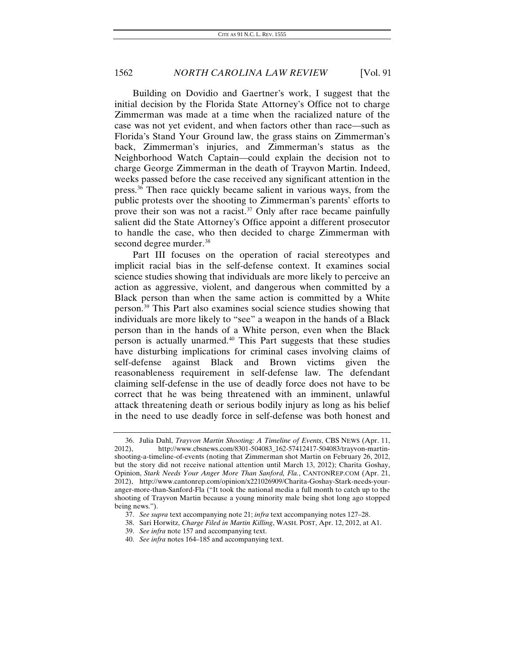Building on Dovidio and Gaertner's work, I suggest that the initial decision by the Florida State Attorney's Office not to charge Zimmerman was made at a time when the racialized nature of the case was not yet evident, and when factors other than race—such as Florida's Stand Your Ground law, the grass stains on Zimmerman's back, Zimmerman's injuries, and Zimmerman's status as the Neighborhood Watch Captain—could explain the decision not to charge George Zimmerman in the death of Trayvon Martin. Indeed, weeks passed before the case received any significant attention in the press.[36](#page-8-0) Then race quickly became salient in various ways, from the public protests over the shooting to Zimmerman's parents' efforts to prove their son was not a racist.<sup>[37](#page-8-1)</sup> Only after race became painfully salient did the State Attorney's Office appoint a different prosecutor to handle the case, who then decided to charge Zimmerman with second degree murder.<sup>[38](#page-8-2)</sup>

Part III focuses on the operation of racial stereotypes and implicit racial bias in the self-defense context. It examines social science studies showing that individuals are more likely to perceive an action as aggressive, violent, and dangerous when committed by a Black person than when the same action is committed by a White person.[39](#page-8-3) This Part also examines social science studies showing that individuals are more likely to "see" a weapon in the hands of a Black person than in the hands of a White person, even when the Black person is actually unarmed.[40](#page-8-4) This Part suggests that these studies have disturbing implications for criminal cases involving claims of self-defense against Black and Brown victims given the reasonableness requirement in self-defense law. The defendant claiming self-defense in the use of deadly force does not have to be correct that he was being threatened with an imminent, unlawful attack threatening death or serious bodily injury as long as his belief in the need to use deadly force in self-defense was both honest and

<span id="page-8-0"></span><sup>36.</sup> Julia Dahl, *Trayvon Martin Shooting: A Timeline of Events*, CBS NEWS (Apr. 11, 2012), http://www.cbsnews.com/8301-504083\_162-57412417-504083/trayvon-martinshooting-a-timeline-of-events (noting that Zimmerman shot Martin on February 26, 2012, but the story did not receive national attention until March 13, 2012); Charita Goshay, Opinion, *Stark Needs Your Anger More Than Sanford, Fla.*, CANTONREP.COM (Apr. 21, 2012), http://www.cantonrep.com/opinion/x221026909/Charita-Goshay-Stark-needs-youranger-more-than-Sanford-Fla ("It took the national media a full month to catch up to the shooting of Trayvon Martin because a young minority male being shot long ago stopped being news.").

<span id="page-8-2"></span><span id="page-8-1"></span><sup>37.</sup> *See supra* text accompanying note 21; *infra* text accompanying notes 127–28.

<sup>38.</sup> Sari Horwitz, *Charge Filed in Martin Killing*, WASH. POST, Apr. 12, 2012, at A1.

<sup>39.</sup> *See infra* note 157 and accompanying text.

<span id="page-8-4"></span><span id="page-8-3"></span><sup>40.</sup> *See infra* notes 164–185 and accompanying text.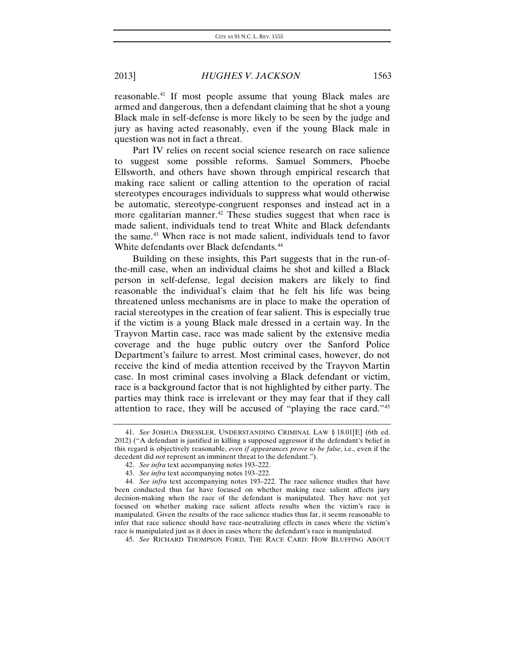reasonable.[41](#page-9-0) If most people assume that young Black males are armed and dangerous, then a defendant claiming that he shot a young Black male in self-defense is more likely to be seen by the judge and jury as having acted reasonably, even if the young Black male in question was not in fact a threat.

Part IV relies on recent social science research on race salience to suggest some possible reforms. Samuel Sommers, Phoebe Ellsworth, and others have shown through empirical research that making race salient or calling attention to the operation of racial stereotypes encourages individuals to suppress what would otherwise be automatic, stereotype-congruent responses and instead act in a more egalitarian manner.<sup>[42](#page-9-1)</sup> These studies suggest that when race is made salient, individuals tend to treat White and Black defendants the same.[43](#page-9-2) When race is not made salient, individuals tend to favor White defendants over Black defendants.<sup>[44](#page-9-3)</sup>

Building on these insights, this Part suggests that in the run-ofthe-mill case, when an individual claims he shot and killed a Black person in self-defense, legal decision makers are likely to find reasonable the individual's claim that he felt his life was being threatened unless mechanisms are in place to make the operation of racial stereotypes in the creation of fear salient. This is especially true if the victim is a young Black male dressed in a certain way. In the Trayvon Martin case, race was made salient by the extensive media coverage and the huge public outcry over the Sanford Police Department's failure to arrest. Most criminal cases, however, do not receive the kind of media attention received by the Trayvon Martin case. In most criminal cases involving a Black defendant or victim, race is a background factor that is not highlighted by either party. The parties may think race is irrelevant or they may fear that if they call attention to race, they will be accused of "playing the race card.["45](#page-9-4)

<span id="page-9-0"></span><sup>41.</sup> *See* JOSHUA DRESSLER, UNDERSTANDING CRIMINAL LAW § 18.01[E] (6th ed. 2012) ("A defendant is justified in killing a supposed aggressor if the defendant's belief in this regard is objectively reasonable, *even if appearances prove to be false*, i.e., even if the decedent did *not* represent an imminent threat to the defendant.").

<sup>42.</sup> *See infra* text accompanying notes 193–222.

<sup>43.</sup> *See infra* text accompanying notes 193–222.

<span id="page-9-3"></span><span id="page-9-2"></span><span id="page-9-1"></span><sup>44.</sup> *See infra* text accompanying notes 193–222. The race salience studies that have been conducted thus far have focused on whether making race salient affects jury decision-making when the race of the defendant is manipulated. They have not yet focused on whether making race salient affects results when the victim's race is manipulated. Given the results of the race salience studies thus far, it seems reasonable to infer that race salience should have race-neutralizing effects in cases where the victim's race is manipulated just as it does in cases where the defendant's race is manipulated.

<span id="page-9-4"></span><sup>45.</sup> *See* RICHARD THOMPSON FORD, THE RACE CARD: HOW BLUFFING ABOUT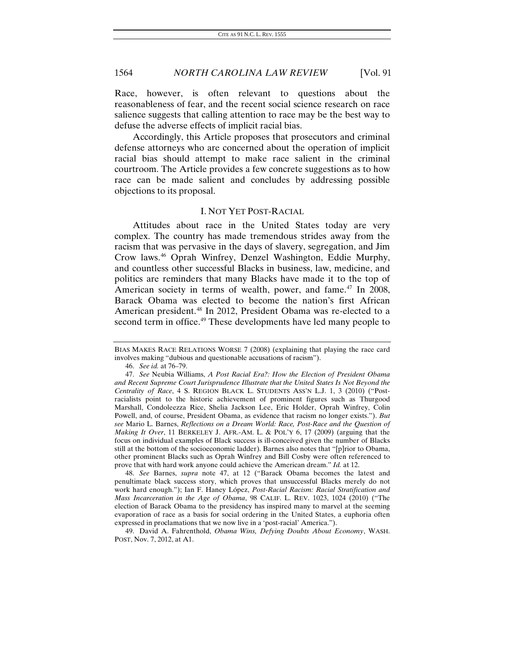Race, however, is often relevant to questions about the reasonableness of fear, and the recent social science research on race salience suggests that calling attention to race may be the best way to defuse the adverse effects of implicit racial bias.

Accordingly, this Article proposes that prosecutors and criminal defense attorneys who are concerned about the operation of implicit racial bias should attempt to make race salient in the criminal courtroom. The Article provides a few concrete suggestions as to how race can be made salient and concludes by addressing possible objections to its proposal.

#### I. NOT YET POST-RACIAL

Attitudes about race in the United States today are very complex. The country has made tremendous strides away from the racism that was pervasive in the days of slavery, segregation, and Jim Crow laws.[46](#page-10-0) Oprah Winfrey, Denzel Washington, Eddie Murphy, and countless other successful Blacks in business, law, medicine, and politics are reminders that many Blacks have made it to the top of American society in terms of wealth, power, and fame.<sup>[47](#page-10-1)</sup> In 2008, Barack Obama was elected to become the nation's first African American president.<sup>[48](#page-10-2)</sup> In 2012, President Obama was re-elected to a second term in office.<sup>49</sup> These developments have led many people to

<span id="page-10-2"></span>48. *See* Barnes, *supra* note 47, at 12 ("Barack Obama becomes the latest and penultimate black success story, which proves that unsuccessful Blacks merely do not work hard enough."); Ian F. Haney López, *Post-Racial Racism: Racial Stratification and Mass Incarceration in the Age of Obama*, 98 CALIF. L. REV. 1023, 1024 (2010) ("The election of Barack Obama to the presidency has inspired many to marvel at the seeming evaporation of race as a basis for social ordering in the United States, a euphoria often expressed in proclamations that we now live in a 'post-racial' America.").

<span id="page-10-3"></span>49. David A. Fahrenthold, *Obama Wins, Defying Doubts About Economy*, WASH. POST, Nov. 7, 2012, at A1.

BIAS MAKES RACE RELATIONS WORSE 7 (2008) (explaining that playing the race card involves making "dubious and questionable accusations of racism").

<sup>46.</sup> *See id.* at 76–79.

<span id="page-10-1"></span><span id="page-10-0"></span><sup>47.</sup> *See* Neubia Williams, *A Post Racial Era?: How the Election of President Obama and Recent Supreme Court Jurisprudence Illustrate that the United States Is Not Beyond the Centrality of Race*, 4 S. REGION BLACK L. STUDENTS ASS'N L.J. 1, 3 (2010) ("Postracialists point to the historic achievement of prominent figures such as Thurgood Marshall, Condoleezza Rice, Shelia Jackson Lee, Eric Holder, Oprah Winfrey, Colin Powell, and, of course, President Obama, as evidence that racism no longer exists."). *But see* Mario L. Barnes, *Reflections on a Dream World: Race, Post-Race and the Question of Making It Over*, 11 BERKELEY J. AFR.-AM. L. & POL'Y 6, 17 (2009) (arguing that the focus on individual examples of Black success is ill-conceived given the number of Blacks still at the bottom of the socioeconomic ladder). Barnes also notes that "[p]rior to Obama, other prominent Blacks such as Oprah Winfrey and Bill Cosby were often referenced to prove that with hard work anyone could achieve the American dream." *Id.* at 12.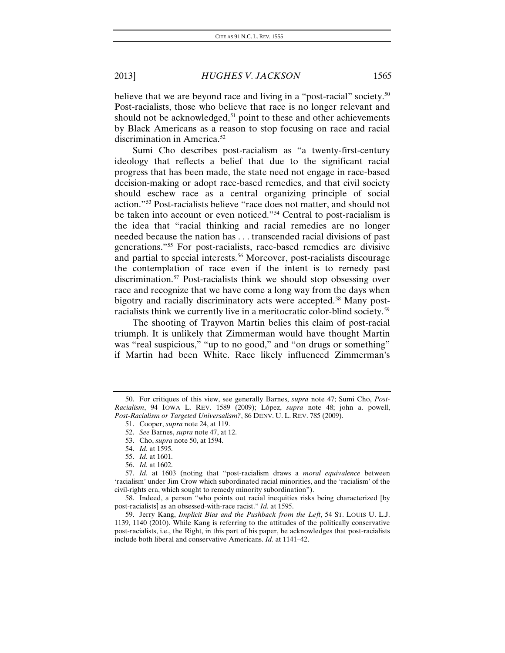believe that we are beyond race and living in a "post-racial" society.<sup>50</sup> Post-racialists, those who believe that race is no longer relevant and should not be acknowledged,<sup>[51](#page-11-1)</sup> point to these and other achievements by Black Americans as a reason to stop focusing on race and racial discrimination in America.<sup>[52](#page-11-2)</sup>

Sumi Cho describes post-racialism as "a twenty-first-century ideology that reflects a belief that due to the significant racial progress that has been made, the state need not engage in race-based decision-making or adopt race-based remedies, and that civil society should eschew race as a central organizing principle of social action."[53](#page-11-3) Post-racialists believe "race does not matter, and should not be taken into account or even noticed."<sup>[54](#page-11-4)</sup> Central to post-racialism is the idea that "racial thinking and racial remedies are no longer needed because the nation has . . . transcended racial divisions of past generations."[55](#page-11-5) For post-racialists, race-based remedies are divisive and partial to special interests.<sup>[56](#page-11-6)</sup> Moreover, post-racialists discourage the contemplation of race even if the intent is to remedy past discrimination.<sup>[57](#page-11-7)</sup> Post-racialists think we should stop obsessing over race and recognize that we have come a long way from the days when bigotry and racially discriminatory acts were accepted.<sup>[58](#page-11-8)</sup> Many post-racialists think we currently live in a meritocratic color-blind society.<sup>[59](#page-11-9)</sup>

The shooting of Trayvon Martin belies this claim of post-racial triumph. It is unlikely that Zimmerman would have thought Martin was "real suspicious," "up to no good," and "on drugs or something" if Martin had been White. Race likely influenced Zimmerman's

<span id="page-11-2"></span><span id="page-11-1"></span><span id="page-11-0"></span><sup>50.</sup> For critiques of this view, see generally Barnes, *supra* note 47; Sumi Cho, *Post-Racialism*, 94 IOWA L. REV. 1589 (2009); López, *supra* note 48; john a. powell, *Post-Racialism or Targeted Universalism?*, 86 DENV. U. L. REV. 785 (2009).

<sup>51.</sup> Cooper, *supra* note 24, at 119.

<sup>52.</sup> *See* Barnes, *supra* note 47, at 12.

<sup>53.</sup> Cho, *supra* note 50, at 1594.

<sup>54.</sup> *Id.* at 1595.

<sup>55.</sup> *Id.* at 1601.

<sup>56.</sup> *Id.* at 1602.

<span id="page-11-7"></span><span id="page-11-6"></span><span id="page-11-5"></span><span id="page-11-4"></span><span id="page-11-3"></span><sup>57.</sup> *Id.* at 1603 (noting that "post-racialism draws a *moral equivalence* between 'racialism' under Jim Crow which subordinated racial minorities, and the 'racialism' of the civil-rights era, which sought to remedy minority subordination").

<span id="page-11-8"></span><sup>58.</sup> Indeed, a person "who points out racial inequities risks being characterized [by post-racialists] as an obsessed-with-race racist." *Id.* at 1595.

<span id="page-11-9"></span><sup>59.</sup> Jerry Kang, *Implicit Bias and the Pushback from the Left*, 54 ST. LOUIS U. L.J. 1139, 1140 (2010). While Kang is referring to the attitudes of the politically conservative post-racialists, i.e., the Right, in this part of his paper, he acknowledges that post-racialists include both liberal and conservative Americans. *Id.* at 1141–42.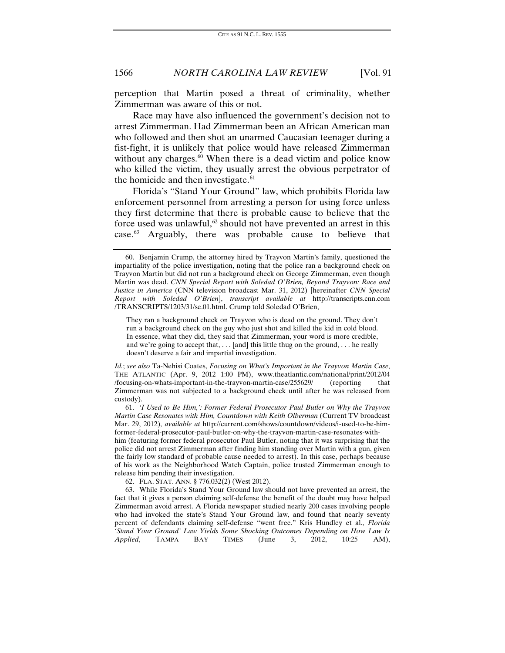perception that Martin posed a threat of criminality, whether Zimmerman was aware of this or not.

Race may have also influenced the government's decision not to arrest Zimmerman. Had Zimmerman been an African American man who followed and then shot an unarmed Caucasian teenager during a fist-fight, it is unlikely that police would have released Zimmerman without any charges. $60$  When there is a dead victim and police know who killed the victim, they usually arrest the obvious perpetrator of the homicide and then investigate.<sup>[61](#page-12-1)</sup>

Florida's "Stand Your Ground" law, which prohibits Florida law enforcement personnel from arresting a person for using force unless they first determine that there is probable cause to believe that the force used was unlawful, $62$  should not have prevented an arrest in this case[.63](#page-12-3) Arguably, there was probable cause to believe that

*Id.*; *see also* Ta-Nehisi Coates, *Focusing on What's Important in the Trayvon Martin Case*, THE ATLANTIC (Apr. 9, 2012 1:00 PM), www.theatlantic.com/national/print/2012/04 /focusing-on-whats-important-in-the-trayvon-martin-case/255629/ (reporting that Zimmerman was not subjected to a background check until after he was released from custody).

<span id="page-12-1"></span>61. *'I Used to Be Him,': Former Federal Prosecutor Paul Butler on Why the Trayvon Martin Case Resonates with Him, Countdown with Keith Olberman* (Current TV broadcast Mar. 29, 2012), *available at* http://current.com/shows/countdown/videos/i-used-to-be-himformer-federal-prosecutor-paul-butler-on-why-the-trayvon-martin-case-resonates-withhim (featuring former federal prosecutor Paul Butler, noting that it was surprising that the police did not arrest Zimmerman after finding him standing over Martin with a gun, given the fairly low standard of probable cause needed to arrest). In this case, perhaps because of his work as the Neighborhood Watch Captain, police trusted Zimmerman enough to release him pending their investigation.

62. FLA. STAT. ANN. § 776.032(2) (West 2012).

<span id="page-12-3"></span><span id="page-12-2"></span>63. While Florida's Stand Your Ground law should not have prevented an arrest, the fact that it gives a person claiming self-defense the benefit of the doubt may have helped Zimmerman avoid arrest. A Florida newspaper studied nearly 200 cases involving people who had invoked the state's Stand Your Ground law, and found that nearly seventy percent of defendants claiming self-defense "went free." Kris Hundley et al., *Florida*  'Stand Your Ground' Law Yields Some Shocking Outcomes Depending on How Law Is *Applied*, TAMPA BAY TIMES (June 3, 2012, 10:25 AM),

<span id="page-12-0"></span><sup>60.</sup> Benjamin Crump, the attorney hired by Trayvon Martin's family, questioned the impartiality of the police investigation, noting that the police ran a background check on Trayvon Martin but did not run a background check on George Zimmerman, even though Martin was dead. *CNN Special Report with Soledad O'Brien, Beyond Trayvon: Race and Justice in America* (CNN television broadcast Mar. 31, 2012) [hereinafter *CNN Special Report with Soledad O'Brien*], *transcript available at* http://transcripts.cnn.com /TRANSCRIPTS/1203/31/se.01.html. Crump told Soledad O'Brien,

They ran a background check on Trayvon who is dead on the ground. They don't run a background check on the guy who just shot and killed the kid in cold blood. In essence, what they did, they said that Zimmerman, your word is more credible, and we're going to accept that, . . . [and] this little thug on the ground, . . . he really doesn't deserve a fair and impartial investigation.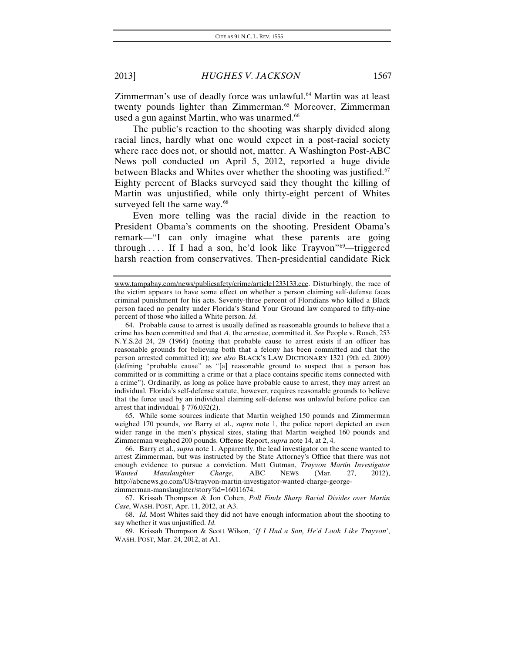Zimmerman's use of deadly force was unlawful.<sup>[64](#page-13-0)</sup> Martin was at least twenty pounds lighter than Zimmerman.<sup>[65](#page-13-1)</sup> Moreover, Zimmerman used a gun against Martin, who was unarmed.<sup>[66](#page-13-2)</sup>

The public's reaction to the shooting was sharply divided along racial lines, hardly what one would expect in a post-racial society where race does not, or should not, matter. A Washington Post-ABC News poll conducted on April 5, 2012, reported a huge divide between Blacks and Whites over whether the shooting was justified.<sup>67</sup> Eighty percent of Blacks surveyed said they thought the killing of Martin was unjustified, while only thirty-eight percent of Whites surveyed felt the same way.<sup>[68](#page-13-4)</sup>

Even more telling was the racial divide in the reaction to President Obama's comments on the shooting. President Obama's remark—"I can only imagine what these parents are going through  $\ldots$  If I had a son, he'd look like Trayvon"<sup>69</sup>—triggered harsh reaction from conservatives. Then-presidential candidate Rick

<span id="page-13-0"></span>64. Probable cause to arrest is usually defined as reasonable grounds to believe that a crime has been committed and that *A*, the arrestee, committed it. *See* People v. Roach, 253 N.Y.S.2d 24, 29 (1964) (noting that probable cause to arrest exists if an officer has reasonable grounds for believing both that a felony has been committed and that the person arrested committed it); *see also* BLACK'S LAW DICTIONARY 1321 (9th ed. 2009) (defining "probable cause" as "[a] reasonable ground to suspect that a person has committed or is committing a crime or that a place contains specific items connected with a crime"). Ordinarily, as long as police have probable cause to arrest, they may arrest an individual. Florida's self-defense statute, however, requires reasonable grounds to believe that the force used by an individual claiming self-defense was unlawful before police can arrest that individual. § 776.032(2).

<span id="page-13-1"></span>65. While some sources indicate that Martin weighed 150 pounds and Zimmerman weighed 170 pounds, *see* Barry et al., *supra* note 1, the police report depicted an even wider range in the men's physical sizes, stating that Martin weighed 160 pounds and Zimmerman weighed 200 pounds. Offense Report, *supra* note 14, at 2, 4.

<span id="page-13-2"></span>66. Barry et al., *supra* note 1. Apparently, the lead investigator on the scene wanted to arrest Zimmerman, but was instructed by the State Attorney's Office that there was not enough evidence to pursue a conviction. Matt Gutman, *Trayvon Martin Investigator Wanted Manslaughter Charge*, ABC NEWS (Mar. 27, 2012), http://abcnews.go.com/US/trayvon-martin-investigator-wanted-charge-georgezimmerman-manslaughter/story?id=16011674.

<span id="page-13-3"></span>67. Krissah Thompson & Jon Cohen, *Poll Finds Sharp Racial Divides over Martin Case*, WASH. POST, Apr. 11, 2012, at A3.

<span id="page-13-4"></span>68. *Id.* Most Whites said they did not have enough information about the shooting to say whether it was unjustified. *Id.*

<span id="page-13-5"></span>69. Krissah Thompson & Scott Wilson, '*If I Had a Son, He'd Look Like Trayvon'*, WASH. POST, Mar. 24, 2012, at A1.

www.tampabay.com/news/publicsafety/crime/article1233133.ece. Disturbingly, the race of the victim appears to have some effect on whether a person claiming self-defense faces criminal punishment for his acts. Seventy-three percent of Floridians who killed a Black person faced no penalty under Florida's Stand Your Ground law compared to fifty-nine percent of those who killed a White person. *Id.*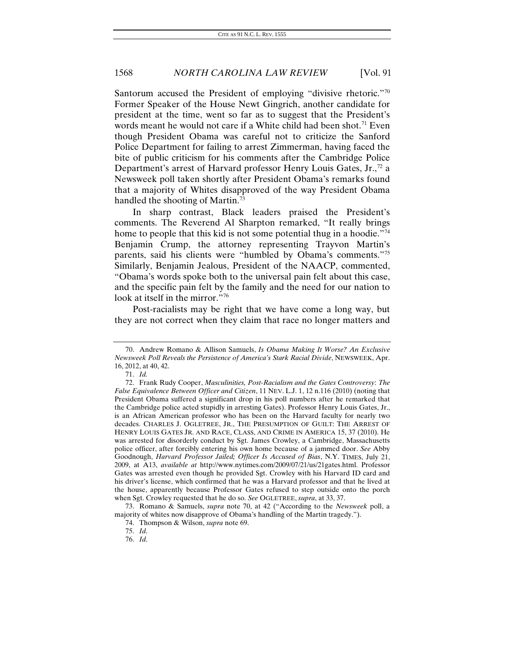Santorum accused the President of employing "divisive rhetoric."<sup>70</sup> Former Speaker of the House Newt Gingrich, another candidate for president at the time, went so far as to suggest that the President's words meant he would not care if a White child had been shot.<sup>[71](#page-14-1)</sup> Even though President Obama was careful not to criticize the Sanford Police Department for failing to arrest Zimmerman, having faced the bite of public criticism for his comments after the Cambridge Police Department's arrest of Harvard professor Henry Louis Gates,  $Jr$ <sup>[72](#page-14-2)</sup>, a Newsweek poll taken shortly after President Obama's remarks found that a majority of Whites disapproved of the way President Obama handled the shooting of Martin.<sup>[73](#page-14-3)</sup>

In sharp contrast, Black leaders praised the President's comments. The Reverend Al Sharpton remarked, "It really brings home to people that this kid is not some potential thug in a hoodie."<sup>74</sup> Benjamin Crump, the attorney representing Trayvon Martin's parents, said his clients were "humbled by Obama's comments.["75](#page-14-5) Similarly, Benjamin Jealous, President of the NAACP, commented, "Obama's words spoke both to the universal pain felt about this case, and the specific pain felt by the family and the need for our nation to look at itself in the mirror."<sup>[76](#page-14-6)</sup>

Post-racialists may be right that we have come a long way, but they are not correct when they claim that race no longer matters and

<span id="page-14-0"></span><sup>70.</sup> Andrew Romano & Allison Samuels, *Is Obama Making It Worse? An Exclusive Newsweek Poll Reveals the Persistence of America's Stark Racial Divide*, NEWSWEEK, Apr. 16, 2012, at 40, 42.

<sup>71.</sup> *Id.*

<span id="page-14-2"></span><span id="page-14-1"></span><sup>72.</sup> Frank Rudy Cooper, *Masculinities, Post-Racialism and the Gates Controversy*: *The False Equivalence Between Officer and Citizen*, 11 NEV. L.J. 1, 12 n.116 (2010) (noting that President Obama suffered a significant drop in his poll numbers after he remarked that the Cambridge police acted stupidly in arresting Gates). Professor Henry Louis Gates, Jr., is an African American professor who has been on the Harvard faculty for nearly two decades. CHARLES J. OGLETREE, JR., THE PRESUMPTION OF GUILT: THE ARREST OF HENRY LOUIS GATES JR. AND RACE, CLASS, AND CRIME IN AMERICA 15, 37 (2010). He was arrested for disorderly conduct by Sgt. James Crowley, a Cambridge, Massachusetts police officer, after forcibly entering his own home because of a jammed door. *See* Abby Goodnough, *Harvard Professor Jailed; Officer Is Accused of Bias*, N.Y. TIMES, July 21, 2009, at A13, *available at* http://www.nytimes.com/2009/07/21/us/21gates.html. Professor Gates was arrested even though he provided Sgt. Crowley with his Harvard ID card and his driver's license, which confirmed that he was a Harvard professor and that he lived at the house, apparently because Professor Gates refused to step outside onto the porch when Sgt. Crowley requested that he do so. *See* OGLETREE, *supra*, at 33, 37.

<span id="page-14-6"></span><span id="page-14-5"></span><span id="page-14-4"></span><span id="page-14-3"></span><sup>73.</sup> Romano & Samuels, *supra* note 70, at 42 ("According to the *Newsweek* poll, a majority of whites now disapprove of Obama's handling of the Martin tragedy.").

<sup>74.</sup> Thompson & Wilson, *supra* note 69.

<sup>75.</sup> *Id*.

<sup>76.</sup> *Id*.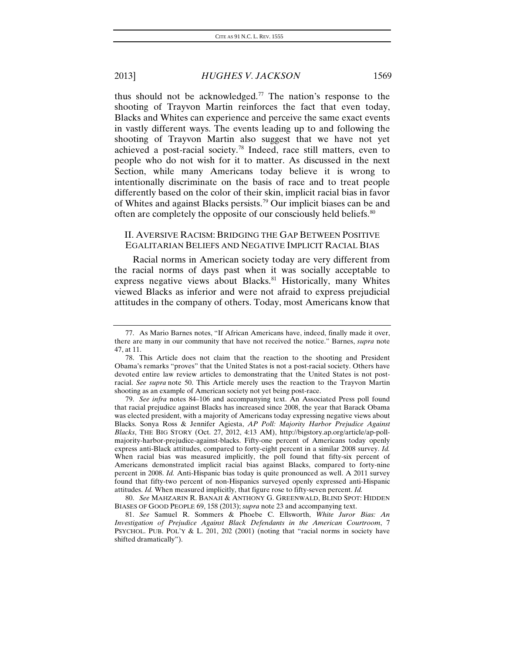thus should not be acknowledged.<sup>[77](#page-15-0)</sup> The nation's response to the shooting of Trayvon Martin reinforces the fact that even today, Blacks and Whites can experience and perceive the same exact events in vastly different ways. The events leading up to and following the shooting of Trayvon Martin also suggest that we have not yet achieved a post-racial society.[78](#page-15-1) Indeed, race still matters, even to people who do not wish for it to matter. As discussed in the next Section, while many Americans today believe it is wrong to intentionally discriminate on the basis of race and to treat people differently based on the color of their skin, implicit racial bias in favor of Whites and against Blacks persists.[79](#page-15-2) Our implicit biases can be and often are completely the opposite of our consciously held beliefs.<sup>[80](#page-15-3)</sup>

### II. AVERSIVE RACISM: BRIDGING THE GAP BETWEEN POSITIVE EGALITARIAN BELIEFS AND NEGATIVE IMPLICIT RACIAL BIAS

Racial norms in American society today are very different from the racial norms of days past when it was socially acceptable to express negative views about Blacks.<sup>[81](#page-15-4)</sup> Historically, many Whites viewed Blacks as inferior and were not afraid to express prejudicial attitudes in the company of others. Today, most Americans know that

<span id="page-15-2"></span>79. *See infra* notes 84–106 and accompanying text. An Associated Press poll found that racial prejudice against Blacks has increased since 2008, the year that Barack Obama was elected president, with a majority of Americans today expressing negative views about Blacks. Sonya Ross & Jennifer Agiesta, *AP Poll: Majority Harbor Prejudice Against Blacks*, THE BIG STORY (Oct. 27, 2012, 4:13 AM), http://bigstory.ap.org/article/ap-pollmajority-harbor-prejudice-against-blacks. Fifty-one percent of Americans today openly express anti-Black attitudes, compared to forty-eight percent in a similar 2008 survey. *Id.*  When racial bias was measured implicitly, the poll found that fifty-six percent of Americans demonstrated implicit racial bias against Blacks, compared to forty-nine percent in 2008. *Id.* Anti-Hispanic bias today is quite pronounced as well. A 2011 survey found that fifty-two percent of non-Hispanics surveyed openly expressed anti-Hispanic attitudes. *Id.* When measured implicitly, that figure rose to fifty-seven percent. *Id.*

<span id="page-15-3"></span>80. *See* MAHZARIN R. BANAJI & ANTHONY G. GREENWALD, BLIND SPOT: HIDDEN BIASES OF GOOD PEOPLE 69, 158 (2013); *supra* note 23 and accompanying text.

<span id="page-15-4"></span>81. *See* Samuel R. Sommers & Phoebe C. Ellsworth, *White Juror Bias: An Investigation of Prejudice Against Black Defendants in the American Courtroom*, 7 PSYCHOL. PUB. POL'Y & L. 201, 202 (2001) (noting that "racial norms in society have shifted dramatically").

<span id="page-15-0"></span><sup>77.</sup> As Mario Barnes notes, "If African Americans have, indeed, finally made it over, there are many in our community that have not received the notice." Barnes, *supra* note 47, at 11.

<span id="page-15-1"></span><sup>78.</sup> This Article does not claim that the reaction to the shooting and President Obama's remarks "proves" that the United States is not a post-racial society. Others have devoted entire law review articles to demonstrating that the United States is not postracial. *See supra* note 50. This Article merely uses the reaction to the Trayvon Martin shooting as an example of American society not yet being post-race.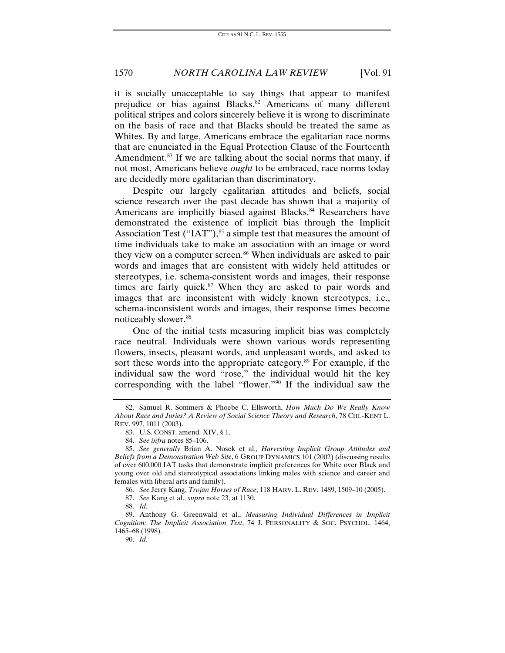it is socially unacceptable to say things that appear to manifest prejudice or bias against Blacks.<sup>[82](#page-16-0)</sup> Americans of many different political stripes and colors sincerely believe it is wrong to discriminate on the basis of race and that Blacks should be treated the same as Whites. By and large, Americans embrace the egalitarian race norms that are enunciated in the Equal Protection Clause of the Fourteenth Amendment.<sup>[83](#page-16-1)</sup> If we are talking about the social norms that many, if not most, Americans believe *ought* to be embraced, race norms today are decidedly more egalitarian than discriminatory.

Despite our largely egalitarian attitudes and beliefs, social science research over the past decade has shown that a majority of Americans are implicitly biased against Blacks.<sup>[84](#page-16-2)</sup> Researchers have demonstrated the existence of implicit bias through the Implicit Association Test ("IAT"), $85$  a simple test that measures the amount of time individuals take to make an association with an image or word they view on a computer screen.<sup>[86](#page-16-4)</sup> When individuals are asked to pair words and images that are consistent with widely held attitudes or stereotypes, i.e. schema-consistent words and images, their response times are fairly quick. $87$  When they are asked to pair words and images that are inconsistent with widely known stereotypes, i.e., schema-inconsistent words and images, their response times become noticeably slower.<sup>[88](#page-16-6)</sup>

One of the initial tests measuring implicit bias was completely race neutral. Individuals were shown various words representing flowers, insects, pleasant words, and unpleasant words, and asked to sort these words into the appropriate category.<sup>[89](#page-16-7)</sup> For example, if the individual saw the word "rose," the individual would hit the key corresponding with the label "flower."[90](#page-16-8) If the individual saw the

<span id="page-16-0"></span><sup>82.</sup> Samuel R. Sommers & Phoebe C. Ellsworth, *How Much Do We Really Know About Race and Juries? A Review of Social Science Theory and Research*, 78 CHI.-KENT L. REV. 997, 1011 (2003).

<sup>83.</sup> U.S. CONST. amend. XIV, § 1.

<sup>84.</sup> *See infra* notes 85–106.

<span id="page-16-3"></span><span id="page-16-2"></span><span id="page-16-1"></span><sup>85.</sup> *See generally* Brian A. Nosek et al., *Harvesting Implicit Group Attitudes and Beliefs from a Demonstration Web Site*, 6 GROUP DYNAMICS 101 (2002) (discussing results of over 600,000 IAT tasks that demonstrate implicit preferences for White over Black and young over old and stereotypical associations linking males with science and career and females with liberal arts and family).

<sup>86.</sup> *See* Jerry Kang, *Trojan Horses of Race*, 118 HARV. L. REV. 1489, 1509–10 (2005).

<sup>87.</sup> *See* Kang et al., *supra* note 23, at 1130.

<sup>88.</sup> *Id.*

<span id="page-16-8"></span><span id="page-16-7"></span><span id="page-16-6"></span><span id="page-16-5"></span><span id="page-16-4"></span><sup>89.</sup> Anthony G. Greenwald et al., *Measuring Individual Differences in Implicit Cognition: The Implicit Association Test*, 74 J. PERSONALITY & SOC. PSYCHOL. 1464, 1465–68 (1998). 90. *Id.*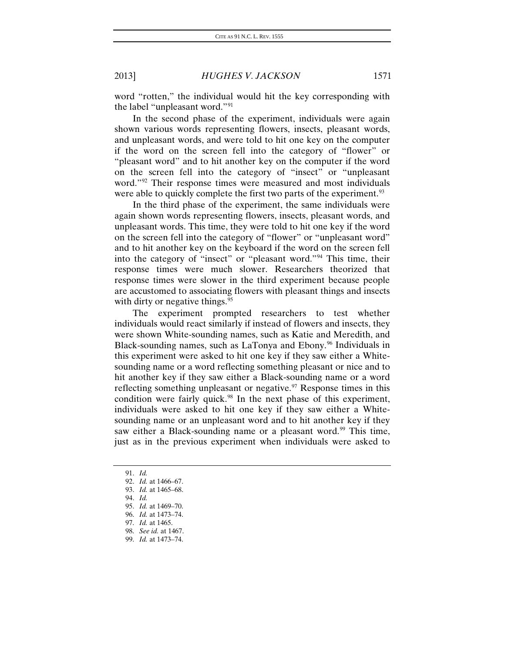word "rotten," the individual would hit the key corresponding with the label "unpleasant word."[91](#page-17-0)

In the second phase of the experiment, individuals were again shown various words representing flowers, insects, pleasant words, and unpleasant words, and were told to hit one key on the computer if the word on the screen fell into the category of "flower" or "pleasant word" and to hit another key on the computer if the word on the screen fell into the category of "insect" or "unpleasant word."<sup>[92](#page-17-1)</sup> Their response times were measured and most individuals were able to quickly complete the first two parts of the experiment.<sup>[93](#page-17-2)</sup>

In the third phase of the experiment, the same individuals were again shown words representing flowers, insects, pleasant words, and unpleasant words. This time, they were told to hit one key if the word on the screen fell into the category of "flower" or "unpleasant word" and to hit another key on the keyboard if the word on the screen fell into the category of "insect" or "pleasant word."[94](#page-17-3) This time, their response times were much slower. Researchers theorized that response times were slower in the third experiment because people are accustomed to associating flowers with pleasant things and insects with dirty or negative things.<sup>[95](#page-17-4)</sup>

The experiment prompted researchers to test whether individuals would react similarly if instead of flowers and insects, they were shown White-sounding names, such as Katie and Meredith, and Black-sounding names, such as LaTonya and Ebony.<sup>[96](#page-17-5)</sup> Individuals in this experiment were asked to hit one key if they saw either a Whitesounding name or a word reflecting something pleasant or nice and to hit another key if they saw either a Black-sounding name or a word reflecting something unpleasant or negative. $97$  Response times in this condition were fairly quick.<sup>[98](#page-17-7)</sup> In the next phase of this experiment, individuals were asked to hit one key if they saw either a Whitesounding name or an unpleasant word and to hit another key if they saw either a Black-sounding name or a pleasant word.<sup>[99](#page-17-8)</sup> This time, just as in the previous experiment when individuals were asked to

- <span id="page-17-3"></span>94. *Id.*
- <span id="page-17-4"></span>95. *Id.* at 1469–70.

<span id="page-17-0"></span><sup>91.</sup> *Id.*

<span id="page-17-2"></span><span id="page-17-1"></span><sup>92.</sup> *Id.* at 1466–67.

<sup>93.</sup> *Id.* at 1465–68.

<span id="page-17-6"></span><span id="page-17-5"></span><sup>96.</sup> *Id.* at 1473–74.

<sup>97.</sup> *Id.* at 1465.

<sup>98.</sup> *See id.* at 1467.

<span id="page-17-8"></span><span id="page-17-7"></span><sup>99.</sup> *Id.* at 1473–74.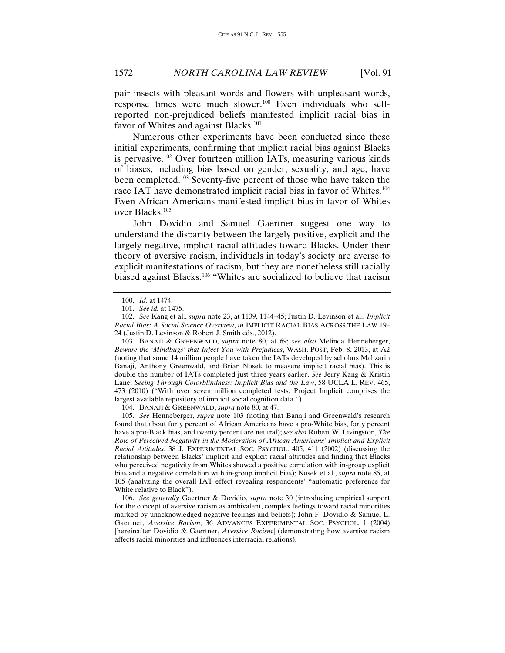pair insects with pleasant words and flowers with unpleasant words, response times were much slower.<sup>[100](#page-18-0)</sup> Even individuals who selfreported non-prejudiced beliefs manifested implicit racial bias in favor of Whites and against Blacks.<sup>[101](#page-18-1)</sup>

Numerous other experiments have been conducted since these initial experiments, confirming that implicit racial bias against Blacks is pervasive.[102](#page-18-2) Over fourteen million IATs, measuring various kinds of biases, including bias based on gender, sexuality, and age, have been completed.[103](#page-18-3) Seventy-five percent of those who have taken the race IAT have demonstrated implicit racial bias in favor of Whites.<sup>[104](#page-18-4)</sup> Even African Americans manifested implicit bias in favor of Whites over Blacks.[105](#page-18-5)

John Dovidio and Samuel Gaertner suggest one way to understand the disparity between the largely positive, explicit and the largely negative, implicit racial attitudes toward Blacks. Under their theory of aversive racism, individuals in today's society are averse to explicit manifestations of racism, but they are nonetheless still racially biased against Blacks.<sup>[106](#page-18-6)</sup> "Whites are socialized to believe that racism

<span id="page-18-3"></span>103. BANAJI & GREENWALD, *supra* note 80, at 69; *see also* Melinda Henneberger, *Beware the 'Mindbugs' that Infect You with Prejudices*, WASH. POST, Feb. 8, 2013, at A2 (noting that some 14 million people have taken the IATs developed by scholars Mahzarin Banaji, Anthony Greenwald, and Brian Nosek to measure implicit racial bias). This is double the number of IATs completed just three years earlier. *See* Jerry Kang & Kristin Lane, *Seeing Through Colorblindness: Implicit Bias and the Law*, 58 UCLA L. REV. 465, 473 (2010) ("With over seven million completed tests, Project Implicit comprises the largest available repository of implicit social cognition data.").

104. BANAJI & GREENWALD, *supra* note 80, at 47.

<span id="page-18-5"></span><span id="page-18-4"></span>105. *See* Henneberger, *supra* note 103 (noting that Banaji and Greenwald's research found that about forty percent of African Americans have a pro-White bias, forty percent have a pro-Black bias, and twenty percent are neutral); *see also* Robert W. Livingston, *The Role of Perceived Negativity in the Moderation of African Americans' Implicit and Explicit Racial Attitudes*, 38 J. EXPERIMENTAL SOC. PSYCHOL. 405, 411 (2002) (discussing the relationship between Blacks' implicit and explicit racial attitudes and finding that Blacks who perceived negativity from Whites showed a positive correlation with in-group explicit bias and a negative correlation with in-group implicit bias); Nosek et al., *supra* note 85, at 105 (analyzing the overall IAT effect revealing respondents' "automatic preference for White relative to Black").

<span id="page-18-6"></span>106. *See generally* Gaertner & Dovidio, *supra* note 30 (introducing empirical support for the concept of aversive racism as ambivalent, complex feelings toward racial minorities marked by unacknowledged negative feelings and beliefs); John F. Dovidio & Samuel L. Gaertner, *Aversive Racism*, 36 ADVANCES EXPERIMENTAL SOC. PSYCHOL. 1 (2004) [hereinafter Dovidio & Gaertner, *Aversive Racism*] (demonstrating how aversive racism affects racial minorities and influences interracial relations).

<sup>100.</sup> *Id.* at 1474.

<sup>101.</sup> *See id.* at 1475.

<span id="page-18-2"></span><span id="page-18-1"></span><span id="page-18-0"></span><sup>102.</sup> *See* Kang et al., *supra* note 23, at 1139, 1144–45; Justin D. Levinson et al., *Implicit Racial Bias: A Social Science Overview*, *in* IMPLICIT RACIAL BIAS ACROSS THE LAW 19– 24 (Justin D. Levinson & Robert J. Smith eds., 2012).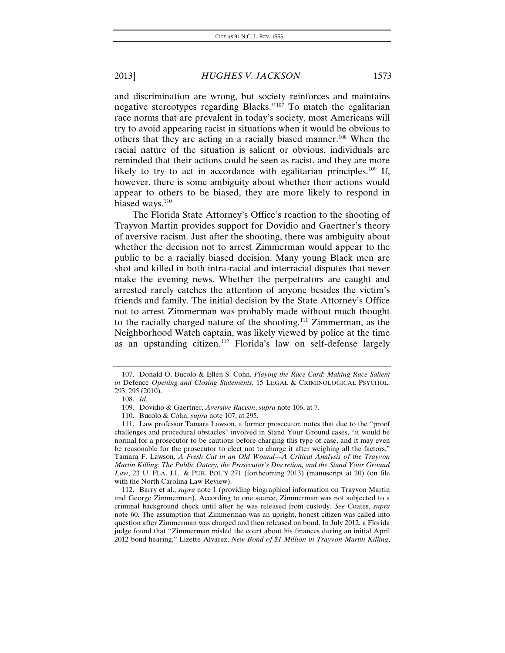and discrimination are wrong, but society reinforces and maintains negative stereotypes regarding Blacks."<sup>[107](#page-19-0)</sup> To match the egalitarian race norms that are prevalent in today's society, most Americans will try to avoid appearing racist in situations when it would be obvious to others that they are acting in a racially biased manner.<sup>[108](#page-19-1)</sup> When the racial nature of the situation is salient or obvious, individuals are reminded that their actions could be seen as racist, and they are more likely to try to act in accordance with egalitarian principles.<sup>[109](#page-19-2)</sup> If, however, there is some ambiguity about whether their actions would appear to others to be biased, they are more likely to respond in biased ways.<sup>[110](#page-19-3)</sup>

The Florida State Attorney's Office's reaction to the shooting of Trayvon Martin provides support for Dovidio and Gaertner's theory of aversive racism. Just after the shooting, there was ambiguity about whether the decision not to arrest Zimmerman would appear to the public to be a racially biased decision. Many young Black men are shot and killed in both intra-racial and interracial disputes that never make the evening news. Whether the perpetrators are caught and arrested rarely catches the attention of anyone besides the victim's friends and family. The initial decision by the State Attorney's Office not to arrest Zimmerman was probably made without much thought to the racially charged nature of the shooting.[111](#page-19-4) Zimmerman, as the Neighborhood Watch captain, was likely viewed by police at the time as an upstanding citizen.[112](#page-19-5) Florida's law on self-defense largely

<span id="page-19-1"></span><span id="page-19-0"></span><sup>107.</sup> Donald O. Bucolo & Ellen S. Cohn, *Playing the Race Card*: *Making Race Salient in* Defence *Opening and Closing Statements*, 15 LEGAL & CRIMINOLOGICAL PSYCHOL. 293, 295 (2010).

<sup>108.</sup> *Id.*

<sup>109.</sup> Dovidio & Gaertner, *Aversive Racism*, *supra* note 106, at 7.

<sup>110.</sup> Bucolo & Cohn, *supra* note 107, at 295.

<span id="page-19-4"></span><span id="page-19-3"></span><span id="page-19-2"></span><sup>111.</sup> Law professor Tamara Lawson, a former prosecutor, notes that due to the "proof challenges and procedural obstacles" involved in Stand Your Ground cases, "it would be normal for a prosecutor to be cautious before charging this type of case, and it may even be reasonable for the prosecutor to elect not to charge it after weighing all the factors." Tamara F. Lawson, *A Fresh Cut in an Old Wound—A Critical Analysis of the Trayvon Martin Killing: The Public Outcry, the Prosecutor's Discretion, and the Stand Your Ground Law*, 23 U. FLA. J.L. & PUB. POL'Y 271 (forthcoming 2013) (manuscript at 20) (on file with the North Carolina Law Review).

<span id="page-19-5"></span><sup>112.</sup> Barry et al., *supra* note 1 (providing biographical information on Trayvon Martin and George Zimmerman). According to one source, Zimmerman was not subjected to a criminal background check until after he was released from custody. *See* Coates, *supra* note 60. The assumption that Zimmerman was an upright, honest citizen was called into question after Zimmerman was charged and then released on bond. In July 2012, a Florida judge found that "Zimmerman misled the court about his finances during an initial April 2012 bond hearing." Lizette Alvarez, *New Bond of \$1 Million in Trayvon Martin Killing*,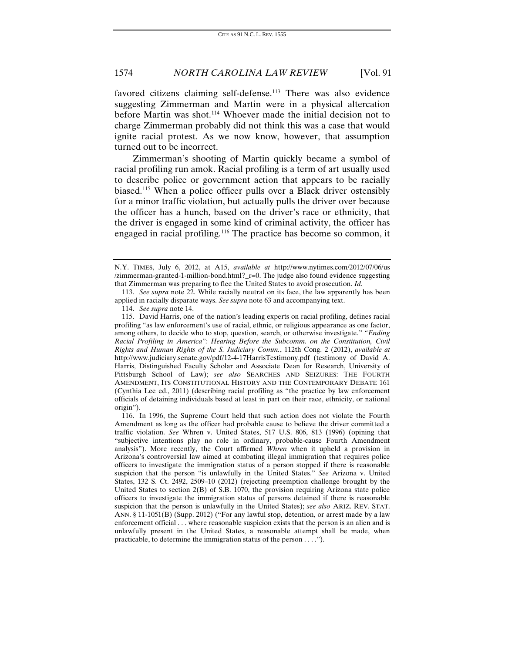favored citizens claiming self-defense.<sup>[113](#page-20-0)</sup> There was also evidence suggesting Zimmerman and Martin were in a physical altercation before Martin was shot.<sup>[114](#page-20-1)</sup> Whoever made the initial decision not to charge Zimmerman probably did not think this was a case that would ignite racial protest. As we now know, however, that assumption turned out to be incorrect.

Zimmerman's shooting of Martin quickly became a symbol of racial profiling run amok. Racial profiling is a term of art usually used to describe police or government action that appears to be racially biased.[115](#page-20-2) When a police officer pulls over a Black driver ostensibly for a minor traffic violation, but actually pulls the driver over because the officer has a hunch, based on the driver's race or ethnicity, that the driver is engaged in some kind of criminal activity, the officer has engaged in racial profiling.[116](#page-20-3) The practice has become so common, it

<span id="page-20-0"></span>113. *See supra* note 22. While racially neutral on its face, the law apparently has been applied in racially disparate ways. *See supra* note 63 and accompanying text.

114. *See supra* note 14.

<span id="page-20-2"></span><span id="page-20-1"></span>115. David Harris, one of the nation's leading experts on racial profiling, defines racial profiling "as law enforcement's use of racial, ethnic, or religious appearance as one factor, among others, to decide who to stop, question, search, or otherwise investigate." *"Ending Racial Profiling in America": Hearing Before the Subcomm. on the Constitution, Civil Rights and Human Rights of the S. Judiciary Comm.*, 112th Cong. 2 (2012), *available at* http://www.judiciary.senate.gov/pdf/12-4-17HarrisTestimony.pdf (testimony of David A. Harris, Distinguished Faculty Scholar and Associate Dean for Research, University of Pittsburgh School of Law); *see also* SEARCHES AND SEIZURES: THE FOURTH AMENDMENT, ITS CONSTITUTIONAL HISTORY AND THE CONTEMPORARY DEBATE 161 (Cynthia Lee ed., 2011) (describing racial profiling as "the practice by law enforcement officials of detaining individuals based at least in part on their race, ethnicity, or national origin").

<span id="page-20-3"></span>116. In 1996, the Supreme Court held that such action does not violate the Fourth Amendment as long as the officer had probable cause to believe the driver committed a traffic violation. *See* Whren v. United States, 517 U.S. 806, 813 (1996) (opining that "subjective intentions play no role in ordinary, probable-cause Fourth Amendment analysis"). More recently, the Court affirmed *Whren* when it upheld a provision in Arizona's controversial law aimed at combating illegal immigration that requires police officers to investigate the immigration status of a person stopped if there is reasonable suspicion that the person "is unlawfully in the United States." *See* Arizona v. United States, 132 S. Ct. 2492, 2509–10 (2012) (rejecting preemption challenge brought by the United States to section 2(B) of S.B. 1070, the provision requiring Arizona state police officers to investigate the immigration status of persons detained if there is reasonable suspicion that the person is unlawfully in the United States); *see also* ARIZ. REV. STAT. ANN. § 11-1051(B) (Supp. 2012) ("For any lawful stop, detention, or arrest made by a law enforcement official . . . where reasonable suspicion exists that the person is an alien and is unlawfully present in the United States, a reasonable attempt shall be made, when practicable, to determine the immigration status of the person . . . .").

N.Y. TIMES, July 6, 2012, at A15, *available at* http://www.nytimes.com/2012/07/06/us /zimmerman-granted-1-million-bond.html?\_r=0. The judge also found evidence suggesting that Zimmerman was preparing to flee the United States to avoid prosecution. *Id.*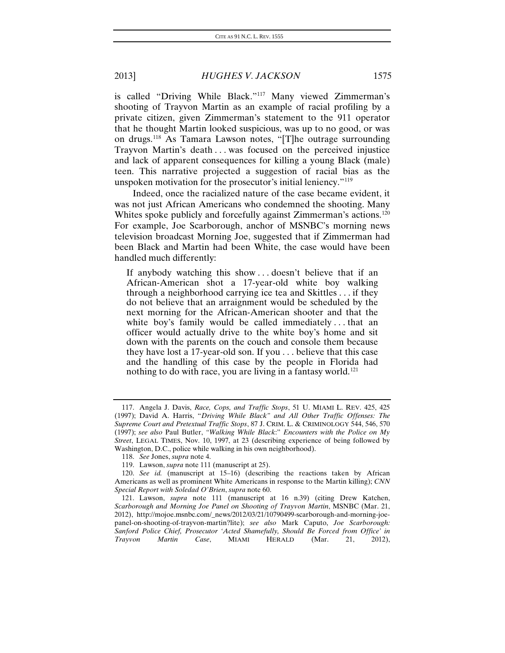is called "Driving While Black."[117](#page-21-0) Many viewed Zimmerman's shooting of Trayvon Martin as an example of racial profiling by a private citizen, given Zimmerman's statement to the 911 operator that he thought Martin looked suspicious, was up to no good, or was on drugs.[118](#page-21-1) As Tamara Lawson notes, "[T]he outrage surrounding Trayvon Martin's death . . . was focused on the perceived injustice and lack of apparent consequences for killing a young Black (male) teen. This narrative projected a suggestion of racial bias as the unspoken motivation for the prosecutor's initial leniency."[119](#page-21-2)

Indeed, once the racialized nature of the case became evident, it was not just African Americans who condemned the shooting. Many Whites spoke publicly and forcefully against Zimmerman's actions.<sup>[120](#page-21-3)</sup> For example, Joe Scarborough, anchor of MSNBC's morning news television broadcast Morning Joe, suggested that if Zimmerman had been Black and Martin had been White, the case would have been handled much differently:

If anybody watching this show . . . doesn't believe that if an African-American shot a 17-year-old white boy walking through a neighborhood carrying ice tea and Skittles . . . if they do not believe that an arraignment would be scheduled by the next morning for the African-American shooter and that the white boy's family would be called immediately...that an officer would actually drive to the white boy's home and sit down with the parents on the couch and console them because they have lost a 17-year-old son. If you . . . believe that this case and the handling of this case by the people in Florida had nothing to do with race, you are living in a fantasy world.<sup>[121](#page-21-4)</sup>

<span id="page-21-0"></span><sup>117.</sup> Angela J. Davis, *Race, Cops, and Traffic Stops*, 51 U. MIAMI L. REV. 425, 425 (1997); David A. Harris, "*Driving While Black" and All Other Traffic Offenses: The Supreme Court and Pretextual Traffic Stops*, 87 J. CRIM. L. & CRIMINOLOGY 544, 546, 570 (1997); *see also* Paul Butler, *"Walking While Black*:" *Encounters with the Police on My Street*, LEGAL TIMES, Nov. 10, 1997, at 23 (describing experience of being followed by Washington, D.C., police while walking in his own neighborhood).

<sup>118.</sup> *See* Jones, *supra* note 4.

<sup>119.</sup> Lawson, *supra* note 111 (manuscript at 25).

<span id="page-21-3"></span><span id="page-21-2"></span><span id="page-21-1"></span><sup>120.</sup> *See id.* (manuscript at 15–16) (describing the reactions taken by African Americans as well as prominent White Americans in response to the Martin killing); *CNN Special Report with Soledad O'Brien*, *supra* note 60.

<span id="page-21-4"></span><sup>121.</sup> Lawson, *supra* note 111 (manuscript at 16 n.39) (citing Drew Katchen, *Scarborough and Morning Joe Panel on Shooting of Trayvon Martin*, MSNBC (Mar. 21, 2012), http://mojoe.msnbc.com/\_news/2012/03/21/10790499-scarborough-and-morning-joepanel-on-shooting-of-trayvon-martin?lite); *see also* Mark Caputo, *Joe Scarborough: Sanford Police Chief, Prosecutor 'Acted Shamefully, Should Be Forced from Office' in Trayvon Martin Case*, MIAMI HERALD (Mar. 21, 2012),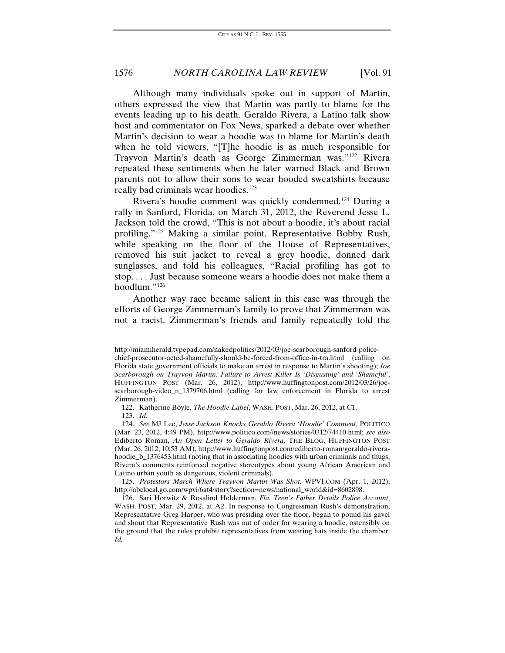Although many individuals spoke out in support of Martin, others expressed the view that Martin was partly to blame for the events leading up to his death. Geraldo Rivera, a Latino talk show host and commentator on Fox News, sparked a debate over whether Martin's decision to wear a hoodie was to blame for Martin's death when he told viewers, "[T]he hoodie is as much responsible for Trayvon Martin's death as George Zimmerman was."[122](#page-22-0) Rivera repeated these sentiments when he later warned Black and Brown parents not to allow their sons to wear hooded sweatshirts because really bad criminals wear hoodies.<sup>[123](#page-22-1)</sup>

Rivera's hoodie comment was quickly condemned.[124](#page-22-2) During a rally in Sanford, Florida, on March 31, 2012, the Reverend Jesse L. Jackson told the crowd, "This is not about a hoodie, it's about racial profiling."[125](#page-22-3) Making a similar point, Representative Bobby Rush, while speaking on the floor of the House of Representatives, removed his suit jacket to reveal a grey hoodie, donned dark sunglasses, and told his colleagues, "Racial profiling has got to stop. . . . Just because someone wears a hoodie does not make them a hoodlum."[126](#page-22-4)

Another way race became salient in this case was through the efforts of George Zimmerman's family to prove that Zimmerman was not a racist. Zimmerman's friends and family repeatedly told the

http://miamiherald.typepad.com/nakedpolitics/2012/03/joe-scarborough-sanford-police-

chief-prosecutor-acted-shamefully-should-be-forced-from-office-in-tra.html (calling on Florida state government officials to make an arrest in response to Martin's shooting); *Joe Scarborough on Trayvon Martin: Failure to Arrest Killer Is 'Disgusting' and 'Shameful'*, HUFFINGTON POST (Mar. 26, 2012), http://www.huffingtonpost.com/2012/03/26/joescarborough-video\_n\_1379706.html (calling for law enforcement in Florida to arrest Zimmerman).

<sup>122.</sup> Katherine Boyle, *The Hoodie Label*, WASH. POST, Mar. 26, 2012, at C1.

<sup>123.</sup> *Id.*

<span id="page-22-2"></span><span id="page-22-1"></span><span id="page-22-0"></span><sup>124.</sup> *See* MJ Lee, *Jesse Jackson Knocks Geraldo Rivera 'Hoodie' Comment*, POLITICO (Mar. 23, 2012, 4:49 PM), http://www.politico.com//news/stories/0312/74410.html; *see also*  Ediberto Roman, *An Open Letter to Geraldo Rivera*, THE BLOG, HUFFINGTON POST (Mar. 26, 2012, 10:53 AM), http://www.huffingtonpost.com/ediberto-roman/geraldo-riverahoodie\_b\_1376453.html (noting that in associating hoodies with urban criminals and thugs, Rivera's comments reinforced negative stereotypes about young African American and Latino urban youth as dangerous, violent criminals).

<span id="page-22-3"></span><sup>125.</sup> *Protestors March Where Trayvon Martin Was Shot*, WPVI.COM (Apr. 1, 2012), http://abclocal.go.com/wpvi/6at4/story?section=news/national\_world&id=8602898.

<span id="page-22-4"></span><sup>126.</sup> Sari Horwitz & Rosalind Helderman, *Fla. Teen's Father Details Police Account*, WASH. POST, Mar. 29, 2012, at A2. In response to Congressman Rush's demonstration, Representative Greg Harper, who was presiding over the floor, began to pound his gavel and shout that Representative Rush was out of order for wearing a hoodie, ostensibly on the ground that the rules prohibit representatives from wearing hats inside the chamber. *Id.*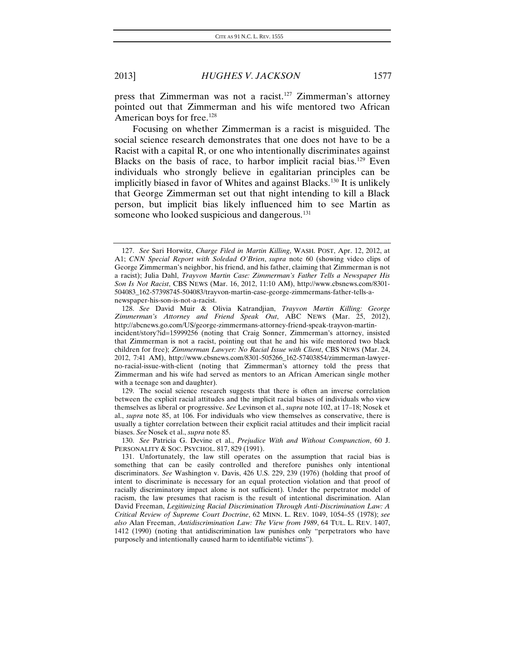press that Zimmerman was not a racist[.127](#page-23-0) Zimmerman's attorney pointed out that Zimmerman and his wife mentored two African American boys for free.<sup>[128](#page-23-1)</sup>

Focusing on whether Zimmerman is a racist is misguided. The social science research demonstrates that one does not have to be a Racist with a capital R, or one who intentionally discriminates against Blacks on the basis of race, to harbor implicit racial bias.<sup>[129](#page-23-2)</sup> Even individuals who strongly believe in egalitarian principles can be implicitly biased in favor of Whites and against Blacks.<sup>[130](#page-23-3)</sup> It is unlikely that George Zimmerman set out that night intending to kill a Black person, but implicit bias likely influenced him to see Martin as someone who looked suspicious and dangerous.<sup>[131](#page-23-4)</sup>

<span id="page-23-3"></span>130. *See* Patricia G. Devine et al., *Prejudice With and Without Compunction*, 60 J. PERSONALITY & SOC. PSYCHOL. 817, 829 (1991).

<span id="page-23-0"></span><sup>127.</sup> *See* Sari Horwitz, *Charge Filed in Martin Killing*, WASH. POST, Apr. 12, 2012, at A1; *CNN Special Report with Soledad O'Brien*, *supra* note 60 (showing video clips of George Zimmerman's neighbor, his friend, and his father, claiming that Zimmerman is not a racist); Julia Dahl, *Trayvon Martin Case: Zimmerman's Father Tells a Newspaper His Son Is Not Racist*, CBS NEWS (Mar. 16, 2012, 11:10 AM), http://www.cbsnews.com/8301- 504083\_162-57398745-504083/trayvon-martin-case-george-zimmermans-father-tells-anewspaper-his-son-is-not-a-racist.

<span id="page-23-1"></span><sup>128.</sup> *See* David Muir & Olivia Katrandjian, *Trayvon Martin Killing: George Zimmerman's Attorney and Friend Speak Out*, ABC NEWS (Mar. 25, 2012), http://abcnews.go.com/US/george-zimmermans-attorney-friend-speak-trayvon-martinincident/story?id=15999256 (noting that Craig Sonner, Zimmerman's attorney, insisted that Zimmerman is not a racist, pointing out that he and his wife mentored two black children for free); *Zimmerman Lawyer: No Racial Issue with Client*, CBS NEWS (Mar. 24, 2012, 7:41 AM), http://www.cbsnews.com/8301-505266\_162-57403854/zimmerman-lawyerno-racial-issue-with-client (noting that Zimmerman's attorney told the press that Zimmerman and his wife had served as mentors to an African American single mother with a teenage son and daughter).

<span id="page-23-2"></span><sup>129.</sup> The social science research suggests that there is often an inverse correlation between the explicit racial attitudes and the implicit racial biases of individuals who view themselves as liberal or progressive. *See* Levinson et al., *supra* note 102, at 17–18; Nosek et al., *supra* note 85, at 106. For individuals who view themselves as conservative, there is usually a tighter correlation between their explicit racial attitudes and their implicit racial biases. *See* Nosek et al., *supra* note 85.

<span id="page-23-4"></span><sup>131.</sup> Unfortunately, the law still operates on the assumption that racial bias is something that can be easily controlled and therefore punishes only intentional discriminators. *See* Washington v. Davis, 426 U.S. 229, 239 (1976) (holding that proof of intent to discriminate is necessary for an equal protection violation and that proof of racially discriminatory impact alone is not sufficient). Under the perpetrator model of racism, the law presumes that racism is the result of intentional discrimination. Alan David Freeman, *Legitimizing Racial Discrimination Through Anti-Discrimination Law: A Critical Review of Supreme Court Doctrine*, 62 MINN. L. REV. 1049, 1054–55 (1978); *see also* Alan Freeman, *Antidiscrimination Law: The View from 1989*, 64 TUL. L. REV. 1407, 1412 (1990) (noting that antidiscrimination law punishes only "perpetrators who have purposely and intentionally caused harm to identifiable victims").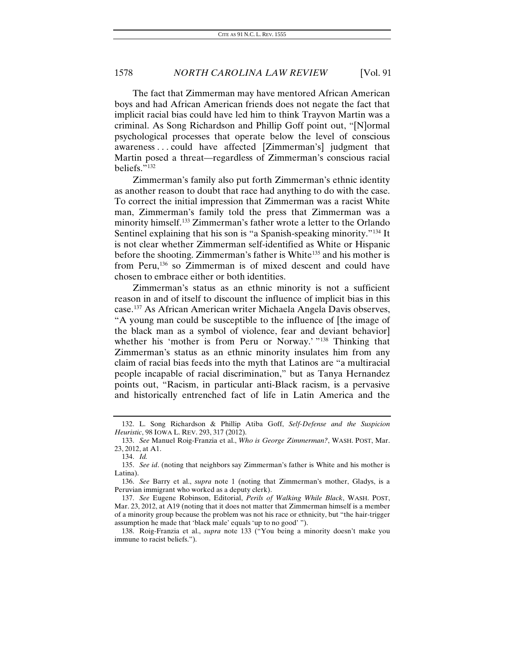The fact that Zimmerman may have mentored African American boys and had African American friends does not negate the fact that implicit racial bias could have led him to think Trayvon Martin was a criminal. As Song Richardson and Phillip Goff point out, "[N]ormal psychological processes that operate below the level of conscious awareness . . . could have affected [Zimmerman's] judgment that Martin posed a threat—regardless of Zimmerman's conscious racial beliefs."[132](#page-24-0)

Zimmerman's family also put forth Zimmerman's ethnic identity as another reason to doubt that race had anything to do with the case. To correct the initial impression that Zimmerman was a racist White man, Zimmerman's family told the press that Zimmerman was a minority himself.<sup>[133](#page-24-1)</sup> Zimmerman's father wrote a letter to the Orlando Sentinel explaining that his son is "a Spanish-speaking minority."[134](#page-24-2) It is not clear whether Zimmerman self-identified as White or Hispanic before the shooting. Zimmerman's father is White<sup>[135](#page-24-3)</sup> and his mother is from Peru,<sup>[136](#page-24-4)</sup> so Zimmerman is of mixed descent and could have chosen to embrace either or both identities.

Zimmerman's status as an ethnic minority is not a sufficient reason in and of itself to discount the influence of implicit bias in this case.[137](#page-24-5) As African American writer Michaela Angela Davis observes, "A young man could be susceptible to the influence of [the image of the black man as a symbol of violence, fear and deviant behavior] whether his 'mother is from Peru or Norway.' "<sup>[138](#page-24-6)</sup> Thinking that Zimmerman's status as an ethnic minority insulates him from any claim of racial bias feeds into the myth that Latinos are "a multiracial people incapable of racial discrimination," but as Tanya Hernandez points out, "Racism, in particular anti-Black racism, is a pervasive and historically entrenched fact of life in Latin America and the

<span id="page-24-0"></span><sup>132.</sup> L. Song Richardson & Phillip Atiba Goff, *Self-Defense and the Suspicion Heuristic*, 98 IOWA L. REV. 293, 317 (2012).

<span id="page-24-1"></span><sup>133.</sup> *See* Manuel Roig-Franzia et al., *Who is George Zimmerman?*, WASH. POST, Mar. 23, 2012, at A1.

<sup>134.</sup> *Id.*

<span id="page-24-3"></span><span id="page-24-2"></span><sup>135.</sup> *See id*. (noting that neighbors say Zimmerman's father is White and his mother is Latina).

<span id="page-24-4"></span><sup>136.</sup> *See* Barry et al., *supra* note 1 (noting that Zimmerman's mother, Gladys, is a Peruvian immigrant who worked as a deputy clerk).

<span id="page-24-5"></span><sup>137.</sup> *See* Eugene Robinson, Editorial, *Perils of Walking While Black*, WASH. POST, Mar. 23, 2012, at A19 (noting that it does not matter that Zimmerman himself is a member of a minority group because the problem was not his race or ethnicity, but "the hair-trigger assumption he made that 'black male' equals 'up to no good' ").

<span id="page-24-6"></span><sup>138.</sup> Roig-Franzia et al., *supra* note 133 ("You being a minority doesn't make you immune to racist beliefs.").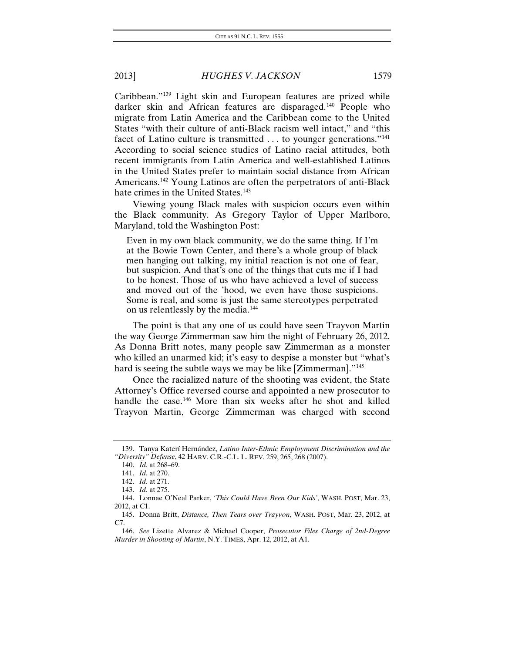Caribbean."[139](#page-25-0) Light skin and European features are prized while darker skin and African features are disparaged.<sup>[140](#page-25-1)</sup> People who migrate from Latin America and the Caribbean come to the United States "with their culture of anti-Black racism well intact," and "this facet of Latino culture is transmitted ... to younger generations."<sup>[141](#page-25-2)</sup> According to social science studies of Latino racial attitudes, both recent immigrants from Latin America and well-established Latinos in the United States prefer to maintain social distance from African Americans.[142](#page-25-3) Young Latinos are often the perpetrators of anti-Black hate crimes in the United States.<sup>[143](#page-25-4)</sup>

Viewing young Black males with suspicion occurs even within the Black community. As Gregory Taylor of Upper Marlboro, Maryland, told the Washington Post:

Even in my own black community, we do the same thing. If I'm at the Bowie Town Center, and there's a whole group of black men hanging out talking, my initial reaction is not one of fear, but suspicion. And that's one of the things that cuts me if I had to be honest. Those of us who have achieved a level of success and moved out of the 'hood, we even have those suspicions. Some is real, and some is just the same stereotypes perpetrated on us relentlessly by the media.[144](#page-25-5)

The point is that any one of us could have seen Trayvon Martin the way George Zimmerman saw him the night of February 26, 2012. As Donna Britt notes, many people saw Zimmerman as a monster who killed an unarmed kid; it's easy to despise a monster but "what's hard is seeing the subtle ways we may be like [Zimmerman]."<sup>[145](#page-25-6)</sup>

Once the racialized nature of the shooting was evident, the State Attorney's Office reversed course and appointed a new prosecutor to handle the case.<sup>[146](#page-25-7)</sup> More than six weeks after he shot and killed Trayvon Martin, George Zimmerman was charged with second

<span id="page-25-2"></span><span id="page-25-1"></span><span id="page-25-0"></span><sup>139.</sup> Tanya Katerí Hernández, *Latino Inter-Ethnic Employment Discrimination and the "Diversity" Defense*, 42 HARV. C.R.-C.L. L. REV. 259, 265, 268 (2007).

<sup>140.</sup> *Id.* at 268–69.

<sup>141.</sup> *Id.* at 270.

<sup>142.</sup> *Id.* at 271.

<sup>143.</sup> *Id.* at 275.

<span id="page-25-5"></span><span id="page-25-4"></span><span id="page-25-3"></span><sup>144.</sup> Lonnae O'Neal Parker, *'This Could Have Been Our Kids'*, WASH. POST, Mar. 23, 2012, at C1.

<span id="page-25-6"></span><sup>145.</sup> Donna Britt, *Distance, Then Tears over Trayvon*, WASH. POST, Mar. 23, 2012, at C7.

<span id="page-25-7"></span><sup>146.</sup> *See* Lizette Alvarez & Michael Cooper, *Prosecutor Files Charge of 2nd-Degree Murder in Shooting of Martin*, N.Y. TIMES, Apr. 12, 2012, at A1.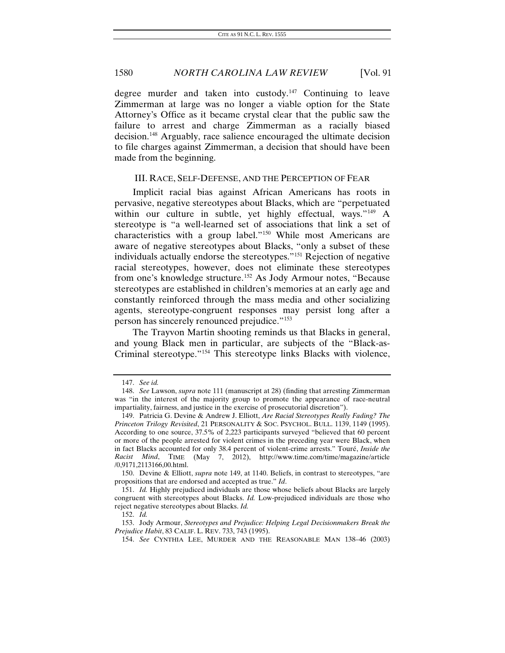degree murder and taken into custody.<sup>[147](#page-26-0)</sup> Continuing to leave Zimmerman at large was no longer a viable option for the State Attorney's Office as it became crystal clear that the public saw the failure to arrest and charge Zimmerman as a racially biased decision.[148](#page-26-1) Arguably, race salience encouraged the ultimate decision to file charges against Zimmerman, a decision that should have been made from the beginning.

#### III. RACE, SELF-DEFENSE, AND THE PERCEPTION OF FEAR

Implicit racial bias against African Americans has roots in pervasive, negative stereotypes about Blacks, which are "perpetuated within our culture in subtle, yet highly effectual, ways."[149](#page-26-2) A stereotype is "a well-learned set of associations that link a set of characteristics with a group label."[150](#page-26-3) While most Americans are aware of negative stereotypes about Blacks, "only a subset of these individuals actually endorse the stereotypes."[151](#page-26-4) Rejection of negative racial stereotypes, however, does not eliminate these stereotypes from one's knowledge structure.<sup>[152](#page-26-5)</sup> As Jody Armour notes, "Because stereotypes are established in children's memories at an early age and constantly reinforced through the mass media and other socializing agents, stereotype-congruent responses may persist long after a person has sincerely renounced prejudice."[153](#page-26-6)

The Trayvon Martin shooting reminds us that Blacks in general, and young Black men in particular, are subjects of the "Black-as-Criminal stereotype."[154](#page-26-7) This stereotype links Blacks with violence,

<sup>147.</sup> *See id.*

<span id="page-26-1"></span><span id="page-26-0"></span><sup>148.</sup> *See* Lawson, *supra* note 111 (manuscript at 28) (finding that arresting Zimmerman was "in the interest of the majority group to promote the appearance of race-neutral impartiality, fairness, and justice in the exercise of prosecutorial discretion").

<span id="page-26-2"></span><sup>149.</sup> Patricia G. Devine & Andrew J. Elliott, *Are Racial Stereotypes Really Fading? The Princeton Trilogy Revisited*, 21 PERSONALITY & SOC. PSYCHOL. BULL. 1139, 1149 (1995). According to one source, 37.5% of 2,223 participants surveyed "believed that 60 percent or more of the people arrested for violent crimes in the preceding year were Black, when in fact Blacks accounted for only 38.4 percent of violent-crime arrests." Touré, *Inside the Racist Mind*, TIME (May 7, 2012), http://www.time.com/time/magazine/article /0,9171,2113166,00.html.

<span id="page-26-3"></span><sup>150.</sup> Devine & Elliott, *supra* note 149, at 1140. Beliefs, in contrast to stereotypes, "are propositions that are endorsed and accepted as true." *Id*.

<span id="page-26-4"></span><sup>151.</sup> *Id.* Highly prejudiced individuals are those whose beliefs about Blacks are largely congruent with stereotypes about Blacks. *Id.* Low-prejudiced individuals are those who reject negative stereotypes about Blacks. *Id.*

<sup>152.</sup> *Id.*

<span id="page-26-7"></span><span id="page-26-6"></span><span id="page-26-5"></span><sup>153.</sup> Jody Armour, *Stereotypes and Prejudice: Helping Legal Decisionmakers Break the Prejudice Habit*, 83 CALIF. L. REV. 733, 743 (1995).

<sup>154.</sup> *See* CYNTHIA LEE, MURDER AND THE REASONABLE MAN 138–46 (2003)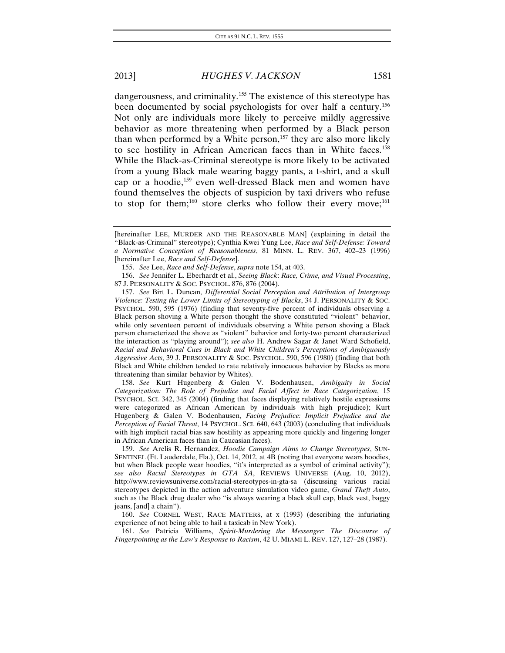dangerousness, and criminality.[155](#page-27-0) The existence of this stereotype has been documented by social psychologists for over half a century.<sup>[156](#page-27-1)</sup> Not only are individuals more likely to perceive mildly aggressive behavior as more threatening when performed by a Black person than when performed by a White person, $157$  they are also more likely to see hostility in African American faces than in White faces.<sup>[158](#page-27-3)</sup> While the Black-as-Criminal stereotype is more likely to be activated from a young Black male wearing baggy pants, a t-shirt, and a skull cap or a hoodie,[159](#page-27-4) even well-dressed Black men and women have found themselves the objects of suspicion by taxi drivers who refuse to stop for them;<sup>[160](#page-27-5)</sup> store clerks who follow their every move;<sup>[161](#page-27-6)</sup>

<span id="page-27-3"></span>158. *See* Kurt Hugenberg & Galen V. Bodenhausen, *Ambiguity in Social Categorization: The Role of Prejudice and Facial Affect in Race Categorization*, 15 PSYCHOL. SCI. 342, 345 (2004) (finding that faces displaying relatively hostile expressions were categorized as African American by individuals with high prejudice); Kurt Hugenberg & Galen V. Bodenhausen, *Facing Prejudice: Implicit Prejudice and the Perception of Facial Threat*, 14 PSYCHOL. SCI. 640, 643 (2003) (concluding that individuals with high implicit racial bias saw hostility as appearing more quickly and lingering longer in African American faces than in Caucasian faces).

<sup>[</sup>hereinafter LEE, MURDER AND THE REASONABLE MAN] (explaining in detail the "Black-as-Criminal" stereotype); Cynthia Kwei Yung Lee, *Race and Self-Defense: Toward a Normative Conception of Reasonableness*, 81 MINN. L. REV. 367, 402–23 (1996) [hereinafter Lee, *Race and Self-Defense*].

<sup>155.</sup> *See* Lee, *Race and Self-Defense*, *supra* note 154, at 403.

<span id="page-27-1"></span><span id="page-27-0"></span><sup>156.</sup> *See* Jennifer L. Eberhardt et al., *Seeing Black*: *Race, Crime, and Visual Processing*, 87 J. PERSONALITY & SOC. PSYCHOL. 876, 876 (2004).

<span id="page-27-2"></span><sup>157.</sup> *See* Birt L. Duncan, *Differential Social Perception and Attribution of Intergroup Violence: Testing the Lower Limits of Stereotyping of Blacks*, 34 J. PERSONALITY & SOC. PSYCHOL. 590, 595 (1976) (finding that seventy-five percent of individuals observing a Black person shoving a White person thought the shove constituted "violent" behavior, while only seventeen percent of individuals observing a White person shoving a Black person characterized the shove as "violent" behavior and forty-two percent characterized the interaction as "playing around"); *see also* H. Andrew Sagar & Janet Ward Schofield, *Racial and Behavioral Cues in Black and White Children's Perceptions of Ambiguously Aggressive Acts*, 39 J. PERSONALITY & SOC. PSYCHOL. 590, 596 (1980) (finding that both Black and White children tended to rate relatively innocuous behavior by Blacks as more threatening than similar behavior by Whites).

<span id="page-27-4"></span><sup>159.</sup> *See* Arelis R. Hernandez, *Hoodie Campaign Aims to Change Stereotypes*, SUN-SENTINEL (Ft. Lauderdale, Fla.), Oct. 14, 2012, at 4B (noting that everyone wears hoodies, but when Black people wear hoodies, "it's interpreted as a symbol of criminal activity"); *see also Racial Stereotypes in GTA SA*, REVIEWS UNIVERSE (Aug. 10, 2012), http://www.reviewsuniverse.com/racial-stereotypes-in-gta-sa (discussing various racial stereotypes depicted in the action adventure simulation video game, *Grand Theft Auto*, such as the Black drug dealer who "is always wearing a black skull cap, black vest, baggy jeans, [and] a chain").

<span id="page-27-5"></span><sup>160.</sup> *See* CORNEL WEST, RACE MATTERS, at x (1993) (describing the infuriating experience of not being able to hail a taxicab in New York).

<span id="page-27-6"></span><sup>161.</sup> *See* Patricia Williams, *Spirit-Murdering the Messenger: The Discourse of Fingerpointing as the Law's Response to Racism*, 42 U. MIAMI L. REV. 127, 127–28 (1987).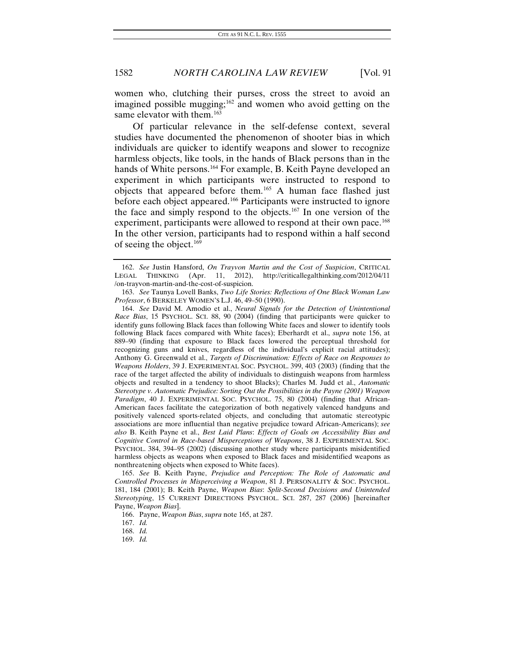women who, clutching their purses, cross the street to avoid an imagined possible mugging; $162$  and women who avoid getting on the same elevator with them.<sup>[163](#page-28-1)</sup>

Of particular relevance in the self-defense context, several studies have documented the phenomenon of shooter bias in which individuals are quicker to identify weapons and slower to recognize harmless objects, like tools, in the hands of Black persons than in the hands of White persons.<sup>[164](#page-28-2)</sup> For example, B. Keith Payne developed an experiment in which participants were instructed to respond to objects that appeared before them.[165](#page-28-3) A human face flashed just before each object appeared.<sup>[166](#page-28-4)</sup> Participants were instructed to ignore the face and simply respond to the objects.<sup>[167](#page-28-5)</sup> In one version of the experiment, participants were allowed to respond at their own pace.<sup>[168](#page-28-6)</sup> In the other version, participants had to respond within a half second of seeing the object.<sup>[169](#page-28-7)</sup>

<span id="page-28-0"></span><sup>162.</sup> *See* Justin Hansford, *On Trayvon Martin and the Cost of Suspicion*, CRITICAL LEGAL THINKING (Apr. 11, 2012), http://criticallegalthinking.com/2012/04/11 /on-trayvon-martin-and-the-cost-of-suspicion.

<span id="page-28-1"></span><sup>163.</sup> *See* Taunya Lovell Banks, *Two Life Stories: Reflections of One Black Woman Law Professor*, 6 BERKELEY WOMEN'S L.J. 46, 49–50 (1990).

<span id="page-28-2"></span><sup>164.</sup> *See* David M. Amodio et al., *Neural Signals for the Detection of Unintentional Race Bias*, 15 PSYCHOL. SCI. 88, 90 (2004) (finding that participants were quicker to identify guns following Black faces than following White faces and slower to identify tools following Black faces compared with White faces); Eberhardt et al., *supra* note 156, at 889–90 (finding that exposure to Black faces lowered the perceptual threshold for recognizing guns and knives, regardless of the individual's explicit racial attitudes); Anthony G. Greenwald et al., *Targets of Discrimination: Effects of Race on Responses to Weapons Holders*, 39 J. EXPERIMENTAL SOC. PSYCHOL. 399, 403 (2003) (finding that the race of the target affected the ability of individuals to distinguish weapons from harmless objects and resulted in a tendency to shoot Blacks); Charles M. Judd et al., *Automatic Stereotype v. Automatic Prejudice: Sorting Out the Possibilities in the Payne (2001) Weapon Paradigm*, 40 J. EXPERIMENTAL SOC. PSYCHOL. 75, 80 (2004) (finding that African-American faces facilitate the categorization of both negatively valenced handguns and positively valenced sports-related objects, and concluding that automatic stereotypic associations are more influential than negative prejudice toward African-Americans); *see also* B. Keith Payne et al., *Best Laid Plans*: *Effects of Goals on Accessibility Bias and Cognitive Control in Race-based Misperceptions of Weapons*, 38 J. EXPERIMENTAL SOC. PSYCHOL. 384, 394–95 (2002) (discussing another study where participants misidentified harmless objects as weapons when exposed to Black faces and misidentified weapons as nonthreatening objects when exposed to White faces).

<span id="page-28-3"></span><sup>165.</sup> *See* B. Keith Payne, *Prejudice and Perception: The Role of Automatic and Controlled Processes in Misperceiving a Weapon*, 81 J. PERSONALITY & SOC. PSYCHOL. 181, 184 (2001); B. Keith Payne, *Weapon Bias*: *Split-Second Decisions and Unintended Stereotyping*, 15 CURRENT DIRECTIONS PSYCHOL. SCI. 287, 287 (2006) [hereinafter Payne, *Weapon Bias*].

<span id="page-28-4"></span><sup>166.</sup> Payne, *Weapon Bias*, *supra* note 165, at 287.

<span id="page-28-5"></span><sup>167.</sup> *Id.*

<span id="page-28-6"></span><sup>168.</sup> *Id.*

<span id="page-28-7"></span><sup>169.</sup> *Id.*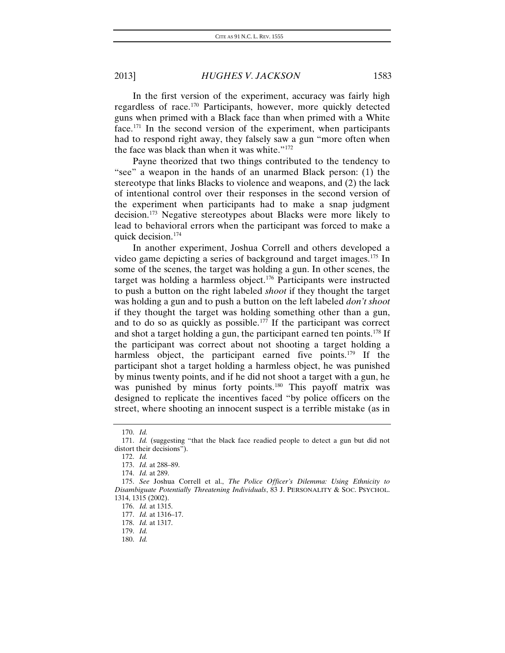In the first version of the experiment, accuracy was fairly high regardless of race[.170](#page-29-0) Participants, however, more quickly detected guns when primed with a Black face than when primed with a White face.[171](#page-29-1) In the second version of the experiment, when participants had to respond right away, they falsely saw a gun "more often when the face was black than when it was white."[172](#page-29-2)

Payne theorized that two things contributed to the tendency to "see" a weapon in the hands of an unarmed Black person: (1) the stereotype that links Blacks to violence and weapons, and (2) the lack of intentional control over their responses in the second version of the experiment when participants had to make a snap judgment decision.[173](#page-29-3) Negative stereotypes about Blacks were more likely to lead to behavioral errors when the participant was forced to make a quick decision.[174](#page-29-4)

In another experiment, Joshua Correll and others developed a video game depicting a series of background and target images.[175](#page-29-5) In some of the scenes, the target was holding a gun. In other scenes, the target was holding a harmless object.<sup>[176](#page-29-6)</sup> Participants were instructed to push a button on the right labeled *shoot* if they thought the target was holding a gun and to push a button on the left labeled *don't shoot* if they thought the target was holding something other than a gun, and to do so as quickly as possible.<sup>[177](#page-29-7)</sup> If the participant was correct and shot a target holding a gun, the participant earned ten points.[178](#page-29-8) If the participant was correct about not shooting a target holding a harmless object, the participant earned five points.<sup>[179](#page-29-9)</sup> If the participant shot a target holding a harmless object, he was punished by minus twenty points, and if he did not shoot a target with a gun, he was punished by minus forty points.<sup>[180](#page-29-10)</sup> This payoff matrix was designed to replicate the incentives faced "by police officers on the street, where shooting an innocent suspect is a terrible mistake (as in

<sup>170.</sup> *Id.*

<span id="page-29-2"></span><span id="page-29-1"></span><span id="page-29-0"></span><sup>171.</sup> *Id.* (suggesting "that the black face readied people to detect a gun but did not distort their decisions").

<sup>172.</sup> *Id.*

<sup>173.</sup> *Id.* at 288–89.

<sup>174.</sup> *Id.* at 289.

<span id="page-29-7"></span><span id="page-29-6"></span><span id="page-29-5"></span><span id="page-29-4"></span><span id="page-29-3"></span><sup>175.</sup> *See* Joshua Correll et al., *The Police Officer's Dilemma: Using Ethnicity to Disambiguate Potentially Threatening Individuals*, 83 J. PERSONALITY & SOC. PSYCHOL. 1314, 1315 (2002).

<sup>176.</sup> *Id.* at 1315.

<sup>177.</sup> *Id.* at 1316–17.

<span id="page-29-8"></span><sup>178.</sup> *Id.* at 1317.

<span id="page-29-9"></span><sup>179.</sup> *Id.*

<span id="page-29-10"></span><sup>180.</sup> *Id.*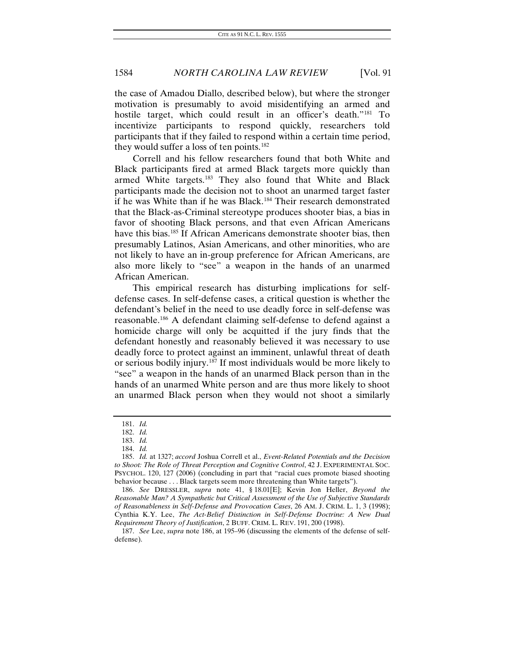the case of Amadou Diallo, described below), but where the stronger motivation is presumably to avoid misidentifying an armed and hostile target, which could result in an officer's death."<sup>[181](#page-30-0)</sup> To incentivize participants to respond quickly, researchers told participants that if they failed to respond within a certain time period, they would suffer a loss of ten points.<sup>[182](#page-30-1)</sup>

Correll and his fellow researchers found that both White and Black participants fired at armed Black targets more quickly than armed White targets.<sup>[183](#page-30-2)</sup> They also found that White and Black participants made the decision not to shoot an unarmed target faster if he was White than if he was Black.<sup>[184](#page-30-3)</sup> Their research demonstrated that the Black-as-Criminal stereotype produces shooter bias, a bias in favor of shooting Black persons, and that even African Americans have this bias.<sup>[185](#page-30-4)</sup> If African Americans demonstrate shooter bias, then presumably Latinos, Asian Americans, and other minorities, who are not likely to have an in-group preference for African Americans, are also more likely to "see" a weapon in the hands of an unarmed African American.

This empirical research has disturbing implications for selfdefense cases. In self-defense cases, a critical question is whether the defendant's belief in the need to use deadly force in self-defense was reasonable.[186](#page-30-5) A defendant claiming self-defense to defend against a homicide charge will only be acquitted if the jury finds that the defendant honestly and reasonably believed it was necessary to use deadly force to protect against an imminent, unlawful threat of death or serious bodily injury. [187](#page-30-6) If most individuals would be more likely to "see" a weapon in the hands of an unarmed Black person than in the hands of an unarmed White person and are thus more likely to shoot an unarmed Black person when they would not shoot a similarly

<sup>181.</sup> *Id.*

<sup>182.</sup> *Id.*

<sup>183.</sup> *Id.*

<sup>184.</sup> *Id.*

<span id="page-30-4"></span><span id="page-30-3"></span><span id="page-30-2"></span><span id="page-30-1"></span><span id="page-30-0"></span><sup>185.</sup> *Id.* at 1327; *accord* Joshua Correll et al., *Event-Related Potentials and the Decision to Shoot: The Role of Threat Perception and Cognitive Control*, 42 J. EXPERIMENTAL SOC. PSYCHOL. 120, 127 (2006) (concluding in part that "racial cues promote biased shooting behavior because . . . Black targets seem more threatening than White targets").

<span id="page-30-5"></span><sup>186.</sup> *See* DRESSLER, *supra* note 41, § 18.01[E]; Kevin Jon Heller, *Beyond the Reasonable Man? A Sympathetic but Critical Assessment of the Use of Subjective Standards of Reasonableness in Self-Defense and Provocation Cases*, 26 AM. J. CRIM. L. 1, 3 (1998); Cynthia K.Y. Lee, *The Act-Belief Distinction in Self-Defense Doctrine: A New Dual Requirement Theory of Justification*, 2 BUFF. CRIM. L. REV. 191, 200 (1998).

<span id="page-30-6"></span><sup>187.</sup> *See* Lee, *supra* note 186, at 195–96 (discussing the elements of the defense of selfdefense).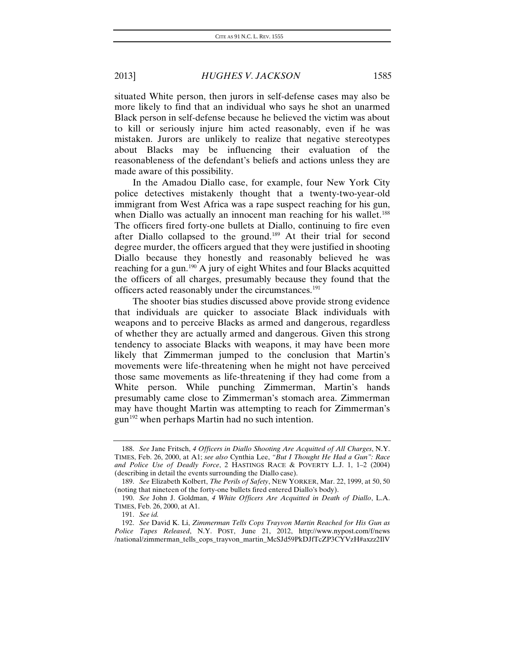situated White person, then jurors in self-defense cases may also be more likely to find that an individual who says he shot an unarmed Black person in self-defense because he believed the victim was about to kill or seriously injure him acted reasonably, even if he was mistaken. Jurors are unlikely to realize that negative stereotypes about Blacks may be influencing their evaluation of the reasonableness of the defendant's beliefs and actions unless they are made aware of this possibility.

In the Amadou Diallo case, for example, four New York City police detectives mistakenly thought that a twenty-two-year-old immigrant from West Africa was a rape suspect reaching for his gun, when Diallo was actually an innocent man reaching for his wallet.<sup>[188](#page-31-0)</sup> The officers fired forty-one bullets at Diallo, continuing to fire even after Diallo collapsed to the ground.[189](#page-31-1) At their trial for second degree murder, the officers argued that they were justified in shooting Diallo because they honestly and reasonably believed he was reaching for a gun.[190](#page-31-2) A jury of eight Whites and four Blacks acquitted the officers of all charges, presumably because they found that the officers acted reasonably under the circumstances.<sup>[191](#page-31-3)</sup>

The shooter bias studies discussed above provide strong evidence that individuals are quicker to associate Black individuals with weapons and to perceive Blacks as armed and dangerous, regardless of whether they are actually armed and dangerous. Given this strong tendency to associate Blacks with weapons, it may have been more likely that Zimmerman jumped to the conclusion that Martin's movements were life-threatening when he might not have perceived those same movements as life-threatening if they had come from a White person. While punching Zimmerman, Martin's hands presumably came close to Zimmerman's stomach area. Zimmerman may have thought Martin was attempting to reach for Zimmerman's  $gun<sup>192</sup> when perhaps Martin had no such intention.$  $gun<sup>192</sup> when perhaps Martin had no such intention.$  $gun<sup>192</sup> when perhaps Martin had no such intention.$ 

<span id="page-31-0"></span><sup>188.</sup> *See* Jane Fritsch, *4 Officers in Diallo Shooting Are Acquitted of All Charges*, N.Y. TIMES, Feb. 26, 2000, at A1; *see also* Cynthia Lee, *"But I Thought He Had a Gun": Race and Police Use of Deadly Force*, 2 HASTINGS RACE & POVERTY L.J. 1, 1–2 (2004) (describing in detail the events surrounding the Diallo case).

<span id="page-31-1"></span><sup>189.</sup> *See* Elizabeth Kolbert, *The Perils of Safety*, NEW YORKER, Mar. 22, 1999, at 50, 50 (noting that nineteen of the forty-one bullets fired entered Diallo's body).

<span id="page-31-2"></span><sup>190.</sup> *See* John J. Goldman, *4 White Officers Are Acquitted in Death of Diallo*, L.A. TIMES, Feb. 26, 2000, at A1.

<sup>191.</sup> *See id.*

<span id="page-31-4"></span><span id="page-31-3"></span><sup>192.</sup> *See* David K. Li, *Zimmerman Tells Cops Trayvon Martin Reached for His Gun as Police Tapes Released*, N.Y. POST, June 21, 2012, http://www.nypost.com/f/news /national/zimmerman\_tells\_cops\_trayvon\_martin\_McSJd59PkDJfTcZP3CYVzH#axzz2IlV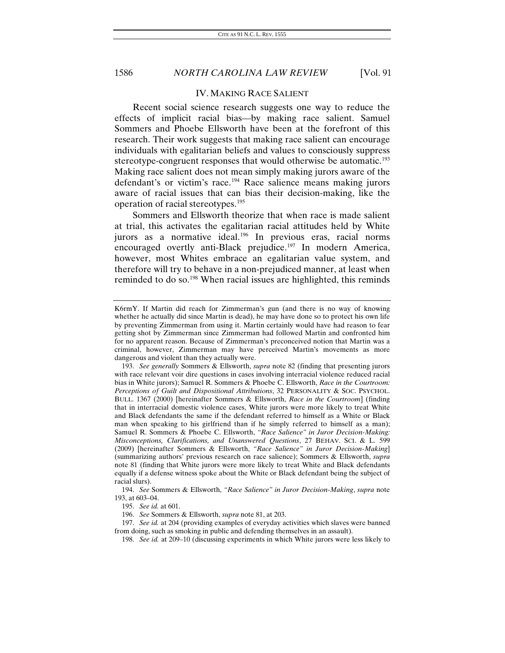#### IV. MAKING RACE SALIENT

Recent social science research suggests one way to reduce the effects of implicit racial bias—by making race salient. Samuel Sommers and Phoebe Ellsworth have been at the forefront of this research. Their work suggests that making race salient can encourage individuals with egalitarian beliefs and values to consciously suppress stereotype-congruent responses that would otherwise be automatic.<sup>[193](#page-32-0)</sup> Making race salient does not mean simply making jurors aware of the defendant's or victim's race.<sup>[194](#page-32-1)</sup> Race salience means making jurors aware of racial issues that can bias their decision-making, like the operation of racial stereotypes.[195](#page-32-2)

Sommers and Ellsworth theorize that when race is made salient at trial, this activates the egalitarian racial attitudes held by White jurors as a normative ideal.<sup>[196](#page-32-3)</sup> In previous eras, racial norms encouraged overtly anti-Black prejudice.<sup>[197](#page-32-4)</sup> In modern America, however, most Whites embrace an egalitarian value system, and therefore will try to behave in a non-prejudiced manner, at least when reminded to do so.<sup>[198](#page-32-5)</sup> When racial issues are highlighted, this reminds

195. *See id.* at 601.

K6rmY. If Martin did reach for Zimmerman's gun (and there is no way of knowing whether he actually did since Martin is dead), he may have done so to protect his own life by preventing Zimmerman from using it. Martin certainly would have had reason to fear getting shot by Zimmerman since Zimmerman had followed Martin and confronted him for no apparent reason. Because of Zimmerman's preconceived notion that Martin was a criminal, however, Zimmerman may have perceived Martin's movements as more dangerous and violent than they actually were.

<span id="page-32-0"></span><sup>193.</sup> *See generally* Sommers & Ellsworth, *supra* note 82 (finding that presenting jurors with race relevant voir dire questions in cases involving interracial violence reduced racial bias in White jurors); Samuel R. Sommers & Phoebe C. Ellsworth, *Race in the Courtroom: Perceptions of Guilt and Dispositional Attributions*, 32 PERSONALITY & SOC. PSYCHOL. BULL. 1367 (2000) [hereinafter Sommers & Ellsworth, *Race in the Courtroom*] (finding that in interracial domestic violence cases, White jurors were more likely to treat White and Black defendants the same if the defendant referred to himself as a White or Black man when speaking to his girlfriend than if he simply referred to himself as a man); Samuel R. Sommers & Phoebe C. Ellsworth, *"Race Salience" in Juror Decision-Making: Misconceptions, Clarifications, and Unanswered Questions*, 27 BEHAV. SCI. & L. 599 (2009) [hereinafter Sommers & Ellsworth, *"Race Salience" in Juror Decision-Making*] (summarizing authors' previous research on race salience); Sommers & Ellsworth, *supra* note 81 (finding that White jurors were more likely to treat White and Black defendants equally if a defense witness spoke about the White or Black defendant being the subject of racial slurs).

<span id="page-32-2"></span><span id="page-32-1"></span><sup>194.</sup> *See* Sommers & Ellsworth, *"Race Salience" in Juror Decision-Making*, *supra* note 193, at 603–04.

<sup>196.</sup> *See* Sommers & Ellsworth, *supra* note 81, at 203.

<span id="page-32-5"></span><span id="page-32-4"></span><span id="page-32-3"></span><sup>197.</sup> *See id.* at 204 (providing examples of everyday activities which slaves were banned from doing, such as smoking in public and defending themselves in an assault).

<sup>198.</sup> *See id.* at 209–10 (discussing experiments in which White jurors were less likely to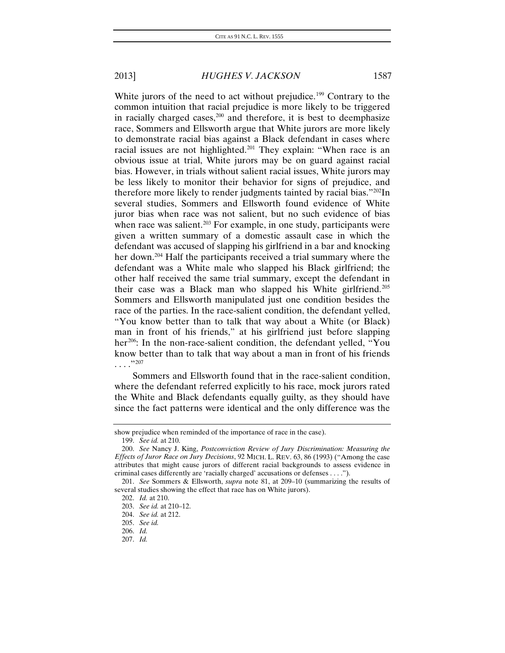White jurors of the need to act without prejudice.<sup>[199](#page-33-0)</sup> Contrary to the common intuition that racial prejudice is more likely to be triggered in racially charged cases, $200$  and therefore, it is best to deemphasize race, Sommers and Ellsworth argue that White jurors are more likely to demonstrate racial bias against a Black defendant in cases where racial issues are not highlighted.<sup>[201](#page-33-2)</sup> They explain: "When race is an obvious issue at trial, White jurors may be on guard against racial bias. However, in trials without salient racial issues, White jurors may be less likely to monitor their behavior for signs of prejudice, and therefore more likely to render judgments tainted by racial bias."[202I](#page-33-3)n several studies, Sommers and Ellsworth found evidence of White juror bias when race was not salient, but no such evidence of bias when race was salient.<sup>[203](#page-33-4)</sup> For example, in one study, participants were given a written summary of a domestic assault case in which the defendant was accused of slapping his girlfriend in a bar and knocking her down.<sup>[204](#page-33-5)</sup> Half the participants received a trial summary where the defendant was a White male who slapped his Black girlfriend; the other half received the same trial summary, except the defendant in their case was a Black man who slapped his White girlfriend.[205](#page-33-6) Sommers and Ellsworth manipulated just one condition besides the race of the parties. In the race-salient condition, the defendant yelled, "You know better than to talk that way about a White (or Black) man in front of his friends," at his girlfriend just before slapping her<sup>[206](#page-33-7)</sup>: In the non-race-salient condition, the defendant yelled, "You know better than to talk that way about a man in front of his friends . . . ."[207](#page-33-8)

Sommers and Ellsworth found that in the race-salient condition, where the defendant referred explicitly to his race, mock jurors rated the White and Black defendants equally guilty, as they should have since the fact patterns were identical and the only difference was the

show prejudice when reminded of the importance of race in the case).

<sup>199.</sup> *See id.* at 210.

<span id="page-33-1"></span><span id="page-33-0"></span><sup>200.</sup> *See* Nancy J. King, *Postconviction Review of Jury Discrimination: Measuring the Effects of Juror Race on Jury Decisions*, 92 MICH. L. REV. 63, 86 (1993) ("Among the case attributes that might cause jurors of different racial backgrounds to assess evidence in criminal cases differently are 'racially charged' accusations or defenses . . . .").

<span id="page-33-5"></span><span id="page-33-4"></span><span id="page-33-3"></span><span id="page-33-2"></span><sup>201.</sup> *See* Sommers & Ellsworth, *supra* note 81, at 209–10 (summarizing the results of several studies showing the effect that race has on White jurors).

<sup>202.</sup> *Id.* at 210.

<sup>203.</sup> *See id.* at 210–12.

<sup>204.</sup> *See id.* at 212.

<sup>205.</sup> *See id.*

<span id="page-33-8"></span><span id="page-33-7"></span><span id="page-33-6"></span><sup>206.</sup> *Id.*

<sup>207.</sup> *Id.*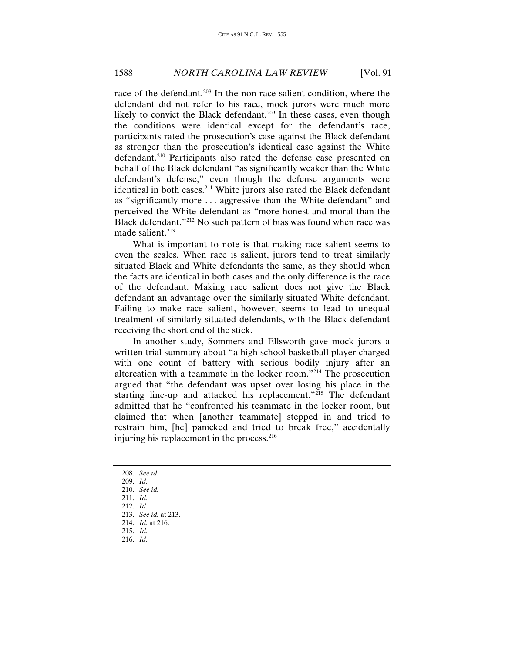race of the defendant.<sup>208</sup> In the non-race-salient condition, where the defendant did not refer to his race, mock jurors were much more likely to convict the Black defendant.<sup>[209](#page-34-1)</sup> In these cases, even though the conditions were identical except for the defendant's race, participants rated the prosecution's case against the Black defendant as stronger than the prosecution's identical case against the White defendant.<sup>[210](#page-34-2)</sup> Participants also rated the defense case presented on behalf of the Black defendant "as significantly weaker than the White defendant's defense," even though the defense arguments were identical in both cases.<sup>[211](#page-34-3)</sup> White jurors also rated the Black defendant as "significantly more . . . aggressive than the White defendant" and perceived the White defendant as "more honest and moral than the Black defendant."[212](#page-34-4) No such pattern of bias was found when race was made salient.<sup>213</sup>

What is important to note is that making race salient seems to even the scales. When race is salient, jurors tend to treat similarly situated Black and White defendants the same, as they should when the facts are identical in both cases and the only difference is the race of the defendant. Making race salient does not give the Black defendant an advantage over the similarly situated White defendant. Failing to make race salient, however, seems to lead to unequal treatment of similarly situated defendants, with the Black defendant receiving the short end of the stick.

In another study, Sommers and Ellsworth gave mock jurors a written trial summary about "a high school basketball player charged with one count of battery with serious bodily injury after an altercation with a teammate in the locker room."<sup> $214$ </sup> The prosecution argued that "the defendant was upset over losing his place in the starting line-up and attacked his replacement."<sup>[215](#page-34-7)</sup> The defendant admitted that he "confronted his teammate in the locker room, but claimed that when [another teammate] stepped in and tried to restrain him, [he] panicked and tried to break free," accidentally injuring his replacement in the process.<sup>[216](#page-34-8)</sup>

- 208. *See id.*
- <span id="page-34-3"></span><span id="page-34-2"></span><span id="page-34-1"></span><span id="page-34-0"></span>209. *Id.*
- 210. *See id.*
- <span id="page-34-4"></span>211. *Id.*
- 212. *Id.*
- <span id="page-34-5"></span>213. *See id.* at 213.
- 214. *Id.* at 216.
- <span id="page-34-8"></span><span id="page-34-7"></span><span id="page-34-6"></span>215. *Id.*
- 216. *Id.*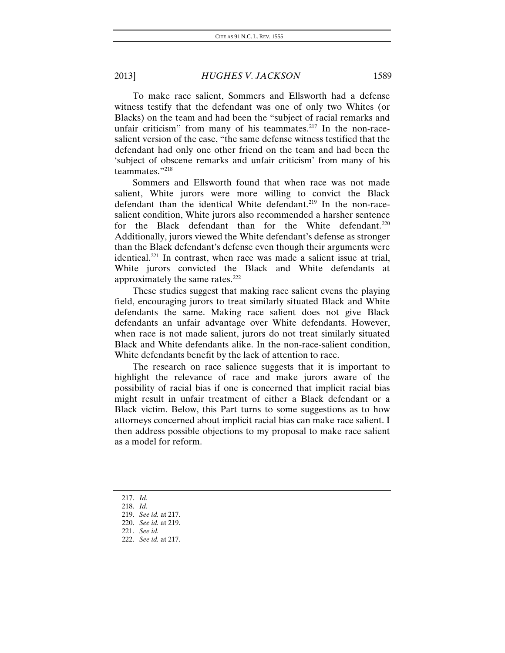To make race salient, Sommers and Ellsworth had a defense witness testify that the defendant was one of only two Whites (or Blacks) on the team and had been the "subject of racial remarks and unfair criticism" from many of his teammates.<sup>[217](#page-35-0)</sup> In the non-racesalient version of the case, "the same defense witness testified that the defendant had only one other friend on the team and had been the 'subject of obscene remarks and unfair criticism' from many of his teammates."[218](#page-35-1)

Sommers and Ellsworth found that when race was not made salient, White jurors were more willing to convict the Black defendant than the identical White defendant.<sup>[219](#page-35-2)</sup> In the non-racesalient condition, White jurors also recommended a harsher sentence for the Black defendant than for the White defendant.<sup>[220](#page-35-3)</sup> Additionally, jurors viewed the White defendant's defense as stronger than the Black defendant's defense even though their arguments were identical.[221](#page-35-4) In contrast, when race was made a salient issue at trial, White jurors convicted the Black and White defendants at approximately the same rates[.222](#page-35-5)

These studies suggest that making race salient evens the playing field, encouraging jurors to treat similarly situated Black and White defendants the same. Making race salient does not give Black defendants an unfair advantage over White defendants. However, when race is not made salient, jurors do not treat similarly situated Black and White defendants alike. In the non-race-salient condition, White defendants benefit by the lack of attention to race.

The research on race salience suggests that it is important to highlight the relevance of race and make jurors aware of the possibility of racial bias if one is concerned that implicit racial bias might result in unfair treatment of either a Black defendant or a Black victim. Below, this Part turns to some suggestions as to how attorneys concerned about implicit racial bias can make race salient. I then address possible objections to my proposal to make race salient as a model for reform.

- 217. *Id.*
- <span id="page-35-1"></span><span id="page-35-0"></span>218. *Id.*

<sup>219.</sup> *See id.* at 217.

<span id="page-35-5"></span><span id="page-35-4"></span><span id="page-35-3"></span><span id="page-35-2"></span><sup>220.</sup> *See id.* at 219.

<sup>221.</sup> *See id.*

<sup>222.</sup> *See id.* at 217.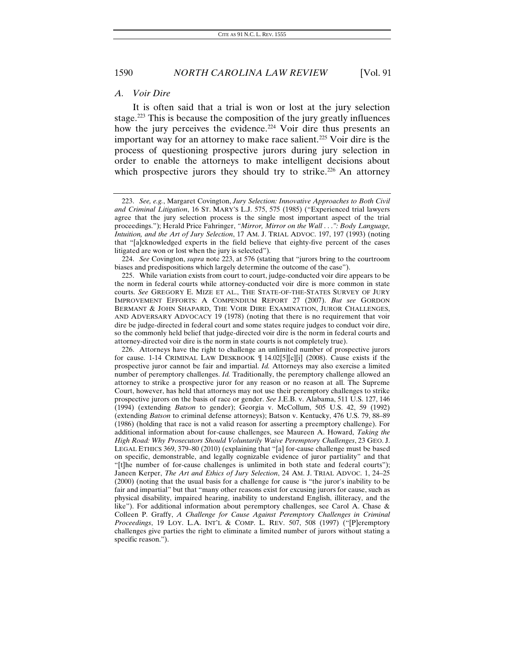#### *A. Voir Dire*

It is often said that a trial is won or lost at the jury selection stage.<sup>[223](#page-36-0)</sup> This is because the composition of the jury greatly influences how the jury perceives the evidence.<sup>[224](#page-36-1)</sup> Voir dire thus presents an important way for an attorney to make race salient.<sup>[225](#page-36-2)</sup> Voir dire is the process of questioning prospective jurors during jury selection in order to enable the attorneys to make intelligent decisions about which prospective jurors they should try to strike.<sup>[226](#page-36-3)</sup> An attorney

<span id="page-36-0"></span><sup>223.</sup> *See, e.g.*, Margaret Covington, *Jury Selection: Innovative Approaches to Both Civil and Criminal Litigation*, 16 ST. MARY'S L.J. 575, 575 (1985) ("Experienced trial lawyers agree that the jury selection process is the single most important aspect of the trial proceedings."); Herald Price Fahringer, *"Mirror, Mirror on the Wall* . . .*": Body Language, Intuition, and the Art of Jury Selection*, 17 AM. J. TRIAL ADVOC. 197, 197 (1993) (noting that "[a]cknowledged experts in the field believe that eighty-five percent of the cases litigated are won or lost when the jury is selected").

<span id="page-36-1"></span><sup>224.</sup> *See* Covington, *supra* note 223, at 576 (stating that "jurors bring to the courtroom biases and predispositions which largely determine the outcome of the case").

<span id="page-36-2"></span><sup>225.</sup> While variation exists from court to court, judge-conducted voir dire appears to be the norm in federal courts while attorney-conducted voir dire is more common in state courts. *See* GREGORY E. MIZE ET AL., THE STATE-OF-THE-STATES SURVEY OF JURY IMPROVEMENT EFFORTS: A COMPENDIUM REPORT 27 (2007). *But see* GORDON BERMANT & JOHN SHAPARD, THE VOIR DIRE EXAMINATION, JUROR CHALLENGES, AND ADVERSARY ADVOCACY 19 (1978) (noting that there is no requirement that voir dire be judge-directed in federal court and some states require judges to conduct voir dire, so the commonly held belief that judge-directed voir dire is the norm in federal courts and attorney-directed voir dire is the norm in state courts is not completely true).

<span id="page-36-3"></span><sup>226.</sup> Attorneys have the right to challenge an unlimited number of prospective jurors for cause. 1-14 CRIMINAL LAW DESKBOOK ¶ 14.02[5][c][i] (2008). Cause exists if the prospective juror cannot be fair and impartial. *Id.* Attorneys may also exercise a limited number of peremptory challenges. *Id.* Traditionally, the peremptory challenge allowed an attorney to strike a prospective juror for any reason or no reason at all. The Supreme Court, however, has held that attorneys may not use their peremptory challenges to strike prospective jurors on the basis of race or gender. *See* J.E.B. v. Alabama, 511 U.S. 127, 146 (1994) (extending *Batson* to gender); Georgia v. McCollum, 505 U.S. 42, 59 (1992) (extending *Batson* to criminal defense attorneys); Batson v. Kentucky, 476 U.S. 79, 88–89 (1986) (holding that race is not a valid reason for asserting a preemptory challenge). For additional information about for-cause challenges, see Maureen A. Howard, *Taking the High Road: Why Prosecutors Should Voluntarily Waive Peremptory Challenges*, 23 GEO. J. LEGAL ETHICS 369, 379–80 (2010) (explaining that "[a] for-cause challenge must be based on specific, demonstrable, and legally cognizable evidence of juror partiality" and that "[t]he number of for-cause challenges is unlimited in both state and federal courts"); Janeen Kerper, *The Art and Ethics of Jury Selection*, 24 AM. J. TRIAL ADVOC. 1, 24–25 (2000) (noting that the usual basis for a challenge for cause is "the juror's inability to be fair and impartial" but that "many other reasons exist for excusing jurors for cause, such as physical disability, impaired hearing, inability to understand English, illiteracy, and the like"). For additional information about peremptory challenges, see Carol A. Chase & Colleen P. Graffy, *A Challenge for Cause Against Peremptory Challenges in Criminal Proceedings*, 19 LOY. L.A. INT'L & COMP. L. REV. 507, 508 (1997) ("[P]eremptory challenges give parties the right to eliminate a limited number of jurors without stating a specific reason.").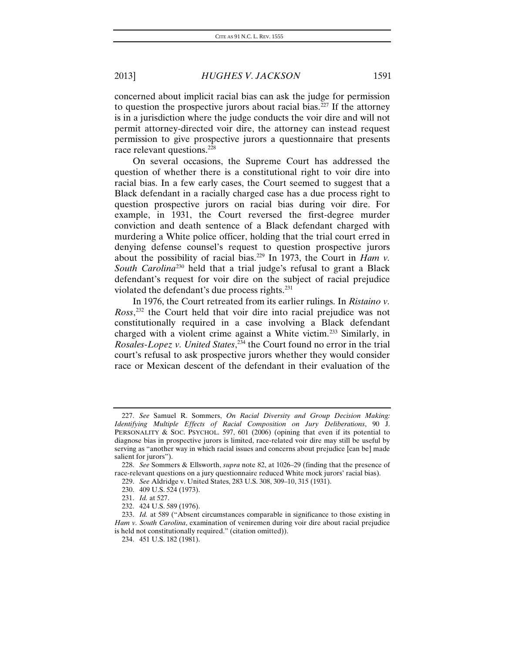concerned about implicit racial bias can ask the judge for permission to question the prospective jurors about racial bias. $^{227}$  $^{227}$  $^{227}$  If the attorney is in a jurisdiction where the judge conducts the voir dire and will not permit attorney-directed voir dire, the attorney can instead request permission to give prospective jurors a questionnaire that presents race relevant questions.<sup>[228](#page-37-1)</sup>

On several occasions, the Supreme Court has addressed the question of whether there is a constitutional right to voir dire into racial bias. In a few early cases, the Court seemed to suggest that a Black defendant in a racially charged case has a due process right to question prospective jurors on racial bias during voir dire. For example, in 1931, the Court reversed the first-degree murder conviction and death sentence of a Black defendant charged with murdering a White police officer, holding that the trial court erred in denying defense counsel's request to question prospective jurors about the possibility of racial bias.<sup>[229](#page-37-2)</sup> In 1973, the Court in *Ham v*. *South Carolina*[230](#page-37-3) held that a trial judge's refusal to grant a Black defendant's request for voir dire on the subject of racial prejudice violated the defendant's due process rights.<sup>231</sup>

In 1976, the Court retreated from its earlier rulings. In *Ristaino v. Ross*, [232](#page-37-5) the Court held that voir dire into racial prejudice was not constitutionally required in a case involving a Black defendant charged with a violent crime against a White victim.[233](#page-37-6) Similarly, in *Rosales-Lopez v. United States*, [234](#page-37-7) the Court found no error in the trial court's refusal to ask prospective jurors whether they would consider race or Mexican descent of the defendant in their evaluation of the

<span id="page-37-0"></span><sup>227.</sup> *See* Samuel R. Sommers, *On Racial Diversity and Group Decision Making: Identifying Multiple Effects of Racial Composition on Jury Deliberations*, 90 J. PERSONALITY & SOC. PSYCHOL. 597, 601 (2006) (opining that even if its potential to diagnose bias in prospective jurors is limited, race-related voir dire may still be useful by serving as "another way in which racial issues and concerns about prejudice [can be] made salient for jurors").

<span id="page-37-2"></span><span id="page-37-1"></span><sup>228.</sup> *See* Sommers & Ellsworth, *supra* note 82, at 1026–29 (finding that the presence of race-relevant questions on a jury questionnaire reduced White mock jurors' racial bias).

<sup>229.</sup> *See* Aldridge v. United States, 283 U.S. 308, 309–10, 315 (1931).

<sup>230.</sup> 409 U.S. 524 (1973).

<sup>231.</sup> *Id.* at 527.

<sup>232.</sup> 424 U.S. 589 (1976).

<span id="page-37-7"></span><span id="page-37-6"></span><span id="page-37-5"></span><span id="page-37-4"></span><span id="page-37-3"></span><sup>233.</sup> *Id.* at 589 ("Absent circumstances comparable in significance to those existing in *Ham v. South Carolina*, examination of veniremen during voir dire about racial prejudice is held not constitutionally required." (citation omitted)).

<sup>234.</sup> 451 U.S. 182 (1981).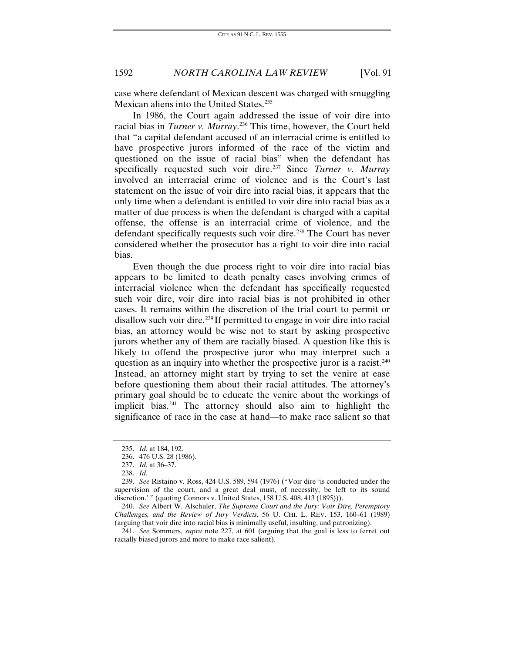case where defendant of Mexican descent was charged with smuggling Mexican aliens into the United States.<sup>[235](#page-38-0)</sup>

In 1986, the Court again addressed the issue of voir dire into racial bias in *Turner v. Murray*. [236](#page-38-1) This time, however, the Court held that "a capital defendant accused of an interracial crime is entitled to have prospective jurors informed of the race of the victim and questioned on the issue of racial bias" when the defendant has specifically requested such voir dire.<sup>[237](#page-38-2)</sup> Since *Turner v. Murray* involved an interracial crime of violence and is the Court's last statement on the issue of voir dire into racial bias, it appears that the only time when a defendant is entitled to voir dire into racial bias as a matter of due process is when the defendant is charged with a capital offense, the offense is an interracial crime of violence, and the defendant specifically requests such voir dire.<sup>[238](#page-38-3)</sup> The Court has never considered whether the prosecutor has a right to voir dire into racial bias.

Even though the due process right to voir dire into racial bias appears to be limited to death penalty cases involving crimes of interracial violence when the defendant has specifically requested such voir dire, voir dire into racial bias is not prohibited in other cases. It remains within the discretion of the trial court to permit or disallow such voir dire.<sup>[239](#page-38-4)</sup> If permitted to engage in voir dire into racial bias, an attorney would be wise not to start by asking prospective jurors whether any of them are racially biased. A question like this is likely to offend the prospective juror who may interpret such a question as an inquiry into whether the prospective juror is a racist.<sup>[240](#page-38-5)</sup> Instead, an attorney might start by trying to set the venire at ease before questioning them about their racial attitudes. The attorney's primary goal should be to educate the venire about the workings of implicit bias.<sup>[241](#page-38-6)</sup> The attorney should also aim to highlight the significance of race in the case at hand—to make race salient so that

<sup>235.</sup> *Id.* at 184, 192.

<sup>236.</sup> 476 U.S. 28 (1986).

<sup>237.</sup> *Id.* at 36–37.

<sup>238.</sup> *Id.*

<span id="page-38-4"></span><span id="page-38-3"></span><span id="page-38-2"></span><span id="page-38-1"></span><span id="page-38-0"></span><sup>239.</sup> *See* Ristaino v. Ross, 424 U.S. 589, 594 (1976) ("Voir dire 'is conducted under the supervision of the court, and a great deal must, of necessity, be left to its sound discretion.' " (quoting Connors v. United States, 158 U.S. 408, 413 (1895))).

<span id="page-38-5"></span><sup>240.</sup> *See* Albert W. Alschuler, *The Supreme Court and the Jury: Voir Dire, Peremptory Challenges, and the Review of Jury Verdicts*, 56 U. CHI. L. REV. 153, 160–61 (1989) (arguing that voir dire into racial bias is minimally useful, insulting, and patronizing).

<span id="page-38-6"></span><sup>241.</sup> *See* Sommers, *supra* note 227, at 601 (arguing that the goal is less to ferret out racially biased jurors and more to make race salient).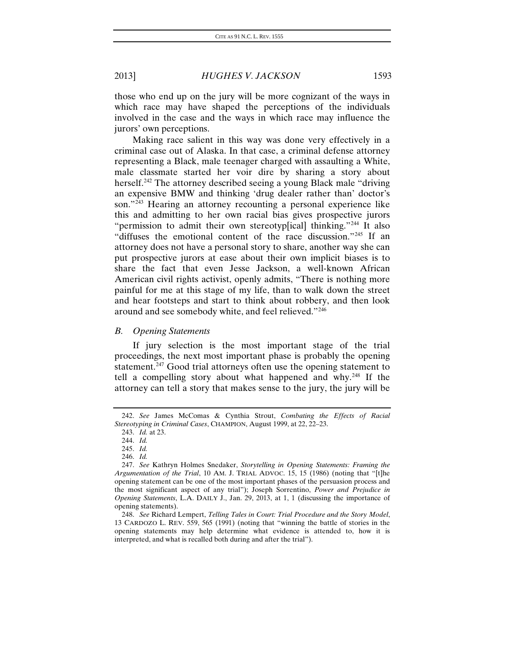those who end up on the jury will be more cognizant of the ways in which race may have shaped the perceptions of the individuals involved in the case and the ways in which race may influence the jurors' own perceptions.

Making race salient in this way was done very effectively in a criminal case out of Alaska. In that case, a criminal defense attorney representing a Black, male teenager charged with assaulting a White, male classmate started her voir dire by sharing a story about herself.<sup>[242](#page-39-0)</sup> The attorney described seeing a young Black male "driving" an expensive BMW and thinking 'drug dealer rather than' doctor's son."<sup>[243](#page-39-1)</sup> Hearing an attorney recounting a personal experience like this and admitting to her own racial bias gives prospective jurors "permission to admit their own stereotyp[ical] thinking."<sup>[244](#page-39-2)</sup> It also "diffuses the emotional content of the race discussion."[245](#page-39-3) If an attorney does not have a personal story to share, another way she can put prospective jurors at ease about their own implicit biases is to share the fact that even Jesse Jackson, a well-known African American civil rights activist, openly admits, "There is nothing more painful for me at this stage of my life, than to walk down the street and hear footsteps and start to think about robbery, and then look around and see somebody white, and feel relieved."[246](#page-39-4)

#### *B. Opening Statements*

If jury selection is the most important stage of the trial proceedings, the next most important phase is probably the opening statement.<sup>[247](#page-39-5)</sup> Good trial attorneys often use the opening statement to tell a compelling story about what happened and why.[248](#page-39-6) If the attorney can tell a story that makes sense to the jury, the jury will be

<span id="page-39-2"></span><span id="page-39-1"></span><span id="page-39-0"></span><sup>242.</sup> *See* James McComas & Cynthia Strout, *Combating the Effects of Racial Stereotyping in Criminal Cases*, CHAMPION, August 1999, at 22, 22–23.

<sup>243.</sup> *Id.* at 23.

<sup>244.</sup> *Id.*

<sup>245.</sup> *Id.*

<sup>246.</sup> *Id.*

<span id="page-39-5"></span><span id="page-39-4"></span><span id="page-39-3"></span><sup>247.</sup> *See* Kathryn Holmes Snedaker, *Storytelling in Opening Statements: Framing the Argumentation of the Trial*, 10 AM. J. TRIAL ADVOC. 15, 15 (1986) (noting that "[t]he opening statement can be one of the most important phases of the persuasion process and the most significant aspect of any trial"); Joseph Sorrentino, *Power and Prejudice in Opening Statements*, L.A. DAILY J., Jan. 29, 2013, at 1, 1 (discussing the importance of opening statements).

<span id="page-39-6"></span><sup>248.</sup> *See* Richard Lempert, *Telling Tales in Court: Trial Procedure and the Story Model*, 13 CARDOZO L. REV. 559, 565 (1991) (noting that "winning the battle of stories in the opening statements may help determine what evidence is attended to, how it is interpreted, and what is recalled both during and after the trial").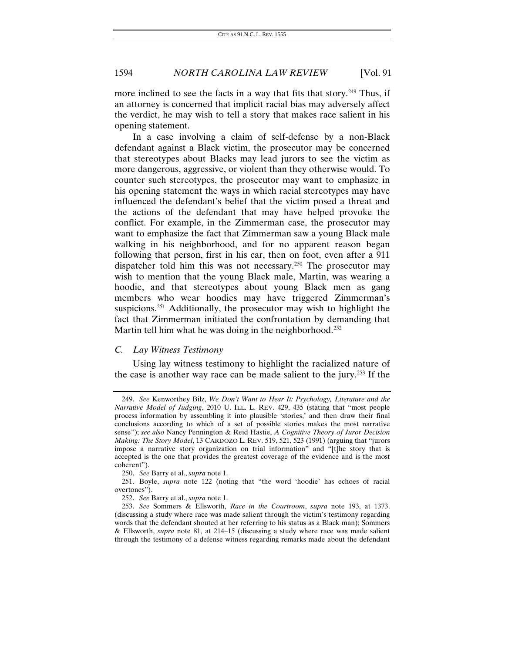more inclined to see the facts in a way that fits that story.<sup>249</sup> Thus, if an attorney is concerned that implicit racial bias may adversely affect the verdict, he may wish to tell a story that makes race salient in his opening statement.

In a case involving a claim of self-defense by a non-Black defendant against a Black victim, the prosecutor may be concerned that stereotypes about Blacks may lead jurors to see the victim as more dangerous, aggressive, or violent than they otherwise would. To counter such stereotypes, the prosecutor may want to emphasize in his opening statement the ways in which racial stereotypes may have influenced the defendant's belief that the victim posed a threat and the actions of the defendant that may have helped provoke the conflict. For example, in the Zimmerman case, the prosecutor may want to emphasize the fact that Zimmerman saw a young Black male walking in his neighborhood, and for no apparent reason began following that person, first in his car, then on foot, even after a 911 dispatcher told him this was not necessary.[250](#page-40-1) The prosecutor may wish to mention that the young Black male, Martin, was wearing a hoodie, and that stereotypes about young Black men as gang members who wear hoodies may have triggered Zimmerman's suspicions.<sup>[251](#page-40-2)</sup> Additionally, the prosecutor may wish to highlight the fact that Zimmerman initiated the confrontation by demanding that Martin tell him what he was doing in the neighborhood.<sup>[252](#page-40-3)</sup>

#### *C. Lay Witness Testimony*

Using lay witness testimony to highlight the racialized nature of the case is another way race can be made salient to the jury.[253](#page-40-4) If the

<span id="page-40-0"></span><sup>249.</sup> *See* Kenworthey Bilz, *We Don't Want to Hear It: Psychology, Literature and the Narrative Model of Judging*, 2010 U. ILL. L. REV. 429, 435 (stating that "most people process information by assembling it into plausible 'stories,' and then draw their final conclusions according to which of a set of possible stories makes the most narrative sense"); *see also* Nancy Pennington & Reid Hastie, *A Cognitive Theory of Juror Decision Making: The Story Model*, 13 CARDOZO L. REV. 519, 521, 523 (1991) (arguing that "jurors impose a narrative story organization on trial information" and "[t]he story that is accepted is the one that provides the greatest coverage of the evidence and is the most coherent").

<sup>250.</sup> *See* Barry et al., *supra* note 1.

<span id="page-40-2"></span><span id="page-40-1"></span><sup>251.</sup> Boyle, *supra* note 122 (noting that "the word 'hoodie' has echoes of racial overtones").

<sup>252.</sup> *See* Barry et al., *supra* note 1.

<span id="page-40-4"></span><span id="page-40-3"></span><sup>253.</sup> *See* Sommers & Ellsworth, *Race in the Courtroom*, *supra* note 193, at 1373. (discussing a study where race was made salient through the victim's testimony regarding words that the defendant shouted at her referring to his status as a Black man); Sommers & Ellsworth, *supra* note 81, at 214–15 (discussing a study where race was made salient through the testimony of a defense witness regarding remarks made about the defendant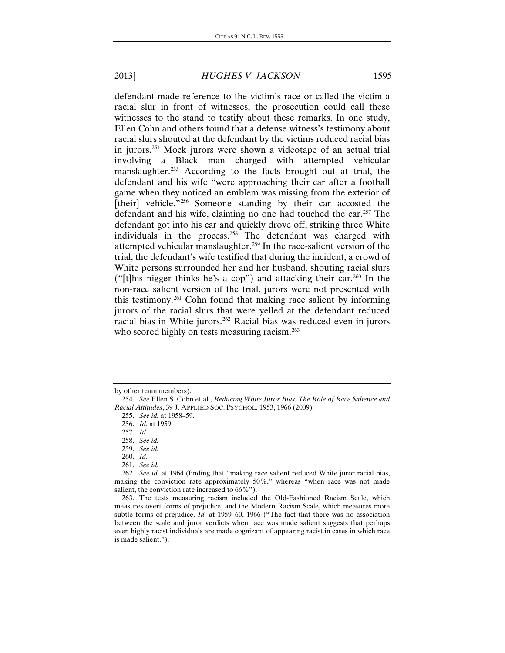defendant made reference to the victim's race or called the victim a racial slur in front of witnesses, the prosecution could call these witnesses to the stand to testify about these remarks. In one study, Ellen Cohn and others found that a defense witness's testimony about racial slurs shouted at the defendant by the victims reduced racial bias in jurors.[254](#page-41-0) Mock jurors were shown a videotape of an actual trial involving a Black man charged with attempted vehicular manslaughter.<sup>[255](#page-41-1)</sup> According to the facts brought out at trial, the defendant and his wife "were approaching their car after a football game when they noticed an emblem was missing from the exterior of [their] vehicle."<sup>[256](#page-41-2)</sup> Someone standing by their car accosted the defendant and his wife, claiming no one had touched the car.<sup>[257](#page-41-3)</sup> The defendant got into his car and quickly drove off, striking three White individuals in the process.<sup>[258](#page-41-4)</sup> The defendant was charged with attempted vehicular manslaughter.[259](#page-41-5) In the race-salient version of the trial, the defendant's wife testified that during the incident, a crowd of White persons surrounded her and her husband, shouting racial slurs ("[t]his nigger thinks he's a cop") and attacking their car.<sup>[260](#page-41-6)</sup> In the non-race salient version of the trial, jurors were not presented with this testimony.[261](#page-41-7) Cohn found that making race salient by informing jurors of the racial slurs that were yelled at the defendant reduced racial bias in White jurors.<sup>[262](#page-41-8)</sup> Racial bias was reduced even in jurors who scored highly on tests measuring racism.<sup>[263](#page-41-9)</sup>

<span id="page-41-0"></span>by other team members).

<span id="page-41-3"></span><span id="page-41-2"></span><span id="page-41-1"></span><sup>254.</sup> *See* Ellen S. Cohn et al., *Reducing White Juror Bias: The Role of Race Salience and Racial Attitudes*, 39 J. APPLIED SOC. PSYCHOL. 1953, 1966 (2009).

<sup>255.</sup> *See id.* at 1958–59.

<sup>256.</sup> *Id.* at 1959.

<sup>257.</sup> *Id.*

<sup>258.</sup> *See id.*

<sup>259.</sup> *See id.*

<sup>260.</sup> *Id.*

<sup>261.</sup> *See id.*

<span id="page-41-8"></span><span id="page-41-7"></span><span id="page-41-6"></span><span id="page-41-5"></span><span id="page-41-4"></span><sup>262.</sup> *See id.* at 1964 (finding that "making race salient reduced White juror racial bias, making the conviction rate approximately 50%," whereas "when race was not made salient, the conviction rate increased to 66%").

<span id="page-41-9"></span><sup>263.</sup> The tests measuring racism included the Old-Fashioned Racism Scale, which measures overt forms of prejudice, and the Modern Racism Scale, which measures more subtle forms of prejudice. *Id.* at 1959–60, 1966 ("The fact that there was no association between the scale and juror verdicts when race was made salient suggests that perhaps even highly racist individuals are made cognizant of appearing racist in cases in which race is made salient.").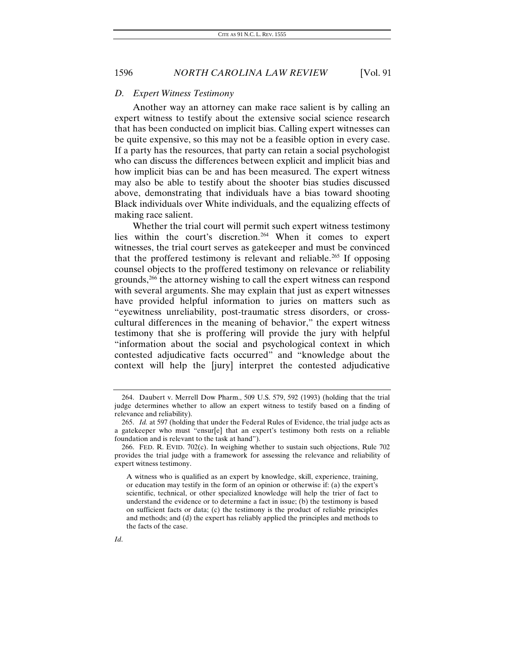#### *D. Expert Witness Testimony*

Another way an attorney can make race salient is by calling an expert witness to testify about the extensive social science research that has been conducted on implicit bias. Calling expert witnesses can be quite expensive, so this may not be a feasible option in every case. If a party has the resources, that party can retain a social psychologist who can discuss the differences between explicit and implicit bias and how implicit bias can be and has been measured. The expert witness may also be able to testify about the shooter bias studies discussed above, demonstrating that individuals have a bias toward shooting Black individuals over White individuals, and the equalizing effects of making race salient.

Whether the trial court will permit such expert witness testimony lies within the court's discretion.<sup>[264](#page-42-0)</sup> When it comes to expert witnesses, the trial court serves as gatekeeper and must be convinced that the proffered testimony is relevant and reliable.<sup>[265](#page-42-1)</sup> If opposing counsel objects to the proffered testimony on relevance or reliability grounds,<sup>[266](#page-42-2)</sup> the attorney wishing to call the expert witness can respond with several arguments. She may explain that just as expert witnesses have provided helpful information to juries on matters such as "eyewitness unreliability, post-traumatic stress disorders, or crosscultural differences in the meaning of behavior," the expert witness testimony that she is proffering will provide the jury with helpful "information about the social and psychological context in which contested adjudicative facts occurred" and "knowledge about the context will help the [jury] interpret the contested adjudicative

<span id="page-42-0"></span><sup>264.</sup> Daubert v. Merrell Dow Pharm., 509 U.S. 579, 592 (1993) (holding that the trial judge determines whether to allow an expert witness to testify based on a finding of relevance and reliability).

<span id="page-42-1"></span><sup>265.</sup> *Id.* at 597 (holding that under the Federal Rules of Evidence, the trial judge acts as a gatekeeper who must "ensur[e] that an expert's testimony both rests on a reliable foundation and is relevant to the task at hand").

<span id="page-42-2"></span><sup>266.</sup> FED. R. EVID. 702(c). In weighing whether to sustain such objections, Rule 702 provides the trial judge with a framework for assessing the relevance and reliability of expert witness testimony.

A witness who is qualified as an expert by knowledge, skill, experience, training, or education may testify in the form of an opinion or otherwise if: (a) the expert's scientific, technical, or other specialized knowledge will help the trier of fact to understand the evidence or to determine a fact in issue; (b) the testimony is based on sufficient facts or data; (c) the testimony is the product of reliable principles and methods; and (d) the expert has reliably applied the principles and methods to the facts of the case.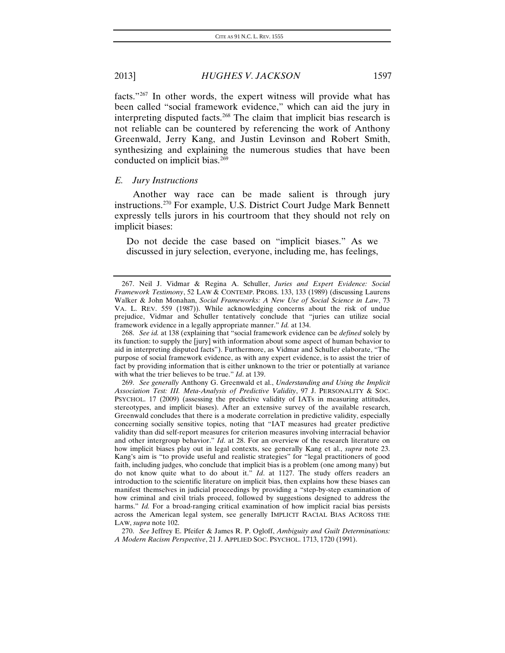facts."[267](#page-43-0) In other words, the expert witness will provide what has been called "social framework evidence," which can aid the jury in interpreting disputed facts.[268](#page-43-1) The claim that implicit bias research is not reliable can be countered by referencing the work of Anthony Greenwald, Jerry Kang, and Justin Levinson and Robert Smith, synthesizing and explaining the numerous studies that have been conducted on implicit bias.<sup>[269](#page-43-2)</sup>

### *E. Jury Instructions*

Another way race can be made salient is through jury instructions.[270](#page-43-3) For example, U.S. District Court Judge Mark Bennett expressly tells jurors in his courtroom that they should not rely on implicit biases:

Do not decide the case based on "implicit biases." As we discussed in jury selection, everyone, including me, has feelings,

<span id="page-43-0"></span><sup>267.</sup> Neil J. Vidmar & Regina A. Schuller, *Juries and Expert Evidence: Social Framework Testimony*, 52 LAW & CONTEMP. PROBS. 133, 133 (1989) (discussing Laurens Walker & John Monahan, *Social Frameworks: A New Use of Social Science in Law*, 73 VA. L. REV. 559 (1987)). While acknowledging concerns about the risk of undue prejudice, Vidmar and Schuller tentatively conclude that "juries can utilize social framework evidence in a legally appropriate manner." *Id.* at 134.

<span id="page-43-1"></span><sup>268.</sup> *See id.* at 138 (explaining that "social framework evidence can be *defined* solely by its function: to supply the [jury] with information about some aspect of human behavior to aid in interpreting disputed facts"). Furthermore, as Vidmar and Schuller elaborate, "The purpose of social framework evidence, as with any expert evidence, is to assist the trier of fact by providing information that is either unknown to the trier or potentially at variance with what the trier believes to be true." *Id*. at 139.

<span id="page-43-2"></span><sup>269.</sup> *See generally* Anthony G. Greenwald et al., *Understanding and Using the Implicit Association Test: III. Meta-Analysis of Predictive Validity*, 97 J. PERSONALITY & SOC. PSYCHOL. 17 (2009) (assessing the predictive validity of IATs in measuring attitudes, stereotypes, and implicit biases). After an extensive survey of the available research, Greenwald concludes that there is a moderate correlation in predictive validity, especially concerning socially sensitive topics, noting that "IAT measures had greater predictive validity than did self-report measures for criterion measures involving interracial behavior and other intergroup behavior." *Id*. at 28. For an overview of the research literature on how implicit biases play out in legal contexts, see generally Kang et al., *supra* note 23. Kang's aim is "to provide useful and realistic strategies" for "legal practitioners of good faith, including judges, who conclude that implicit bias is a problem (one among many) but do not know quite what to do about it." *Id*. at 1127. The study offers readers an introduction to the scientific literature on implicit bias, then explains how these biases can manifest themselves in judicial proceedings by providing a "step-by-step examination of how criminal and civil trials proceed, followed by suggestions designed to address the harms." *Id.* For a broad-ranging critical examination of how implicit racial bias persists across the American legal system, see generally IMPLICIT RACIAL BIAS ACROSS THE LAW, *supra* note 102.

<span id="page-43-3"></span><sup>270.</sup> *See* Jeffrey E. Pfeifer & James R. P. Ogloff, *Ambiguity and Guilt Determinations: A Modern Racism Perspective*, 21 J. APPLIED SOC. PSYCHOL. 1713, 1720 (1991).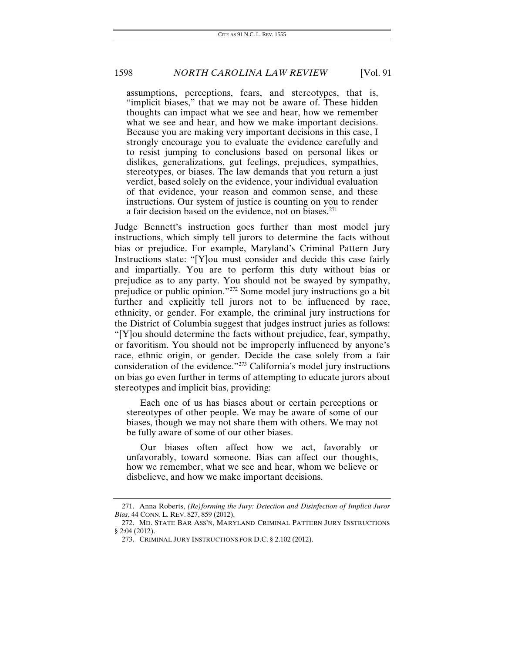assumptions, perceptions, fears, and stereotypes, that is, "implicit biases," that we may not be aware of. These hidden thoughts can impact what we see and hear, how we remember what we see and hear, and how we make important decisions. Because you are making very important decisions in this case, I strongly encourage you to evaluate the evidence carefully and to resist jumping to conclusions based on personal likes or dislikes, generalizations, gut feelings, prejudices, sympathies, stereotypes, or biases. The law demands that you return a just verdict, based solely on the evidence, your individual evaluation of that evidence, your reason and common sense, and these instructions. Our system of justice is counting on you to render a fair decision based on the evidence, not on biases.<sup>[271](#page-44-0)</sup>

Judge Bennett's instruction goes further than most model jury instructions, which simply tell jurors to determine the facts without bias or prejudice. For example, Maryland's Criminal Pattern Jury Instructions state: "[Y]ou must consider and decide this case fairly and impartially. You are to perform this duty without bias or prejudice as to any party. You should not be swayed by sympathy, prejudice or public opinion."[272](#page-44-1) Some model jury instructions go a bit further and explicitly tell jurors not to be influenced by race, ethnicity, or gender. For example, the criminal jury instructions for the District of Columbia suggest that judges instruct juries as follows: "[Y]ou should determine the facts without prejudice, fear, sympathy, or favoritism. You should not be improperly influenced by anyone's race, ethnic origin, or gender. Decide the case solely from a fair consideration of the evidence."<sup>[273](#page-44-2)</sup> California's model jury instructions on bias go even further in terms of attempting to educate jurors about stereotypes and implicit bias, providing:

Each one of us has biases about or certain perceptions or stereotypes of other people. We may be aware of some of our biases, though we may not share them with others. We may not be fully aware of some of our other biases.

Our biases often affect how we act, favorably or unfavorably, toward someone. Bias can affect our thoughts, how we remember, what we see and hear, whom we believe or disbelieve, and how we make important decisions.

<span id="page-44-0"></span><sup>271.</sup> Anna Roberts, *(Re)forming the Jury: Detection and Disinfection of Implicit Juror Bias*, 44 CONN. L. REV. 827, 859 (2012).

<span id="page-44-2"></span><span id="page-44-1"></span><sup>272.</sup> MD. STATE BAR ASS'N, MARYLAND CRIMINAL PATTERN JURY INSTRUCTIONS § 2:04 (2012).

<sup>273.</sup> CRIMINAL JURY INSTRUCTIONS FOR D.C. § 2.102 (2012).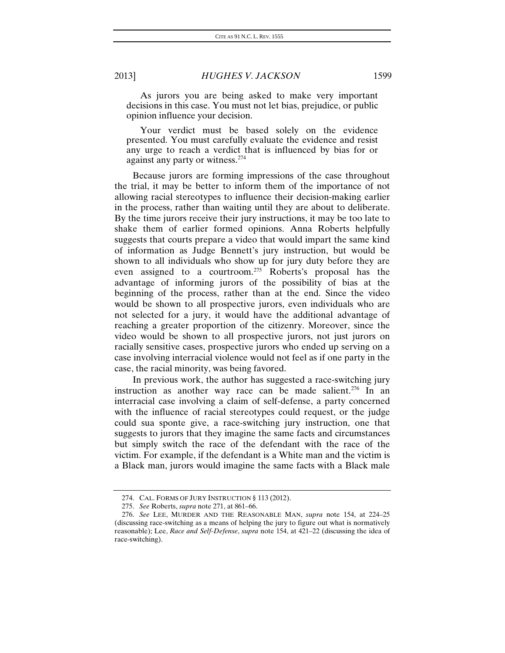As jurors you are being asked to make very important decisions in this case. You must not let bias, prejudice, or public opinion influence your decision.

Your verdict must be based solely on the evidence presented. You must carefully evaluate the evidence and resist any urge to reach a verdict that is influenced by bias for or against any party or witness.[274](#page-45-0)

Because jurors are forming impressions of the case throughout the trial, it may be better to inform them of the importance of not allowing racial stereotypes to influence their decision-making earlier in the process, rather than waiting until they are about to deliberate. By the time jurors receive their jury instructions, it may be too late to shake them of earlier formed opinions. Anna Roberts helpfully suggests that courts prepare a video that would impart the same kind of information as Judge Bennett's jury instruction, but would be shown to all individuals who show up for jury duty before they are even assigned to a courtroom.[275](#page-45-1) Roberts's proposal has the advantage of informing jurors of the possibility of bias at the beginning of the process, rather than at the end. Since the video would be shown to all prospective jurors, even individuals who are not selected for a jury, it would have the additional advantage of reaching a greater proportion of the citizenry. Moreover, since the video would be shown to all prospective jurors, not just jurors on racially sensitive cases, prospective jurors who ended up serving on a case involving interracial violence would not feel as if one party in the case, the racial minority, was being favored.

In previous work, the author has suggested a race-switching jury instruction as another way race can be made salient.<sup>[276](#page-45-2)</sup> In an interracial case involving a claim of self-defense, a party concerned with the influence of racial stereotypes could request, or the judge could sua sponte give, a race-switching jury instruction, one that suggests to jurors that they imagine the same facts and circumstances but simply switch the race of the defendant with the race of the victim. For example, if the defendant is a White man and the victim is a Black man, jurors would imagine the same facts with a Black male

<sup>274.</sup> CAL. FORMS OF JURY INSTRUCTION § 113 (2012).

<sup>275.</sup> *See* Roberts, *supra* note 271, at 861–66.

<span id="page-45-2"></span><span id="page-45-1"></span><span id="page-45-0"></span><sup>276.</sup> *See* LEE, MURDER AND THE REASONABLE MAN, *supra* note 154, at 224–25 (discussing race-switching as a means of helping the jury to figure out what is normatively reasonable); Lee, *Race and Self-Defense*, *supra* note 154, at 421–22 (discussing the idea of race-switching).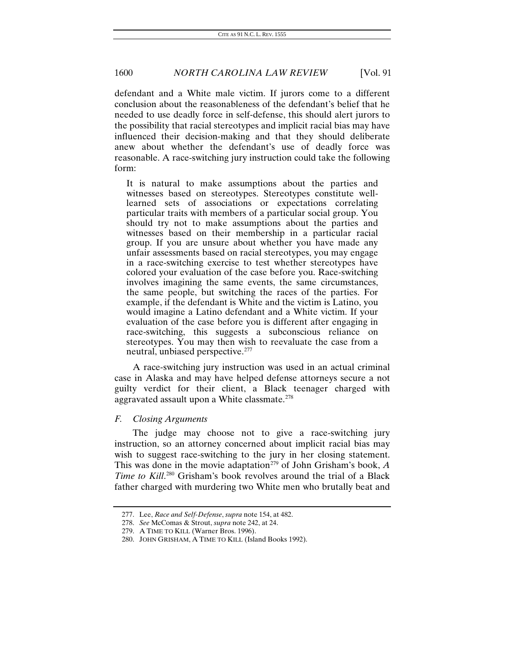defendant and a White male victim. If jurors come to a different conclusion about the reasonableness of the defendant's belief that he needed to use deadly force in self-defense, this should alert jurors to the possibility that racial stereotypes and implicit racial bias may have influenced their decision-making and that they should deliberate anew about whether the defendant's use of deadly force was reasonable. A race-switching jury instruction could take the following form:

It is natural to make assumptions about the parties and witnesses based on stereotypes. Stereotypes constitute welllearned sets of associations or expectations correlating particular traits with members of a particular social group. You should try not to make assumptions about the parties and witnesses based on their membership in a particular racial group. If you are unsure about whether you have made any unfair assessments based on racial stereotypes, you may engage in a race-switching exercise to test whether stereotypes have colored your evaluation of the case before you. Race-switching involves imagining the same events, the same circumstances, the same people, but switching the races of the parties. For example, if the defendant is White and the victim is Latino, you would imagine a Latino defendant and a White victim. If your evaluation of the case before you is different after engaging in race-switching, this suggests a subconscious reliance on stereotypes. You may then wish to reevaluate the case from a neutral, unbiased perspective.[277](#page-46-0)

A race-switching jury instruction was used in an actual criminal case in Alaska and may have helped defense attorneys secure a not guilty verdict for their client, a Black teenager charged with aggravated assault upon a White classmate.<sup>[278](#page-46-1)</sup>

#### *F. Closing Arguments*

The judge may choose not to give a race-switching jury instruction, so an attorney concerned about implicit racial bias may wish to suggest race-switching to the jury in her closing statement. This was done in the movie adaptation<sup>[279](#page-46-2)</sup> of John Grisham's book, *A Time to Kill*. [280](#page-46-3) Grisham's book revolves around the trial of a Black father charged with murdering two White men who brutally beat and

<span id="page-46-0"></span><sup>277.</sup> Lee, *Race and Self-Defense*, *supra* note 154, at 482.

<span id="page-46-1"></span><sup>278.</sup> *See* McComas & Strout, *supra* note 242, at 24.

<span id="page-46-2"></span><sup>279.</sup> A TIME TO KILL (Warner Bros. 1996).

<span id="page-46-3"></span><sup>280.</sup> JOHN GRISHAM, A TIME TO KILL (Island Books 1992).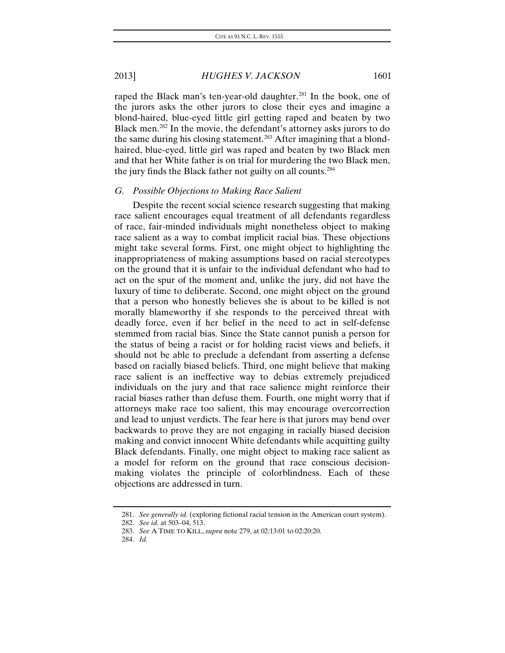raped the Black man's ten-year-old daughter.<sup>281</sup> In the book, one of the jurors asks the other jurors to close their eyes and imagine a blond-haired, blue-eyed little girl getting raped and beaten by two Black men.[282](#page-47-1) In the movie, the defendant's attorney asks jurors to do the same during his closing statement.<sup>283</sup> After imagining that a blondhaired, blue-eyed, little girl was raped and beaten by two Black men and that her White father is on trial for murdering the two Black men, the jury finds the Black father not guilty on all counts[.284](#page-47-3)

#### *G. Possible Objections to Making Race Salient*

Despite the recent social science research suggesting that making race salient encourages equal treatment of all defendants regardless of race, fair-minded individuals might nonetheless object to making race salient as a way to combat implicit racial bias. These objections might take several forms. First, one might object to highlighting the inappropriateness of making assumptions based on racial stereotypes on the ground that it is unfair to the individual defendant who had to act on the spur of the moment and, unlike the jury, did not have the luxury of time to deliberate. Second, one might object on the ground that a person who honestly believes she is about to be killed is not morally blameworthy if she responds to the perceived threat with deadly force, even if her belief in the need to act in self-defense stemmed from racial bias. Since the State cannot punish a person for the status of being a racist or for holding racist views and beliefs, it should not be able to preclude a defendant from asserting a defense based on racially biased beliefs. Third, one might believe that making race salient is an ineffective way to debias extremely prejudiced individuals on the jury and that race salience might reinforce their racial biases rather than defuse them. Fourth, one might worry that if attorneys make race too salient, this may encourage overcorrection and lead to unjust verdicts. The fear here is that jurors may bend over backwards to prove they are not engaging in racially biased decision making and convict innocent White defendants while acquitting guilty Black defendants. Finally, one might object to making race salient as a model for reform on the ground that race conscious decisionmaking violates the principle of colorblindness. Each of these objections are addressed in turn.

<span id="page-47-0"></span><sup>281.</sup> *See generally id.* (exploring fictional racial tension in the American court system).

<span id="page-47-1"></span><sup>282.</sup> *See id.* at 503–04, 513.

<span id="page-47-2"></span><sup>283.</sup> *See* A TIME TO KILL, *supra* note 279, at 02:13:01 to 02:20:20.

<span id="page-47-3"></span><sup>284.</sup> *Id.*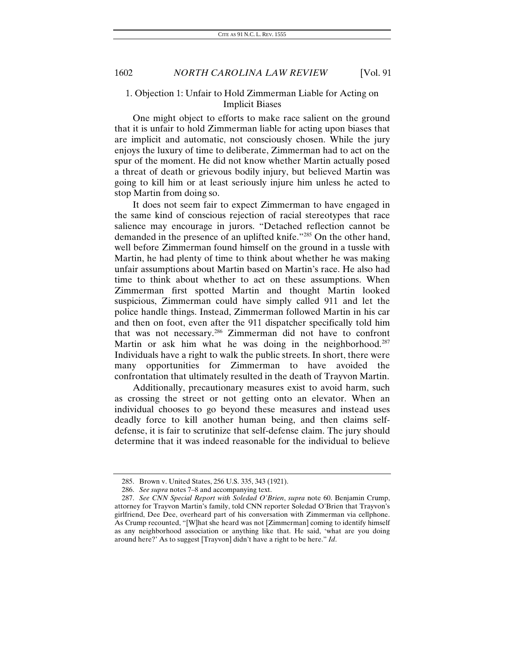### 1. Objection 1: Unfair to Hold Zimmerman Liable for Acting on Implicit Biases

One might object to efforts to make race salient on the ground that it is unfair to hold Zimmerman liable for acting upon biases that are implicit and automatic, not consciously chosen. While the jury enjoys the luxury of time to deliberate, Zimmerman had to act on the spur of the moment. He did not know whether Martin actually posed a threat of death or grievous bodily injury, but believed Martin was going to kill him or at least seriously injure him unless he acted to stop Martin from doing so.

It does not seem fair to expect Zimmerman to have engaged in the same kind of conscious rejection of racial stereotypes that race salience may encourage in jurors. "Detached reflection cannot be demanded in the presence of an uplifted knife."[285](#page-48-0) On the other hand, well before Zimmerman found himself on the ground in a tussle with Martin, he had plenty of time to think about whether he was making unfair assumptions about Martin based on Martin's race. He also had time to think about whether to act on these assumptions. When Zimmerman first spotted Martin and thought Martin looked suspicious, Zimmerman could have simply called 911 and let the police handle things. Instead, Zimmerman followed Martin in his car and then on foot, even after the 911 dispatcher specifically told him that was not necessary.[286](#page-48-1) Zimmerman did not have to confront Martin or ask him what he was doing in the neighborhood.<sup>[287](#page-48-2)</sup> Individuals have a right to walk the public streets. In short, there were many opportunities for Zimmerman to have avoided the confrontation that ultimately resulted in the death of Trayvon Martin.

Additionally, precautionary measures exist to avoid harm, such as crossing the street or not getting onto an elevator. When an individual chooses to go beyond these measures and instead uses deadly force to kill another human being, and then claims selfdefense, it is fair to scrutinize that self-defense claim. The jury should determine that it was indeed reasonable for the individual to believe

<sup>285.</sup> Brown v. United States, 256 U.S. 335, 343 (1921).

<sup>286.</sup> *See supra* notes 7–8 and accompanying text.

<span id="page-48-2"></span><span id="page-48-1"></span><span id="page-48-0"></span><sup>287.</sup> *See CNN Special Report with Soledad O'Brien*, *supra* note 60. Benjamin Crump, attorney for Trayvon Martin's family, told CNN reporter Soledad O'Brien that Trayvon's girlfriend, Dee Dee, overheard part of his conversation with Zimmerman via cellphone. As Crump recounted, "[W]hat she heard was not [Zimmerman] coming to identify himself as any neighborhood association or anything like that. He said, 'what are you doing around here?' As to suggest [Trayvon] didn't have a right to be here." *Id*.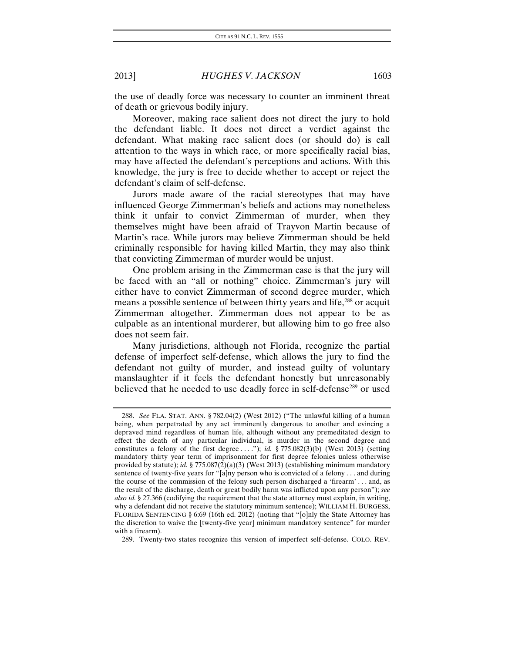the use of deadly force was necessary to counter an imminent threat of death or grievous bodily injury.

Moreover, making race salient does not direct the jury to hold the defendant liable. It does not direct a verdict against the defendant. What making race salient does (or should do) is call attention to the ways in which race, or more specifically racial bias, may have affected the defendant's perceptions and actions. With this knowledge, the jury is free to decide whether to accept or reject the defendant's claim of self-defense.

Jurors made aware of the racial stereotypes that may have influenced George Zimmerman's beliefs and actions may nonetheless think it unfair to convict Zimmerman of murder, when they themselves might have been afraid of Trayvon Martin because of Martin's race. While jurors may believe Zimmerman should be held criminally responsible for having killed Martin, they may also think that convicting Zimmerman of murder would be unjust.

One problem arising in the Zimmerman case is that the jury will be faced with an "all or nothing" choice. Zimmerman's jury will either have to convict Zimmerman of second degree murder, which means a possible sentence of between thirty years and life,<sup>[288](#page-49-0)</sup> or acquit Zimmerman altogether. Zimmerman does not appear to be as culpable as an intentional murderer, but allowing him to go free also does not seem fair.

Many jurisdictions, although not Florida, recognize the partial defense of imperfect self-defense, which allows the jury to find the defendant not guilty of murder, and instead guilty of voluntary manslaughter if it feels the defendant honestly but unreasonably believed that he needed to use deadly force in self-defense<sup>[289](#page-49-1)</sup> or used

<span id="page-49-0"></span><sup>288.</sup> *See* FLA. STAT. ANN. § 782.04(2) (West 2012) ("The unlawful killing of a human being, when perpetrated by any act imminently dangerous to another and evincing a depraved mind regardless of human life, although without any premeditated design to effect the death of any particular individual, is murder in the second degree and constitutes a felony of the first degree . . . ."); *id.* § 775.082(3)(b) (West 2013) (setting mandatory thirty year term of imprisonment for first degree felonies unless otherwise provided by statute); *id.* § 775.087(2)(a)(3) (West 2013) (establishing minimum mandatory sentence of twenty-five years for "[a]ny person who is convicted of a felony . . . and during the course of the commission of the felony such person discharged a 'firearm' . . . and, as the result of the discharge, death or great bodily harm was inflicted upon any person"); *see also id.* § 27.366 (codifying the requirement that the state attorney must explain, in writing, why a defendant did not receive the statutory minimum sentence); WILLIAM H. BURGESS, FLORIDA SENTENCING § 6:69 (16th ed. 2012) (noting that "[o]nly the State Attorney has the discretion to waive the [twenty-five year] minimum mandatory sentence" for murder with a firearm).

<span id="page-49-1"></span><sup>289.</sup> Twenty-two states recognize this version of imperfect self-defense. COLO. REV.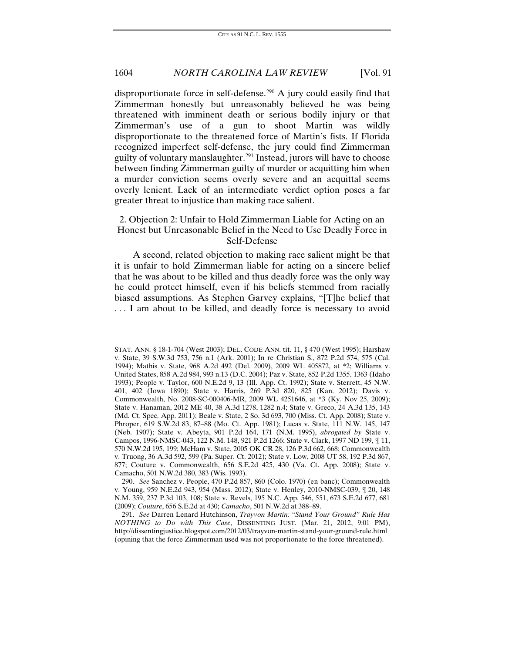disproportionate force in self-defense.<sup>[290](#page-50-0)</sup> A jury could easily find that Zimmerman honestly but unreasonably believed he was being threatened with imminent death or serious bodily injury or that Zimmerman's use of a gun to shoot Martin was wildly disproportionate to the threatened force of Martin's fists. If Florida recognized imperfect self-defense, the jury could find Zimmerman guilty of voluntary manslaughter.<sup>[291](#page-50-1)</sup> Instead, jurors will have to choose between finding Zimmerman guilty of murder or acquitting him when a murder conviction seems overly severe and an acquittal seems overly lenient. Lack of an intermediate verdict option poses a far greater threat to injustice than making race salient.

### 2. Objection 2: Unfair to Hold Zimmerman Liable for Acting on an Honest but Unreasonable Belief in the Need to Use Deadly Force in Self-Defense

A second, related objection to making race salient might be that it is unfair to hold Zimmerman liable for acting on a sincere belief that he was about to be killed and thus deadly force was the only way he could protect himself, even if his beliefs stemmed from racially biased assumptions. As Stephen Garvey explains, "[T]he belief that . . . I am about to be killed, and deadly force is necessary to avoid

STAT. ANN. § 18-1-704 (West 2003); DEL. CODE ANN. tit. 11, § 470 (West 1995); Harshaw v. State, 39 S.W.3d 753, 756 n.1 (Ark. 2001); In re Christian S., 872 P.2d 574, 575 (Cal. 1994); Mathis v. State, 968 A.2d 492 (Del. 2009), 2009 WL 405872, at \*2; Williams v. United States, 858 A.2d 984, 993 n.13 (D.C. 2004); Paz v. State, 852 P.2d 1355, 1363 (Idaho 1993); People v. Taylor, 600 N.E.2d 9, 13 (Ill. App. Ct. 1992); State v. Sterrett, 45 N.W. 401, 402 (Iowa 1890); State v. Harris, 269 P.3d 820, 825 (Kan. 2012); Davis v. Commonwealth, No. 2008-SC-000406-MR, 2009 WL 4251646, at \*3 (Ky. Nov 25, 2009); State v. Hanaman, 2012 ME 40, 38 A.3d 1278, 1282 n.4; State v. Greco, 24 A.3d 135, 143 (Md. Ct. Spec. App. 2011); Beale v. State, 2 So. 3d 693, 700 (Miss. Ct. App. 2008); State v. Phroper, 619 S.W.2d 83, 87–88 (Mo. Ct. App. 1981); Lucas v. State, 111 N.W. 145, 147 (Neb. 1907); State v. Abeyta, 901 P.2d 164, 171 (N.M. 1995), *abrogated by* State v. Campos, 1996-NMSC-043, 122 N.M. 148, 921 P.2d 1266; State v. Clark, 1997 ND 199, ¶ 11, 570 N.W.2d 195, 199; McHam v. State, 2005 OK CR 28, 126 P.3d 662, 668; Commonwealth v. Truong, 36 A.3d 592, 599 (Pa. Super. Ct. 2012); State v. Low, 2008 UT 58, 192 P.3d 867, 877; Couture v. Commonwealth, 656 S.E.2d 425, 430 (Va. Ct. App. 2008); State v. Camacho, 501 N.W.2d 380, 383 (Wis. 1993).

<span id="page-50-0"></span><sup>290.</sup> *See* Sanchez v. People, 470 P.2d 857, 860 (Colo. 1970) (en banc); Commonwealth v. Young, 959 N.E.2d 943, 954 (Mass. 2012); State v. Henley, 2010-NMSC-039, ¶ 20, 148 N.M. 359, 237 P.3d 103, 108; State v. Revels, 195 N.C. App. 546, 551, 673 S.E.2d 677, 681 (2009); *Couture*, 656 S.E.2d at 430; *Camacho*, 501 N.W.2d at 388–89.

<span id="page-50-1"></span><sup>291.</sup> *See* Darren Lenard Hutchinson, *Trayvon Martin: "Stand Your Ground" Rule Has NOTHING to Do with This Case*, DISSENTING JUST. (Mar. 21, 2012, 9:01 PM), http://dissentingjustice.blogspot.com/2012/03/trayvon-martin-stand-your-ground-rule.html (opining that the force Zimmerman used was not proportionate to the force threatened).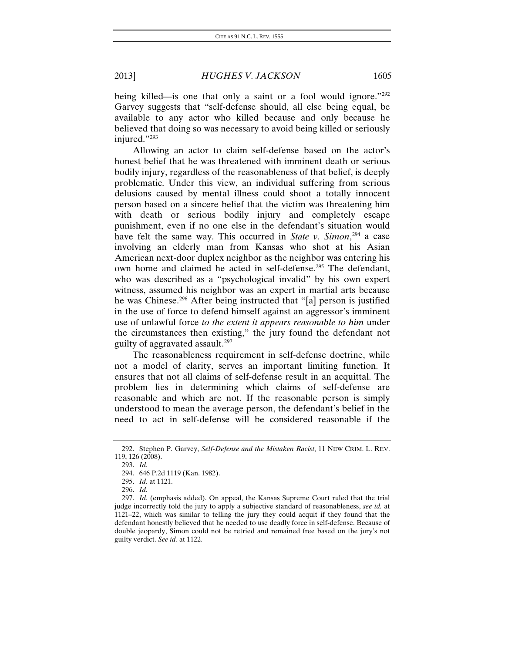being killed—is one that only a saint or a fool would ignore."[292](#page-51-0) Garvey suggests that "self-defense should, all else being equal, be available to any actor who killed because and only because he believed that doing so was necessary to avoid being killed or seriously injured."[293](#page-51-1)

Allowing an actor to claim self-defense based on the actor's honest belief that he was threatened with imminent death or serious bodily injury, regardless of the reasonableness of that belief, is deeply problematic. Under this view, an individual suffering from serious delusions caused by mental illness could shoot a totally innocent person based on a sincere belief that the victim was threatening him with death or serious bodily injury and completely escape punishment, even if no one else in the defendant's situation would have felt the same way. This occurred in *State v. Simon*, [294](#page-51-2) a case involving an elderly man from Kansas who shot at his Asian American next-door duplex neighbor as the neighbor was entering his own home and claimed he acted in self-defense.<sup>[295](#page-51-3)</sup> The defendant, who was described as a "psychological invalid" by his own expert witness, assumed his neighbor was an expert in martial arts because he was Chinese.<sup>[296](#page-51-4)</sup> After being instructed that "[a] person is justified in the use of force to defend himself against an aggressor's imminent use of unlawful force *to the extent it appears reasonable to him* under the circumstances then existing," the jury found the defendant not guilty of aggravated assault.[297](#page-51-5)

The reasonableness requirement in self-defense doctrine, while not a model of clarity, serves an important limiting function. It ensures that not all claims of self-defense result in an acquittal. The problem lies in determining which claims of self-defense are reasonable and which are not. If the reasonable person is simply understood to mean the average person, the defendant's belief in the need to act in self-defense will be considered reasonable if the

293. *Id.*

<span id="page-51-2"></span><span id="page-51-1"></span><span id="page-51-0"></span><sup>292.</sup> Stephen P. Garvey, *Self-Defense and the Mistaken Racist*, 11 NEW CRIM. L. REV. 119, 126 (2008).

<sup>294.</sup> 646 P.2d 1119 (Kan. 1982).

<sup>295.</sup> *Id.* at 1121.

<sup>296.</sup> *Id.*

<span id="page-51-5"></span><span id="page-51-4"></span><span id="page-51-3"></span><sup>297.</sup> *Id.* (emphasis added). On appeal, the Kansas Supreme Court ruled that the trial judge incorrectly told the jury to apply a subjective standard of reasonableness, *see id.* at 1121–22, which was similar to telling the jury they could acquit if they found that the defendant honestly believed that he needed to use deadly force in self-defense. Because of double jeopardy, Simon could not be retried and remained free based on the jury's not guilty verdict. *See id.* at 1122.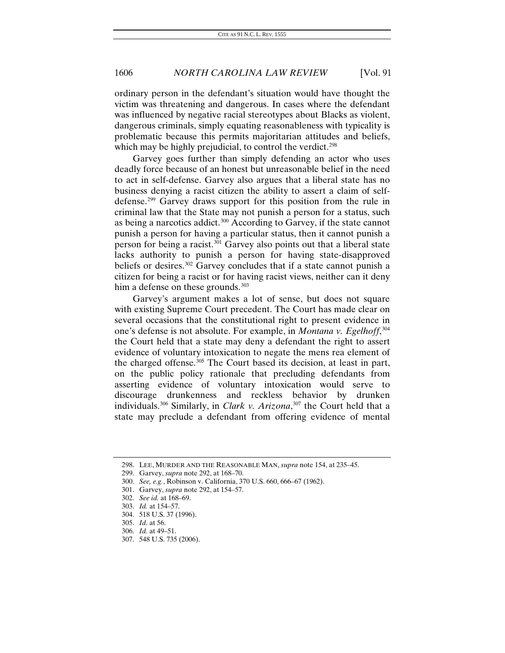ordinary person in the defendant's situation would have thought the victim was threatening and dangerous. In cases where the defendant was influenced by negative racial stereotypes about Blacks as violent, dangerous criminals, simply equating reasonableness with typicality is problematic because this permits majoritarian attitudes and beliefs, which may be highly prejudicial, to control the verdict.<sup>[298](#page-52-0)</sup>

Garvey goes further than simply defending an actor who uses deadly force because of an honest but unreasonable belief in the need to act in self-defense. Garvey also argues that a liberal state has no business denying a racist citizen the ability to assert a claim of selfdefense.[299](#page-52-1) Garvey draws support for this position from the rule in criminal law that the State may not punish a person for a status, such as being a narcotics addict.[300](#page-52-2) According to Garvey, if the state cannot punish a person for having a particular status, then it cannot punish a person for being a racist.<sup>301</sup> Garvey also points out that a liberal state lacks authority to punish a person for having state-disapproved beliefs or desires.[302](#page-52-4) Garvey concludes that if a state cannot punish a citizen for being a racist or for having racist views, neither can it deny him a defense on these grounds.<sup>[303](#page-52-5)</sup>

Garvey's argument makes a lot of sense, but does not square with existing Supreme Court precedent. The Court has made clear on several occasions that the constitutional right to present evidence in one's defense is not absolute. For example, in *Montana v. Egelhoff*, [304](#page-52-6) the Court held that a state may deny a defendant the right to assert evidence of voluntary intoxication to negate the mens rea element of the charged offense.<sup>[305](#page-52-7)</sup> The Court based its decision, at least in part, on the public policy rationale that precluding defendants from asserting evidence of voluntary intoxication would serve to discourage drunkenness and reckless behavior by drunken individuals.[306](#page-52-8) Similarly, in *Clark v. Arizona*, [307](#page-52-9) the Court held that a state may preclude a defendant from offering evidence of mental

<span id="page-52-0"></span><sup>298.</sup> LEE, MURDER AND THE REASONABLE MAN, *supra* note 154, at 235–45.

<span id="page-52-1"></span><sup>299.</sup> Garvey, *supra* note 292, at 168–70.

<span id="page-52-2"></span><sup>300.</sup> *See, e.g.*, Robinson v. California, 370 U.S. 660, 666–67 (1962).

<span id="page-52-3"></span><sup>301.</sup> Garvey, *supra* note 292, at 154–57.

<span id="page-52-4"></span><sup>302.</sup> *See id.* at 168–69.

<span id="page-52-5"></span><sup>303.</sup> *Id.* at 154–57.

<span id="page-52-6"></span><sup>304.</sup> 518 U.S. 37 (1996).

<span id="page-52-7"></span><sup>305.</sup> *Id*. at 56.

<span id="page-52-8"></span><sup>306.</sup> *Id.* at 49–51.

<span id="page-52-9"></span><sup>307.</sup> 548 U.S. 735 (2006).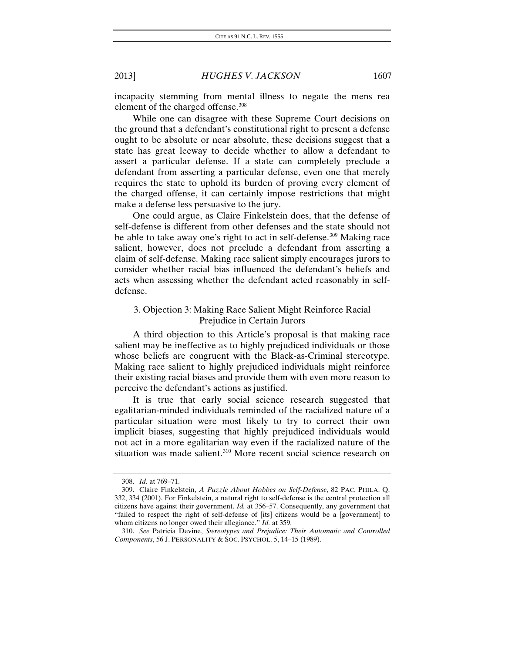incapacity stemming from mental illness to negate the mens rea element of the charged offense.<sup>[308](#page-53-0)</sup>

While one can disagree with these Supreme Court decisions on the ground that a defendant's constitutional right to present a defense ought to be absolute or near absolute, these decisions suggest that a state has great leeway to decide whether to allow a defendant to assert a particular defense. If a state can completely preclude a defendant from asserting a particular defense, even one that merely requires the state to uphold its burden of proving every element of the charged offense, it can certainly impose restrictions that might make a defense less persuasive to the jury.

One could argue, as Claire Finkelstein does, that the defense of self-defense is different from other defenses and the state should not be able to take away one's right to act in self-defense.<sup>[309](#page-53-1)</sup> Making race salient, however, does not preclude a defendant from asserting a claim of self-defense. Making race salient simply encourages jurors to consider whether racial bias influenced the defendant's beliefs and acts when assessing whether the defendant acted reasonably in selfdefense.

### 3. Objection 3: Making Race Salient Might Reinforce Racial Prejudice in Certain Jurors

A third objection to this Article's proposal is that making race salient may be ineffective as to highly prejudiced individuals or those whose beliefs are congruent with the Black-as-Criminal stereotype. Making race salient to highly prejudiced individuals might reinforce their existing racial biases and provide them with even more reason to perceive the defendant's actions as justified.

It is true that early social science research suggested that egalitarian-minded individuals reminded of the racialized nature of a particular situation were most likely to try to correct their own implicit biases, suggesting that highly prejudiced individuals would not act in a more egalitarian way even if the racialized nature of the situation was made salient.<sup>[310](#page-53-2)</sup> More recent social science research on

<sup>308.</sup> *Id.* at 769–71.

<span id="page-53-1"></span><span id="page-53-0"></span><sup>309.</sup> Claire Finkelstein, *A Puzzle About Hobbes on Self-Defense*, 82 PAC. PHILA. Q. 332, 334 (2001). For Finkelstein, a natural right to self-defense is the central protection all citizens have against their government. *Id.* at 356–57. Consequently, any government that "failed to respect the right of self-defense of [its] citizens would be a [government] to whom citizens no longer owed their allegiance." *Id.* at 359.

<span id="page-53-2"></span><sup>310.</sup> *See* Patricia Devine, *Stereotypes and Prejudice: Their Automatic and Controlled Components*, 56 J. PERSONALITY & SOC. PSYCHOL. 5, 14–15 (1989).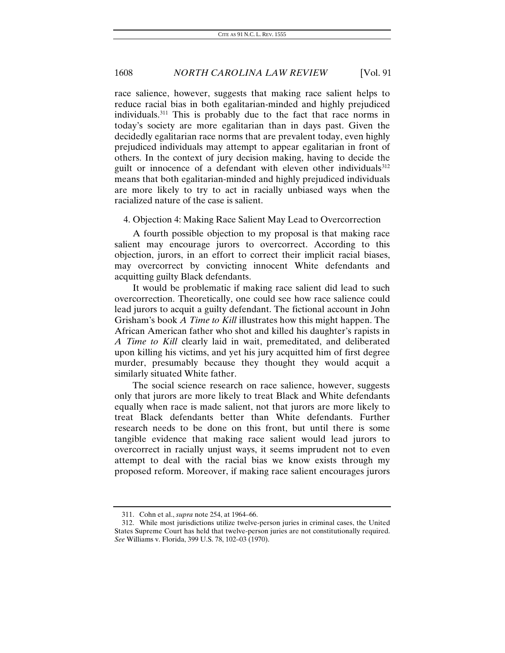race salience, however, suggests that making race salient helps to reduce racial bias in both egalitarian-minded and highly prejudiced individuals.[311](#page-54-0) This is probably due to the fact that race norms in today's society are more egalitarian than in days past. Given the decidedly egalitarian race norms that are prevalent today, even highly prejudiced individuals may attempt to appear egalitarian in front of others. In the context of jury decision making, having to decide the guilt or innocence of a defendant with eleven other individuals<sup>[312](#page-54-1)</sup> means that both egalitarian-minded and highly prejudiced individuals are more likely to try to act in racially unbiased ways when the racialized nature of the case is salient.

#### 4. Objection 4: Making Race Salient May Lead to Overcorrection

A fourth possible objection to my proposal is that making race salient may encourage jurors to overcorrect. According to this objection, jurors, in an effort to correct their implicit racial biases, may overcorrect by convicting innocent White defendants and acquitting guilty Black defendants.

It would be problematic if making race salient did lead to such overcorrection. Theoretically, one could see how race salience could lead jurors to acquit a guilty defendant. The fictional account in John Grisham's book *A Time to Kill* illustrates how this might happen. The African American father who shot and killed his daughter's rapists in *A Time to Kill* clearly laid in wait, premeditated, and deliberated upon killing his victims, and yet his jury acquitted him of first degree murder, presumably because they thought they would acquit a similarly situated White father.

The social science research on race salience, however, suggests only that jurors are more likely to treat Black and White defendants equally when race is made salient, not that jurors are more likely to treat Black defendants better than White defendants. Further research needs to be done on this front, but until there is some tangible evidence that making race salient would lead jurors to overcorrect in racially unjust ways, it seems imprudent not to even attempt to deal with the racial bias we know exists through my proposed reform. Moreover, if making race salient encourages jurors

<sup>311.</sup> Cohn et al., *supra* note 254, at 1964–66.

<span id="page-54-1"></span><span id="page-54-0"></span><sup>312.</sup> While most jurisdictions utilize twelve-person juries in criminal cases, the United States Supreme Court has held that twelve-person juries are not constitutionally required. *See* Williams v. Florida, 399 U.S. 78, 102–03 (1970).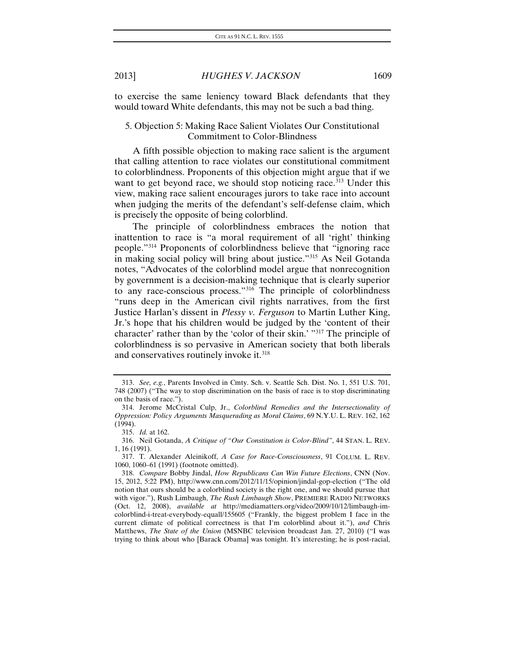to exercise the same leniency toward Black defendants that they would toward White defendants, this may not be such a bad thing.

### 5. Objection 5: Making Race Salient Violates Our Constitutional Commitment to Color-Blindness

A fifth possible objection to making race salient is the argument that calling attention to race violates our constitutional commitment to colorblindness. Proponents of this objection might argue that if we want to get beyond race, we should stop noticing race.<sup>[313](#page-55-0)</sup> Under this view, making race salient encourages jurors to take race into account when judging the merits of the defendant's self-defense claim, which is precisely the opposite of being colorblind.

The principle of colorblindness embraces the notion that inattention to race is "a moral requirement of all 'right' thinking people."[314](#page-55-1) Proponents of colorblindness believe that "ignoring race in making social policy will bring about justice."[315](#page-55-2) As Neil Gotanda notes, "Advocates of the colorblind model argue that nonrecognition by government is a decision-making technique that is clearly superior to any race-conscious process."[316](#page-55-3) The principle of colorblindness "runs deep in the American civil rights narratives, from the first Justice Harlan's dissent in *Plessy v. Ferguson* to Martin Luther King, Jr.'s hope that his children would be judged by the 'content of their character' rather than by the 'color of their skin.' "[317](#page-55-4) The principle of colorblindness is so pervasive in American society that both liberals and conservatives routinely invoke it.<sup>[318](#page-55-5)</sup>

<span id="page-55-0"></span><sup>313.</sup> *See, e.g.*, Parents Involved in Cmty. Sch. v. Seattle Sch. Dist. No. 1, 551 U.S. 701, 748 (2007) ("The way to stop discrimination on the basis of race is to stop discriminating on the basis of race.").

<span id="page-55-1"></span><sup>314.</sup> Jerome McCristal Culp, Jr., *Colorblind Remedies and the Intersectionality of Oppression: Policy Arguments Masquerading as Moral Claims*, 69 N.Y.U. L. REV. 162, 162 (1994).

<sup>315.</sup> *Id.* at 162.

<span id="page-55-3"></span><span id="page-55-2"></span><sup>316.</sup> Neil Gotanda, *A Critique of "Our Constitution is Color-Blind"*, 44 STAN. L. REV. 1, 16 (1991).

<span id="page-55-4"></span><sup>317.</sup> T. Alexander Aleinikoff, *A Case for Race-Consciousness*, 91 COLUM. L. REV. 1060, 1060–61 (1991) (footnote omitted).

<span id="page-55-5"></span><sup>318.</sup> *Compare* Bobby Jindal, *How Republicans Can Win Future Elections*, CNN (Nov. 15, 2012, 5:22 PM), http://www.cnn.com/2012/11/15/opinion/jindal-gop-election ("The old notion that ours should be a colorblind society is the right one, and we should pursue that with vigor."), Rush Limbaugh, *The Rush Limbaugh Show*, PREMIERE RADIO NETWORKS (Oct. 12, 2008), *available at* http://mediamatters.org/video/2009/10/12/limbaugh-imcolorblind-i-treat-everybody-equall/155605 ("Frankly, the biggest problem I face in the current climate of political correctness is that I'm colorblind about it."), *and* Chris Matthews, *The State of the Union* (MSNBC television broadcast Jan. 27, 2010) ("I was trying to think about who [Barack Obama] was tonight. It's interesting; he is post-racial,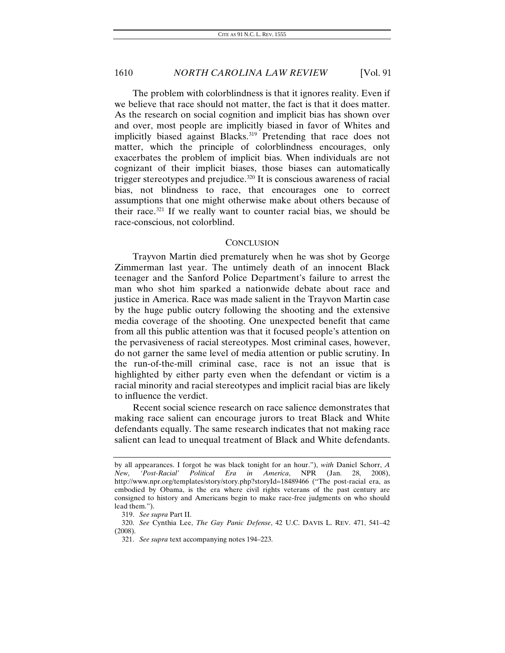The problem with colorblindness is that it ignores reality. Even if we believe that race should not matter, the fact is that it does matter. As the research on social cognition and implicit bias has shown over and over, most people are implicitly biased in favor of Whites and implicitly biased against Blacks.<sup>[319](#page-56-0)</sup> Pretending that race does not matter, which the principle of colorblindness encourages, only exacerbates the problem of implicit bias. When individuals are not cognizant of their implicit biases, those biases can automatically trigger stereotypes and prejudice.<sup>[320](#page-56-1)</sup> It is conscious awareness of racial bias, not blindness to race, that encourages one to correct assumptions that one might otherwise make about others because of their race.<sup>[321](#page-56-2)</sup> If we really want to counter racial bias, we should be race-conscious, not colorblind.

#### **CONCLUSION**

Trayvon Martin died prematurely when he was shot by George Zimmerman last year. The untimely death of an innocent Black teenager and the Sanford Police Department's failure to arrest the man who shot him sparked a nationwide debate about race and justice in America. Race was made salient in the Trayvon Martin case by the huge public outcry following the shooting and the extensive media coverage of the shooting. One unexpected benefit that came from all this public attention was that it focused people's attention on the pervasiveness of racial stereotypes. Most criminal cases, however, do not garner the same level of media attention or public scrutiny. In the run-of-the-mill criminal case, race is not an issue that is highlighted by either party even when the defendant or victim is a racial minority and racial stereotypes and implicit racial bias are likely to influence the verdict.

Recent social science research on race salience demonstrates that making race salient can encourage jurors to treat Black and White defendants equally. The same research indicates that not making race salient can lead to unequal treatment of Black and White defendants.

by all appearances. I forgot he was black tonight for an hour."), *with* Daniel Schorr, *A New, 'Post-Racial' Political Era in America*, NPR (Jan. 28, 2008), http://www.npr.org/templates/story/story.php?storyId=18489466 ("The post-racial era, as embodied by Obama, is the era where civil rights veterans of the past century are consigned to history and Americans begin to make race-free judgments on who should lead them.").

<sup>319.</sup> *See supra* Part II.

<span id="page-56-2"></span><span id="page-56-1"></span><span id="page-56-0"></span><sup>320.</sup> *See* Cynthia Lee, *The Gay Panic Defense*, 42 U.C. DAVIS L. REV. 471, 541–42 (2008).

<sup>321.</sup> *See supra* text accompanying notes 194–223.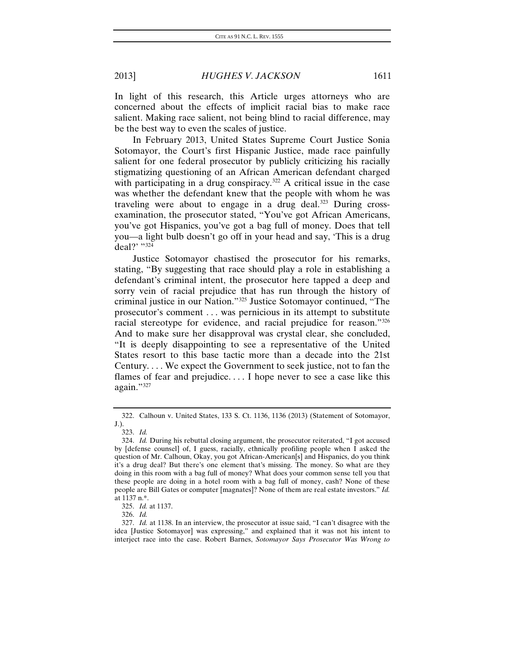In light of this research, this Article urges attorneys who are concerned about the effects of implicit racial bias to make race salient. Making race salient, not being blind to racial difference, may be the best way to even the scales of justice.

In February 2013, United States Supreme Court Justice Sonia Sotomayor, the Court's first Hispanic Justice, made race painfully salient for one federal prosecutor by publicly criticizing his racially stigmatizing questioning of an African American defendant charged with participating in a drug conspiracy.<sup>[322](#page-57-0)</sup> A critical issue in the case was whether the defendant knew that the people with whom he was traveling were about to engage in a drug deal.<sup>[323](#page-57-1)</sup> During crossexamination, the prosecutor stated, "You've got African Americans, you've got Hispanics, you've got a bag full of money. Does that tell you—a light bulb doesn't go off in your head and say, 'This is a drug deal?' ["324](#page-57-2)

Justice Sotomayor chastised the prosecutor for his remarks, stating, "By suggesting that race should play a role in establishing a defendant's criminal intent, the prosecutor here tapped a deep and sorry vein of racial prejudice that has run through the history of criminal justice in our Nation."[325](#page-57-3) Justice Sotomayor continued, "The prosecutor's comment . . . was pernicious in its attempt to substitute racial stereotype for evidence, and racial prejudice for reason."[326](#page-57-4) And to make sure her disapproval was crystal clear, she concluded, "It is deeply disappointing to see a representative of the United States resort to this base tactic more than a decade into the 21st Century. . . . We expect the Government to seek justice, not to fan the flames of fear and prejudice. . . . I hope never to see a case like this again.["327](#page-57-5)

<span id="page-57-0"></span><sup>322.</sup> Calhoun v. United States, 133 S. Ct. 1136, 1136 (2013) (Statement of Sotomayor, J.).

<sup>323.</sup> *Id.*

<span id="page-57-2"></span><span id="page-57-1"></span><sup>324.</sup> *Id.* During his rebuttal closing argument, the prosecutor reiterated, "I got accused by [defense counsel] of, I guess, racially, ethnically profiling people when I asked the question of Mr. Calhoun, Okay, you got African-American[s] and Hispanics, do you think it's a drug deal? But there's one element that's missing. The money. So what are they doing in this room with a bag full of money? What does your common sense tell you that these people are doing in a hotel room with a bag full of money, cash? None of these people are Bill Gates or computer [magnates]? None of them are real estate investors." *Id.* at 1137 n.\*.

<sup>325.</sup> *Id.* at 1137.

<sup>326.</sup> *Id.*

<span id="page-57-5"></span><span id="page-57-4"></span><span id="page-57-3"></span><sup>327.</sup> *Id.* at 1138. In an interview, the prosecutor at issue said, "I can't disagree with the idea [Justice Sotomayor] was expressing," and explained that it was not his intent to interject race into the case. Robert Barnes, *Sotomayor Says Prosecutor Was Wrong to*